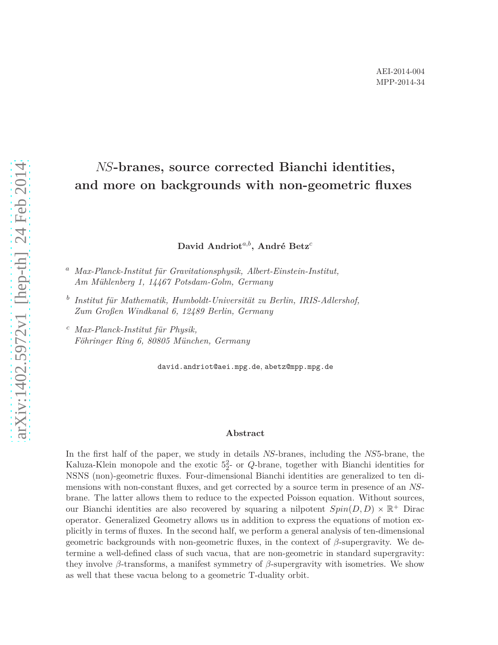# *NS***-branes, source corrected Bianchi identities, and more on backgrounds with non-geometric fluxes**

**David Andriot***a,b***, André Betz***<sup>c</sup>*

- *<sup>a</sup> Max-Planck-Institut für Gravitationsphysik, Albert-Einstein-Institut, Am Mühlenberg 1, 14467 Potsdam-Golm, Germany*
- *b Institut für Mathematik, Humboldt-Universität zu Berlin, IRIS-Adlershof, Zum Großen Windkanal 6, 12489 Berlin, Germany*

*<sup>c</sup> Max-Planck-Institut für Physik, Föhringer Ring 6, 80805 München, Germany*

david.andriot@aei.mpg.de, abetz@mpp.mpg.de

#### **Abstract**

In the first half of the paper, we study in details *NS*-branes, including the *NS*5-brane, the Kaluza-Klein monopole and the exotic  $5<sub>2</sub><sup>2</sup>$ - or *Q*-brane, together with Bianchi identities for NSNS (non)-geometric fluxes. Four-dimensional Bianchi identities are generalized to ten dimensions with non-constant fluxes, and get corrected by a source term in presence of an *NS*brane. The latter allows them to reduce to the expected Poisson equation. Without sources, our Bianchi identities are also recovered by squaring a nilpotent  $Spin(D, D) \times \mathbb{R}^+$  Dirac operator. Generalized Geometry allows us in addition to express the equations of motion explicitly in terms of fluxes. In the second half, we perform a general analysis of ten-dimensional geometric backgrounds with non-geometric fluxes, in the context of *β*-supergravity. We determine a well-defined class of such vacua, that are non-geometric in standard supergravity: they involve *β*-transforms, a manifest symmetry of *β*-supergravity with isometries. We show as well that these vacua belong to a geometric T-duality orbit.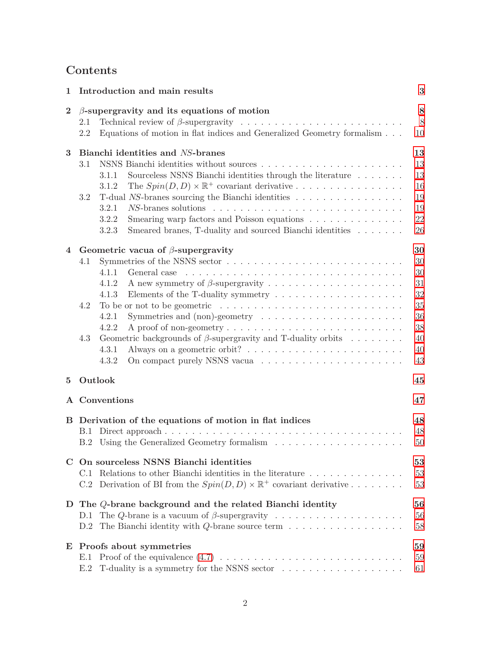# **Contents**

| 1            | Introduction and main results                                                                                                                                                                                                                                                                                                                                                                                                                                                    |                                                                |  |  |  |
|--------------|----------------------------------------------------------------------------------------------------------------------------------------------------------------------------------------------------------------------------------------------------------------------------------------------------------------------------------------------------------------------------------------------------------------------------------------------------------------------------------|----------------------------------------------------------------|--|--|--|
| $\mathbf{2}$ | $\beta$ -supergravity and its equations of motion<br>2.1<br>Equations of motion in flat indices and Generalized Geometry formalism<br>2.2                                                                                                                                                                                                                                                                                                                                        | 8<br>8<br>10                                                   |  |  |  |
| 3            | Bianchi identities and NS-branes<br>3.1<br>Sourceless NSNS Bianchi identities through the literature $\dots \dots$<br>3.1.1<br>The $Spin(D, D) \times \mathbb{R}^+$ covariant derivative<br>3.1.2<br>T-dual NS-branes sourcing the Bianchi identities<br>3.2<br>3.2.1<br>Smearing warp factors and Poisson equations<br>3.2.2<br>Smeared branes, T-duality and sourced Bianchi identities<br>3.2.3                                                                               | 13<br>13<br>13<br>16<br>19<br>19<br>22<br>26                   |  |  |  |
| 4            | Geometric vacua of $\beta$ -supergravity<br>4.1<br>4.1.1<br>4.1.2<br>Elements of the T-duality symmetry $\dots \dots \dots \dots \dots \dots \dots$<br>4.1.3<br>To be or not to be geometric $\ldots \ldots \ldots \ldots \ldots \ldots \ldots \ldots \ldots$<br>4.2<br>4.2.1<br>4.2.2<br>Geometric backgrounds of $\beta$ -supergravity and T-duality orbits<br>4.3<br>Always on a geometric orbit? $\ldots \ldots \ldots \ldots \ldots \ldots \ldots \ldots$<br>4.3.1<br>4.3.2 | 30<br>30<br>30<br>31<br>32<br>35<br>36<br>38<br>40<br>40<br>43 |  |  |  |
| Outlook<br>5 |                                                                                                                                                                                                                                                                                                                                                                                                                                                                                  |                                                                |  |  |  |
|              | A Conventions                                                                                                                                                                                                                                                                                                                                                                                                                                                                    |                                                                |  |  |  |
|              | B Derivation of the equations of motion in flat indices                                                                                                                                                                                                                                                                                                                                                                                                                          | 48<br>48<br>50                                                 |  |  |  |
|              | C On sourceless NSNS Bianchi identities<br>C.1 Relations to other Bianchi identities in the literature<br>C.2 Derivation of BI from the $Spin(D, D) \times \mathbb{R}^+$ covariant derivative                                                                                                                                                                                                                                                                                    | 53<br>53<br>53                                                 |  |  |  |
|              | D The Q-brane background and the related Bianchi identity<br>D.1<br>The Bianchi identity with $Q$ -brane source term $\ldots \ldots \ldots \ldots \ldots$<br>D.2                                                                                                                                                                                                                                                                                                                 | 56<br>56<br>58                                                 |  |  |  |
|              | E Proofs about symmetries<br>E.1<br>T-duality is a symmetry for the NSNS sector<br>E.2                                                                                                                                                                                                                                                                                                                                                                                           | 59<br>59<br>61                                                 |  |  |  |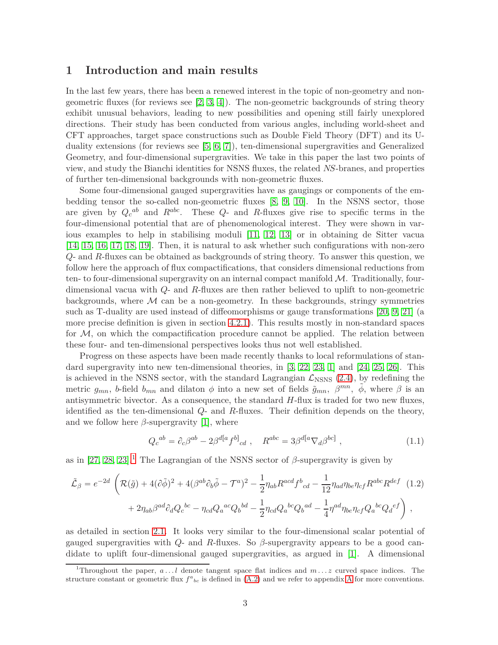### <span id="page-2-0"></span>**1 Introduction and main results**

In the last few years, there has been a renewed interest in the topic of non-geometry and nongeometric fluxes (for reviews see  $[2, 3, 4]$  $[2, 3, 4]$  $[2, 3, 4]$ ). The non-geometric backgrounds of string theory exhibit unusual behaviors, leading to new possibilities and opening still fairly unexplored directions. Their study has been conducted from various angles, including world-sheet and CFT approaches, target space constructions such as Double Field Theory (DFT) and its Uduality extensions (for reviews see [\[5,](#page-62-3) [6,](#page-62-4) [7\]](#page-62-5)), ten-dimensional supergravities and Generalized Geometry, and four-dimensional supergravities. We take in this paper the last two points of view, and study the Bianchi identities for NSNS fluxes, the related *NS*-branes, and properties of further ten-dimensional backgrounds with non-geometric fluxes.

Some four-dimensional gauged supergravities have as gaugings or components of the embedding tensor the so-called non-geometric fluxes [\[8,](#page-62-6) [9,](#page-62-7) [10\]](#page-62-8). In the NSNS sector, those are given by  $Q_c{}^{ab}$  and  $R^{abc}$ . These  $Q$ - and  $R$ -fluxes give rise to specific terms in the four-dimensional potential that are of phenomenological interest. They were shown in various examples to help in stabilising moduli [\[11,](#page-62-9) [12,](#page-62-10) [13\]](#page-62-11) or in obtaining de Sitter vacua [\[14,](#page-62-12) [15,](#page-62-13) [16,](#page-62-14) [17,](#page-62-15) [18,](#page-63-0) [19\]](#page-63-1). Then, it is natural to ask whether such configurations with non-zero *Q*- and *R*-fluxes can be obtained as backgrounds of string theory. To answer this question, we follow here the approach of flux compactifications, that considers dimensional reductions from ten- to four-dimensional supergravity on an internal compact manifold  $\mathcal{M}$ . Traditionally, fourdimensional vacua with *Q*- and *R*-fluxes are then rather believed to uplift to non-geometric backgrounds, where  $\mathcal M$  can be a non-geometry. In these backgrounds, stringy symmetries such as T-duality are used instead of diffeomorphisms or gauge transformations [\[20,](#page-63-2) [9,](#page-62-7) [21\]](#page-63-3) (a more precise definition is given in section [4.2.1\)](#page-35-0). This results mostly in non-standard spaces for  $M$ , on which the compactification procedure cannot be applied. The relation between these four- and ten-dimensional perspectives looks thus not well established.

Progress on these aspects have been made recently thanks to local reformulations of stan-dard supergravity into new ten-dimensional theories, in [\[3,](#page-62-1) [22,](#page-63-4) [23,](#page-63-5) [1\]](#page-62-16) and [\[24,](#page-63-6) [25,](#page-63-7) [26\]](#page-63-8). This is achieved in the NSNS sector, with the standard Lagrangian  $\mathcal{L}_{NSNS}$  [\(2.4\)](#page-7-2), by redefining the metric  $g_{mn}$ , *b*-field  $b_{mn}$  and dilaton  $\phi$  into a new set of fields  $\tilde{g}_{mn}$ ,  $\beta^{mn}$ ,  $\tilde{\phi}$ , where  $\beta$  is an antisymmetric bivector. As a consequence, the standard *H*-flux is traded for two new fluxes, identified as the ten-dimensional *Q*- and *R*-fluxes. Their definition depends on the theory, and we follow here  $\beta$ -supergravity [\[1\]](#page-62-16), where

<span id="page-2-3"></span><span id="page-2-2"></span>
$$
Q_c{}^{ab} = \partial_c \beta^{ab} - 2\beta^{d[a} f^{b]}{}_{cd} , \quad R^{abc} = 3\beta^{d[a} \nabla_d \beta^{bc]} , \qquad (1.1)
$$

as in [\[27,](#page-63-9) [28,](#page-63-10) [23\]](#page-63-5).<sup>[1](#page-2-1)</sup> The Lagrangian of the NSNS sector of  $\beta$ -supergravity is given by

$$
\tilde{\mathcal{L}}_{\beta} = e^{-2d} \left( \mathcal{R}(\tilde{g}) + 4(\partial \tilde{\phi})^2 + 4(\beta^{ab}\partial_b\tilde{\phi} - \mathcal{T}^a)^2 - \frac{1}{2}\eta_{ab}R^{acd}f^b{}_{cd} - \frac{1}{12}\eta_{ad}\eta_{be}\eta_{cf}R^{abc}R^{def} \right)
$$

$$
+ 2\eta_{ab}\beta^{ad}\partial_d Q_c^{bc} - \eta_{cd}Q_a^{ac}Q_b^{bd} - \frac{1}{2}\eta_{cd}Q_a^{bc}Q_b^{ad} - \frac{1}{4}\eta^{ad}\eta_{be}\eta_{cf}Q_a^{bc}Q_d^{ef} \right),
$$

as detailed in section [2.1.](#page-7-1) It looks very similar to the four-dimensional scalar potential of gauged supergravities with  $Q$ - and  $R$ -fluxes. So  $\beta$ -supergravity appears to be a good candidate to uplift four-dimensional gauged supergravities, as argued in [\[1\]](#page-62-16). A dimensional

<span id="page-2-1"></span><sup>&</sup>lt;sup>1</sup>Throughout the paper,  $a \ldots l$  denote tangent space flat indices and  $m \ldots z$  curved space indices. The structure constant or geometric flux  $f^a{}_{bc}$  is defined in  $(A.2)$  and we refer to appendix [A](#page-46-0) for more conventions.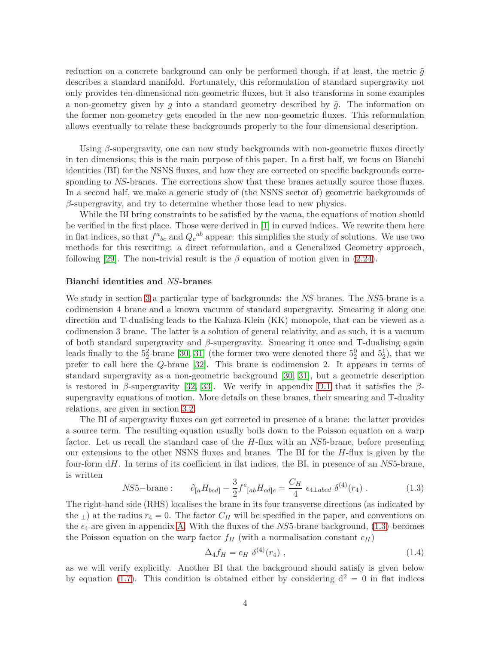reduction on a concrete background can only be performed though, if at least, the metric  $\tilde{q}$ describes a standard manifold. Fortunately, this reformulation of standard supergravity not only provides ten-dimensional non-geometric fluxes, but it also transforms in some examples a non-geometry given by  $q$  into a standard geometry described by  $\tilde{q}$ . The information on the former non-geometry gets encoded in the new non-geometric fluxes. This reformulation allows eventually to relate these backgrounds properly to the four-dimensional description.

Using *β*-supergravity, one can now study backgrounds with non-geometric fluxes directly in ten dimensions; this is the main purpose of this paper. In a first half, we focus on Bianchi identities (BI) for the NSNS fluxes, and how they are corrected on specific backgrounds corresponding to *NS*-branes. The corrections show that these branes actually source those fluxes. In a second half, we make a generic study of (the NSNS sector of) geometric backgrounds of *β*-supergravity, and try to determine whether those lead to new physics.

While the BI bring constraints to be satisfied by the vacua, the equations of motion should be verified in the first place. Those were derived in [\[1\]](#page-62-16) in curved indices. We rewrite them here in flat indices, so that  $f^a{}_{bc}$  and  $Q_c{}^{ab}$  appear: this simplifies the study of solutions. We use two methods for this rewriting: a direct reformulation, and a Generalized Geometry approach, following [\[29\]](#page-63-11). The non-trivial result is the  $\beta$  equation of motion given in [\(2.24\)](#page-9-1).

### **Bianchi identities and** *NS***-branes**

We study in section [3](#page-12-0) a particular type of backgrounds: the *NS*-branes. The *NS*5-brane is a codimension 4 brane and a known vacuum of standard supergravity. Smearing it along one direction and T-dualising leads to the Kaluza-Klein (KK) monopole, that can be viewed as a codimension 3 brane. The latter is a solution of general relativity, and as such, it is a vacuum of both standard supergravity and *β*-supergravity. Smearing it once and T-dualising again leads finally to the  $5\frac{2}{2}$ -brane [\[30,](#page-63-12) [31\]](#page-63-13) (the former two were denoted there  $5\frac{0}{2}$  and  $5\frac{1}{2}$ ), that we prefer to call here the *Q*-brane [\[32\]](#page-63-14). This brane is codimension 2. It appears in terms of standard supergravity as a non-geometric background [\[30,](#page-63-12) [31\]](#page-63-13), but a geometric description is restored in *β*-supergravity [\[32,](#page-63-14) [33\]](#page-63-15). We verify in appendix [D.1](#page-55-1) that it satisfies the *β*supergravity equations of motion. More details on these branes, their smearing and T-duality relations, are given in section [3.2.](#page-18-0)

The BI of supergravity fluxes can get corrected in presence of a brane: the latter provides a source term. The resulting equation usually boils down to the Poisson equation on a warp factor. Let us recall the standard case of the *H*-flux with an *NS*5-brane, before presenting our extensions to the other NSNS fluxes and branes. The BI for the *H*-flux is given by the four-form d*H*. In terms of its coefficient in flat indices, the BI, in presence of an *NS*5-brane, is written

<span id="page-3-0"></span>
$$
NS5-\text{brane}: \qquad \partial_{[a}H_{bcd]} - \frac{3}{2}f^e_{[ab}H_{cd]e} = \frac{C_H}{4} \epsilon_{4\perp abcd} \delta^{(4)}(r_4) \ . \tag{1.3}
$$

The right-hand side (RHS) localises the brane in its four transverse directions (as indicated by the  $\perp$ ) at the radius  $r_4 = 0$ . The factor  $C_H$  will be specified in the paper, and conventions on the  $\epsilon_4$  are given in appendix [A.](#page-46-0) With the fluxes of the *NS*5-brane background,  $(1.3)$  becomes the Poisson equation on the warp factor  $f_H$  (with a normalisation constant  $c_H$ )

<span id="page-3-1"></span>
$$
\Delta_4 f_H = c_H \delta^{(4)}(r_4) , \qquad (1.4)
$$

as we will verify explicitly. Another BI that the background should satisfy is given below by equation [\(1.7\)](#page-4-0). This condition is obtained either by considering  $d^2 = 0$  in flat indices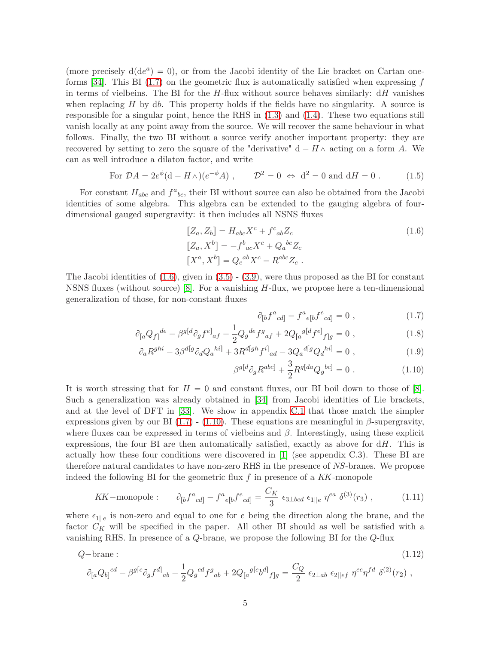(more precisely  $d(de^a) = 0$ ), or from the Jacobi identity of the Lie bracket on Cartan oneforms [\[34\]](#page-63-16). This BI [\(1.7\)](#page-4-0) on the geometric flux is automatically satisfied when expressing *f* in terms of vielbeins. The BI for the *H*-flux without source behaves similarly: d*H* vanishes when replacing *H* by d*b*. This property holds if the fields have no singularity. A source is responsible for a singular point, hence the RHS in [\(1.3\)](#page-3-0) and [\(1.4\)](#page-3-1). These two equations still vanish locally at any point away from the source. We will recover the same behaviour in what follows. Finally, the two BI without a source verify another important property: they are recovered by setting to zero the square of the "derivative"  $d - H \wedge$  acting on a form *A*. We can as well introduce a dilaton factor, and write

<span id="page-4-3"></span>For 
$$
\mathcal{D}A = 2e^{\phi}(\mathrm{d} - H \wedge)(e^{-\phi}A)
$$
,  $\mathcal{D}^2 = 0 \Leftrightarrow \mathrm{d}^2 = 0$  and  $\mathrm{d}H = 0$ . (1.5)

For constant  $H_{abc}$  and  $f^a{}_{bc}$ , their BI without source can also be obtained from the Jacobi identities of some algebra. This algebra can be extended to the gauging algebra of fourdimensional gauged supergravity: it then includes all NSNS fluxes

$$
[Z_a, Z_b] = H_{abc}X^c + f^c{}_{ab}Z_c
$$
  
\n
$$
[Z_a, X^b] = -f^b{}_{ac}X^c + Q_a{}^{bc}Z_c
$$
  
\n
$$
[X^a, X^b] = Q_c{}^{ab}X^c - R^{abc}Z_c
$$
.  
\n(1.6)

The Jacobi identities of  $(1.6)$ , given in  $(3.5)$  -  $(3.9)$ , were thus proposed as the BI for constant NSNS fluxes (without source) [\[8\]](#page-62-6). For a vanishing *H*-flux, we propose here a ten-dimensional generalization of those, for non-constant fluxes

<span id="page-4-7"></span><span id="page-4-6"></span><span id="page-4-2"></span><span id="page-4-1"></span><span id="page-4-0"></span>
$$
\partial_{[b}f^a{}_{cd]} - f^a{}_{e[b}f^e{}_{cd]} = 0 \;, \tag{1.7}
$$

$$
\partial_{[a}Q_{f]}^{de} - \beta^{g[d}\partial_{g}f^{e]}_{af} - \frac{1}{2}Q_{g}^{de}f^{g}{}_{af} + 2Q_{[a}^{g[d}f^{e]}_{f]g} = 0 , \qquad (1.8)
$$

$$
\partial_a R^{ghi} - 3\beta^{d[g} \partial_d Q_a^{hi]} + 3R^{d[gh} f^{i]}_{ad} - 3Q_a^{d[g} Q_d^{hi]} = 0 , \qquad (1.9)
$$

<span id="page-4-4"></span>
$$
\beta^{g[d}\partial_g R^{abc]} + \frac{3}{2} R^{g[da} Q_g{}^{bc]} = 0 . \qquad (1.10)
$$

It is worth stressing that for  $H = 0$  and constant fluxes, our BI boil down to those of [\[8\]](#page-62-6). Such a generalization was already obtained in [\[34\]](#page-63-16) from Jacobi identities of Lie brackets, and at the level of DFT in [\[33\]](#page-63-15). We show in appendix [C.1](#page-52-1) that those match the simpler expressions given by our BI  $(1.7)$  -  $(1.10)$ . These equations are meaningful in *β*-supergravity, where fluxes can be expressed in terms of vielbeins and *β*. Interestingly, using these explicit expressions, the four BI are then automatically satisfied, exactly as above for d*H*. This is actually how these four conditions were discovered in [\[1\]](#page-62-16) (see appendix C.3). These BI are therefore natural candidates to have non-zero RHS in the presence of *NS*-branes. We propose indeed the following BI for the geometric flux *f* in presence of a *KK*-monopole

<span id="page-4-5"></span>
$$
KK-\text{monopole}: \qquad \partial_{[b}f^a{}_{cd]} - f^a{}_{e[b}f^e{}_{cd]} = \frac{C_K}{3} \epsilon_{3 \perp bcd} \epsilon_{1||e} \eta^{ea} \delta^{(3)}(r_3) , \qquad (1.11)
$$

where  $\epsilon_{1||e}$  is non-zero and equal to one for *e* being the direction along the brane, and the factor *C<sup>K</sup>* will be specified in the paper. All other BI should as well be satisfied with a vanishing RHS. In presence of a *Q*-brane, we propose the following BI for the *Q*-flux

$$
Q-\text{brane}: \tag{1.12}
$$

$$
\partial_{[a}Q_{b]}{}^{cd} - \beta^{g[c}\partial_g f^{d]}{}_{ab} - \frac{1}{2}Q_g{}^{cd}f^g{}_{ab} + 2Q_{[a}{}^{g[c}b^{d]}{}_{f]g} = \frac{C_Q}{2} \epsilon_{2\perp ab} \epsilon_{2||ef} \eta^{ec}\eta^{fd} \delta^{(2)}(r_2) ,
$$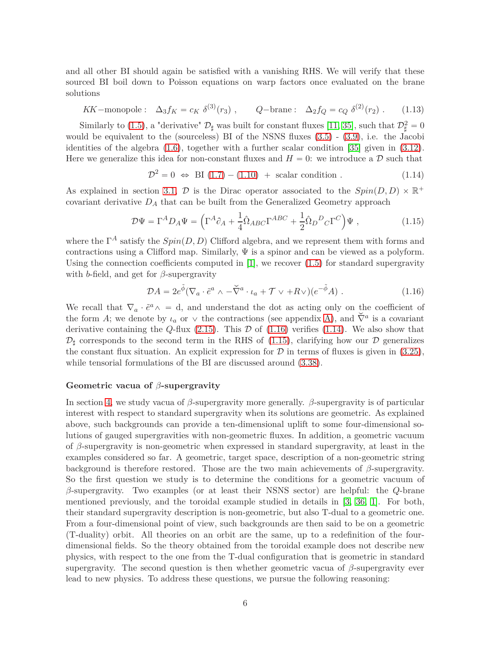and all other BI should again be satisfied with a vanishing RHS. We will verify that these sourced BI boil down to Poisson equations on warp factors once evaluated on the brane solutions

$$
KK-\text{monopole}: \ \ \Delta_3 f_K = c_K \ \delta^{(3)}(r_3) \ , \qquad Q-\text{brane}: \ \ \Delta_2 f_Q = c_Q \ \delta^{(2)}(r_2) \ . \tag{1.13}
$$

Similarly to [\(1.5\)](#page-4-3), a "derivative"  $\mathcal{D}_{\sharp}$  was built for constant fluxes [\[11,](#page-62-9) [35\]](#page-64-0), such that  $\mathcal{D}_{\sharp}^2 = 0$ would be equivalent to the (sourceless) BI of the NSNS fluxes [\(3.5\)](#page-13-0) - [\(3.9\)](#page-13-1), i.e. the Jacobi identities of the algebra [\(1.6\)](#page-4-1), together with a further scalar condition [\[35\]](#page-64-0) given in [\(3.12\)](#page-14-0). Here we generalize this idea for non-constant fluxes and  $H = 0$ : we introduce a  $\mathcal{D}$  such that

<span id="page-5-1"></span>
$$
\mathcal{D}^2 = 0 \Leftrightarrow \text{ BI } (1.7) - (1.10) + \text{ scalar condition .}
$$
 (1.14)

As explained in section [3.1,](#page-12-1)  $\mathcal D$  is the Dirac operator associated to the  $Spin(D, D) \times \mathbb R^+$ covariant derivative  $D_A$  that can be built from the Generalized Geometry approach

<span id="page-5-2"></span>
$$
\mathcal{D}\Psi = \Gamma^A D_A \Psi = \left(\Gamma^A \partial_A + \frac{1}{4} \hat{\Omega}_{ABC} \Gamma^{ABC} + \frac{1}{2} \hat{\Omega}_D{}^D{}_C \Gamma^C \right) \Psi , \qquad (1.15)
$$

where the  $\Gamma^A$  satisfy the  $Spin(D, D)$  Clifford algebra, and we represent them with forms and contractions using a Clifford map. Similarly,  $\Psi$  is a spinor and can be viewed as a polyform. Using the connection coefficients computed in  $[1]$ , we recover  $(1.5)$  for standard supergravity with *b*-field, and get for *β*-supergravity

<span id="page-5-0"></span>
$$
\mathcal{D}A = 2e^{\tilde{\phi}}(\nabla_a \cdot \tilde{e}^a \wedge -\check{\nabla}^a \cdot \iota_a + \mathcal{T} \vee + R \vee)(e^{-\tilde{\phi}}A) \ . \tag{1.16}
$$

We recall that  $\nabla_a \cdot \tilde{e}^a \wedge \alpha = d$ , and understand the dot as acting only on the coefficient of the form *A*; we denote by  $\iota_a$  or  $\vee$  the contractions (see appendix *A*), and  $\tilde{\nabla}^a$  is a covariant derivative containing the  $Q$ -flux [\(2.15\)](#page-8-0). This  $D$  of [\(1.16\)](#page-5-0) verifies [\(1.14\)](#page-5-1). We also show that  $\mathcal{D}_{\sharp}$  corresponds to the second term in the RHS of [\(1.15\)](#page-5-2), clarifying how our  $\mathcal{D}$  generalizes the constant flux situation. An explicit expression for  $D$  in terms of fluxes is given in [\(3.25\)](#page-17-0), while tensorial formulations of the BI are discussed around [\(3.38\)](#page-18-2).

### **Geometric vacua of** *β***-supergravity**

In section [4,](#page-29-0) we study vacua of *β*-supergravity more generally. *β*-supergravity is of particular interest with respect to standard supergravity when its solutions are geometric. As explained above, such backgrounds can provide a ten-dimensional uplift to some four-dimensional solutions of gauged supergravities with non-geometric fluxes. In addition, a geometric vacuum of *β*-supergravity is non-geometric when expressed in standard supergravity, at least in the examples considered so far. A geometric, target space, description of a non-geometric string background is therefore restored. Those are the two main achievements of *β*-supergravity. So the first question we study is to determine the conditions for a geometric vacuum of *β*-supergravity. Two examples (or at least their NSNS sector) are helpful: the *Q*-brane mentioned previously, and the toroidal example studied in details in [\[3,](#page-62-1) [36,](#page-64-1) [1\]](#page-62-16). For both, their standard supergravity description is non-geometric, but also T-dual to a geometric one. From a four-dimensional point of view, such backgrounds are then said to be on a geometric (T-duality) orbit. All theories on an orbit are the same, up to a redefinition of the fourdimensional fields. So the theory obtained from the toroidal example does not describe new physics, with respect to the one from the T-dual configuration that is geometric in standard supergravity. The second question is then whether geometric vacua of *β*-supergravity ever lead to new physics. To address these questions, we pursue the following reasoning: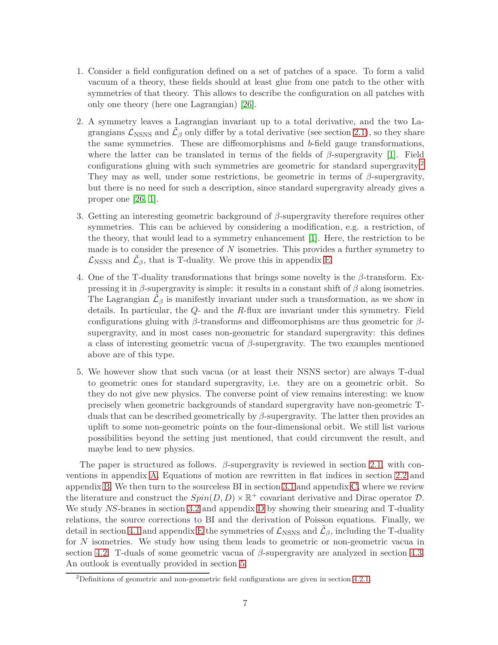- 1. Consider a field configuration defined on a set of patches of a space. To form a valid vacuum of a theory, these fields should at least glue from one patch to the other with symmetries of that theory. This allows to describe the configuration on all patches with only one theory (here one Lagrangian) [\[26\]](#page-63-8).
- 2. A symmetry leaves a Lagrangian invariant up to a total derivative, and the two Lagrangians  $\mathcal{L}_{\text{NSNS}}$  and  $\tilde{\mathcal{L}}_{\beta}$  only differ by a total derivative (see section [2.1\)](#page-7-1), so they share the same symmetries. These are diffeomorphisms and *b*-field gauge transformations, where the latter can be translated in terms of the fields of *β*-supergravity [\[1\]](#page-62-16). Field configurations gluing with such symmetries are geometric for standard supergravity.<sup>[2](#page-6-0)</sup> They may as well, under some restrictions, be geometric in terms of *β*-supergravity, but there is no need for such a description, since standard supergravity already gives a proper one [\[26,](#page-63-8) [1\]](#page-62-16).
- 3. Getting an interesting geometric background of *β*-supergravity therefore requires other symmetries. This can be achieved by considering a modification, e.g. a restriction, of the theory, that would lead to a symmetry enhancement [\[1\]](#page-62-16). Here, the restriction to be made is to consider the presence of *N* isometries. This provides a further symmetry to  $\mathcal{L}_{\text{NSNS}}$  and  $\tilde{\mathcal{L}}_{\beta}$ , that is T-duality. We prove this in appendix [E.](#page-58-0)
- 4. One of the T-duality transformations that brings some novelty is the *β*-transform. Expressing it in *β*-supergravity is simple: it results in a constant shift of *β* along isometries. The Lagrangian  $\tilde{\mathcal{L}}_{\beta}$  is manifestly invariant under such a transformation, as we show in details. In particular, the *Q*- and the *R*-flux are invariant under this symmetry. Field configurations gluing with *β*-transforms and diffeomorphisms are thus geometric for *β*supergravity, and in most cases non-geometric for standard supergravity: this defines a class of interesting geometric vacua of *β*-supergravity. The two examples mentioned above are of this type.
- 5. We however show that such vacua (or at least their NSNS sector) are always T-dual to geometric ones for standard supergravity, i.e. they are on a geometric orbit. So they do not give new physics. The converse point of view remains interesting: we know precisely when geometric backgrounds of standard supergravity have non-geometric Tduals that can be described geometrically by *β*-supergravity. The latter then provides an uplift to some non-geometric points on the four-dimensional orbit. We still list various possibilities beyond the setting just mentioned, that could circumvent the result, and maybe lead to new physics.

The paper is structured as follows. *β*-supergravity is reviewed in section [2.1,](#page-7-1) with conventions in appendix [A.](#page-46-0) Equations of motion are rewritten in flat indices in section [2.2](#page-9-0) and appendix [B.](#page-47-0) We then turn to the sourceless BI in section [3.1](#page-12-1) and appendix [C,](#page-52-0) where we review the literature and construct the  $Spin(D, D) \times \mathbb{R}^+$  covariant derivative and Dirac operator  $D$ . We study *NS*-branes in section [3.2](#page-18-0) and appendix [D](#page-55-0) by showing their smearing and T-duality relations, the source corrections to BI and the derivation of Poisson equations. Finally, we detail in section [4.1](#page-29-1) and appendix [E](#page-58-0) the symmetries of  $\mathcal{L}_{\mathrm{NSNS}}$  and  $\tilde{\mathcal{L}}_{\beta}$ , including the T-duality for *N* isometries. We study how using them leads to geometric or non-geometric vacua in section [4.2.](#page-34-0) T-duals of some geometric vacua of  $\beta$ -supergravity are analyzed in section [4.3.](#page-39-0) An outlook is eventually provided in section [5.](#page-44-0)

<span id="page-6-0"></span><sup>&</sup>lt;sup>2</sup>Definitions of geometric and non-geometric field configurations are given in section  $4.2.1$ .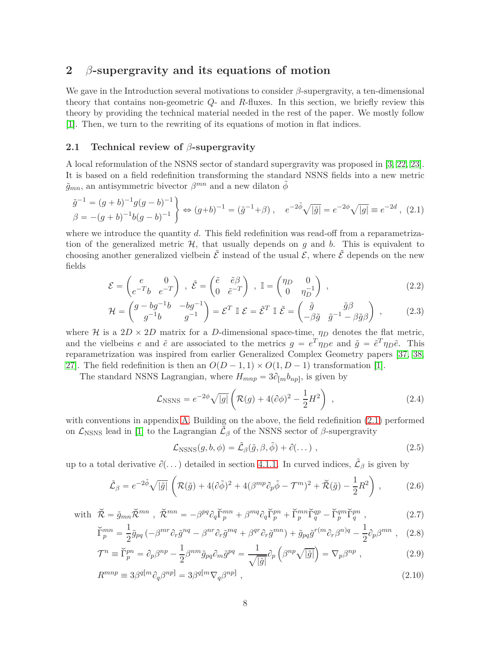### <span id="page-7-0"></span>**2** *β***-supergravity and its equations of motion**

We gave in the Introduction several motivations to consider *β*-supergravity, a ten-dimensional theory that contains non-geometric *Q*- and *R*-fluxes. In this section, we briefly review this theory by providing the technical material needed in the rest of the paper. We mostly follow [\[1\]](#page-62-16). Then, we turn to the rewriting of its equations of motion in flat indices.

### <span id="page-7-1"></span>**2.1 Technical review of** *β***-supergravity**

A local reformulation of the NSNS sector of standard supergravity was proposed in [\[3,](#page-62-1) [22,](#page-63-4) [23\]](#page-63-5). It is based on a field redefinition transforming the standard NSNS fields into a new metric  $\tilde{g}_{mn}$ , an antisymmetric bivector  $\beta^{mn}$  and a new dilaton  $\tilde{\phi}$ 

<span id="page-7-3"></span>
$$
\tilde{g}^{-1} = (g+b)^{-1}g(g-b)^{-1}
$$
\n
$$
\beta = -(g+b)^{-1}b(g-b)^{-1}
$$
\n
$$
\Leftrightarrow (g+b)^{-1} = (\tilde{g}^{-1}+\beta), \quad e^{-2\tilde{\phi}}\sqrt{|\tilde{g}|} = e^{-2\phi}\sqrt{|g|} \equiv e^{-2d}, \quad (2.1)
$$

where we introduce the quantity *d*. This field redefinition was read-off from a reparametrization of the generalized metric  $H$ , that usually depends on  $q$  and  $b$ . This is equivalent to choosing another generalized vielbein  $\tilde{\mathcal{E}}$  instead of the usual  $\mathcal{E}$ , where  $\tilde{\mathcal{E}}$  depends on the new fields

$$
\mathcal{E} = \begin{pmatrix} e & 0 \\ e^{-T}b & e^{-T} \end{pmatrix} , \ \tilde{\mathcal{E}} = \begin{pmatrix} \tilde{e} & \tilde{e}\beta \\ 0 & \tilde{e}^{-T} \end{pmatrix} , \ \mathbb{I} = \begin{pmatrix} \eta_D & 0 \\ 0 & \eta_D^{-1} \end{pmatrix} , \tag{2.2}
$$

$$
\mathcal{H} = \begin{pmatrix} g - bg^{-1}b & -bg^{-1} \\ g^{-1}b & g^{-1} \end{pmatrix} = \mathcal{E}^T \mathbb{I} \mathcal{E} = \tilde{\mathcal{E}}^T \mathbb{I} \tilde{\mathcal{E}} = \begin{pmatrix} \tilde{g} & \tilde{g}\beta \\ -\beta\tilde{g} & \tilde{g}^{-1} - \beta\tilde{g}\beta \end{pmatrix} , \quad (2.3)
$$

where H is a  $2D \times 2D$  matrix for a D-dimensional space-time,  $\eta_D$  denotes the flat metric, and the vielbeins *e* and  $\tilde{e}$  are associated to the metrics  $g = e^T \eta_D e$  and  $\tilde{g} = \tilde{e}^T \eta_D \tilde{e}$ . This reparametrization was inspired from earlier Generalized Complex Geometry papers [\[37,](#page-64-2) [38,](#page-64-3) [27\]](#page-63-9). The field redefinition is then an  $O(D-1,1) \times O(1,D-1)$  transformation [\[1\]](#page-62-16).

The standard NSNS Lagrangian, where  $H_{mnp} = 3\partial_{[m}b_{np]}$ , is given by

<span id="page-7-5"></span><span id="page-7-2"></span>
$$
\mathcal{L}_{\text{NSNS}} = e^{-2\phi} \sqrt{|g|} \left( \mathcal{R}(g) + 4(\partial \phi)^2 - \frac{1}{2} H^2 \right) , \qquad (2.4)
$$

with conventions in appendix [A.](#page-46-0) Building on the above, the field redefinition  $(2.1)$  performed on  $\mathcal{L}_{\text{NSNS}}$  lead in [\[1\]](#page-62-16) to the Lagrangian  $\tilde{\mathcal{L}}_{\beta}$  of the NSNS sector of  $\beta$ -supergravity

$$
\mathcal{L}_{\text{NSNS}}(g, b, \phi) = \tilde{\mathcal{L}}_{\beta}(\tilde{g}, \beta, \tilde{\phi}) + \partial(\dots) ,
$$
\n(2.5)

up to a total derivative  $\partial$ ...) detailed in section [4.1.1.](#page-29-2) In curved indices,  $\tilde{\mathcal{L}}_{\beta}$  is given by

<span id="page-7-4"></span>
$$
\tilde{\mathcal{L}}_{\beta} = e^{-2\tilde{\phi}} \sqrt{|\tilde{g}|} \left( \mathcal{R}(\tilde{g}) + 4(\partial \tilde{\phi})^2 + 4(\beta^{mp} \partial_p \tilde{\phi} - \mathcal{T}^m)^2 + \tilde{\mathcal{R}}(\tilde{g}) - \frac{1}{2} R^2 \right), \tag{2.6}
$$

with 
$$
\widetilde{\mathcal{R}} = \widetilde{g}_{mn}\widetilde{\mathcal{R}}^{mn} , \ \widetilde{\mathcal{R}}^{mn} = -\beta^{pq}\partial_q \widetilde{\Gamma}_p^{mn} + \beta^{mq}\partial_q \widetilde{\Gamma}_p^{pn} + \widetilde{\Gamma}_p^{mn}\widetilde{\Gamma}_q^{qp} - \widetilde{\Gamma}_p^{qm}\widetilde{\Gamma}_q^{pn} , \qquad (2.7)
$$

$$
\widetilde{\Gamma}_p^{mn} = \frac{1}{2} \widetilde{g}_{pq} \left( -\beta^{mr} \partial_r \widetilde{g}^{nq} - \beta^{nr} \partial_r \widetilde{g}^{mq} + \beta^{qr} \partial_r \widetilde{g}^{mn} \right) + \widetilde{g}_{pq} \widetilde{g}^{r(m} \partial_r \beta^{n)q} - \frac{1}{2} \partial_p \beta^{mn} , \quad (2.8)
$$

$$
\mathcal{T}^{n} \equiv \check{\Gamma}_{p}^{pn} = \partial_{p}\beta^{np} - \frac{1}{2}\beta^{nm}\tilde{g}_{pq}\partial_{m}\tilde{g}^{pq} = \frac{1}{\sqrt{|\tilde{g}|}}\partial_{p}\left(\beta^{np}\sqrt{|\tilde{g}|}\right) = \nabla_{p}\beta^{np} ,
$$
\n(2.9)

$$
R^{mnp} \equiv 3\beta^{q[m}\partial_q \beta^{np]} = 3\beta^{q[m}\nabla_q \beta^{np]}, \qquad (2.10)
$$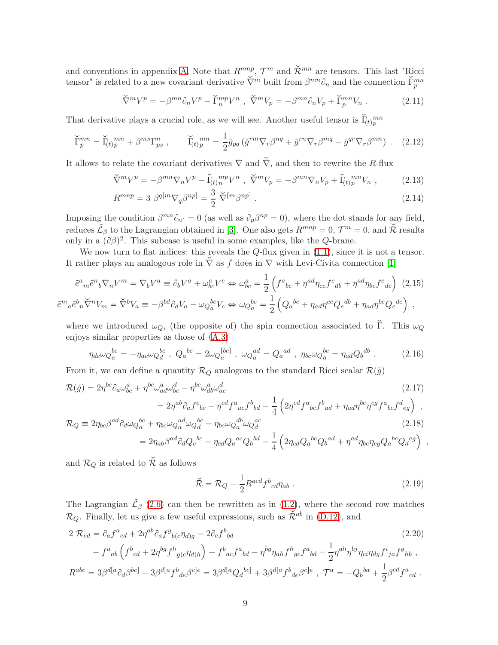and conventions in appendix [A.](#page-46-0) Note that  $R^{mnp}_{\sim}$ ,  $\mathcal{T}^m$  and  $\mathcal{R}^{mn}$  are tensors. This last "Ricci tensor" is related to a new covariant derivative  $\check{\nabla}^m$  built from  $\beta^{mn}\partial_n$  and the connection  $\check{\Gamma}_p^{mn}$ 

$$
\check{\nabla}^m V^p = -\beta^{mn}\partial_n V^p - \check{\Gamma}_n^{mp} V^n \ , \ \check{\nabla}^m V_p = -\beta^{mn}\partial_n V_p + \check{\Gamma}_p^{mn} V_n \ . \tag{2.11}
$$

That derivative plays a crucial role, as we will see. Another useful tensor is  $\tilde{\mathcal{I}}_{(t)p}^{mn}$ 

<span id="page-8-6"></span>
$$
\widetilde{\Gamma}_p^{mn} = \widetilde{\Gamma}_{(t)}_p^{mn} + \beta^{ms} \Gamma_{ps}^n , \qquad \widetilde{\Gamma}_{(t)}_p^{mn} = \frac{1}{2} \widetilde{g}_{pq} \left( \widetilde{g}^{rm} \nabla_r \beta^{nq} + \widetilde{g}^{rn} \nabla_r \beta^{mq} - \widetilde{g}^{qr} \nabla_r \beta^{mn} \right) . \tag{2.12}
$$

It allows to relate the covariant derivatives  $\nabla$  and  $\check{\nabla}$ , and then to rewrite the *R*-flux

$$
\check{\nabla}^m V^p = -\beta^{mn} \nabla_n V^p - \check{\mathbf{I}}_{(t)n}^m V^n , \; \check{\nabla}^m V_p = -\beta^{mn} \nabla_n V_p + \check{\mathbf{I}}_{(t)p}^m V_n , \qquad (2.13)
$$

<span id="page-8-5"></span>
$$
R^{mnp} = 3 \beta^{q[m} \nabla_q \beta^{np]} = \frac{3}{2} \tilde{\nabla}^{[m} \beta^{np]} . \qquad (2.14)
$$

Imposing the condition  $\beta^{mn}\partial_n \cdot = 0$  (as well as  $\partial_p\beta^{np} = 0$ ), where the dot stands for any field, reduces  $\tilde{\mathcal{L}}_{\beta}$  to the Lagrangian obtained in [\[3\]](#page-62-1). One also gets  $R^{mnp} = 0$ ,  $\mathcal{T}^m = 0$ , and  $\tilde{\mathcal{R}}$  results only in a  $(\partial \beta)^2$ . This subcase is useful in some examples, like the *Q*-brane.

We now turn to flat indices: this reveals the *Q*-flux given in  $(1.1)$ , since it is not a tensor. It rather plays an analogous role in  $\tilde{\nabla}$  as *f* does in  $\nabla$  with Levi-Civita connection [\[1\]](#page-62-16)

$$
\tilde{e}^a{}_m \tilde{e}^n{}_b \nabla_n V^m = \nabla_b V^a \equiv \partial_b V^a + \omega_{bc}^a V^c \Leftrightarrow \omega_{bc}^a = \frac{1}{2} \left( f^a{}_{bc} + \eta^{ad} \eta_{ce} f^e{}_{db} + \eta^{ad} \eta_{be} f^e{}_{dc} \right) (2.15)
$$
  
\n
$$
\tilde{e}^m{}_a \tilde{e}^b{}_n \tilde{\nabla}^n V_m = \tilde{\nabla}^b V_a \equiv -\beta^{bd} \partial_d V_a - \omega_{Q_a}^b {}^c V_c \Leftrightarrow \omega_{Q_a}^b{}^c = \frac{1}{2} \left( Q_a{}^b{}^c + \eta_{ad} \eta^{ce} Q_e{}^{db} + \eta_{ad} \eta^{be} Q_e{}^{dc} \right) ,
$$

where we introduced  $\omega_Q$ , (the opposite of) the spin connection associated to  $\check{\Gamma}$ . This  $\omega_Q$ enjoys similar properties as those of [\(A.3\)](#page-46-2)

$$
\eta_{dc}\omega_Q{}^{bc}_{a} = -\eta_{ac}\omega_Q{}^{bc}_{d} , \ Q_a{}^{bc} = 2\omega_Q{}^{[bc]}_{a} , \ \omega_Q{}^{ad}_{a} = Q_a{}^{ad} , \ \eta_{bc}\omega_Q{}^{bc}_{a} = \eta_{ad}Q_b{}^{db} . \tag{2.16}
$$

From it, we can define a quantity  $\mathcal{R}_Q$  analogous to the standard Ricci scalar  $\mathcal{R}(\tilde{g})$ 

$$
\mathcal{R}(\tilde{g}) = 2\eta^{bc}\partial_a\omega_{bc}^a + \eta^{bc}\omega_{ad}^a\omega_{bc}^d - \eta^{bc}\omega_{db}^a\omega_{ac}^d
$$
\n(2.17)

<span id="page-8-0"></span>
$$
=2\eta^{ab}\partial_a f^c{}_{bc}-\eta^{cd}f^a{}_{ac}f^b{}_{bd}-\frac{1}{4}\left(2\eta^{cd}f^a{}_{bc}f^b{}_{ad}+\eta_{ad}\eta^{be}\eta^{cg}f^a{}_{bc}f^d{}_{eg}\right) ,
$$

$$
\mathcal{R}_Q \equiv 2\eta_{bc}\beta^{ad}\partial_d\omega_Q_a^{bc} + \eta_{bc}\omega_Q_a^{ad}\omega_Q_c^{bc} - \eta_{bc}\omega_Q_a^{db}\omega_Q_a^{ac}
$$
\n
$$
= 2\eta_{ab}\beta^{ad}\partial_dQ_c^{bc} - \eta_{cd}Q_a^{ac}Q_b^{bd} - \frac{1}{4}\left(2\eta_{cd}Q_a^{bc}Q_b^{ad} + \eta^{ad}\eta_{be}\eta_{cg}Q_a^{bc}Q_d^{eg}\right) ,
$$
\n(2.18)

and  $\mathcal{R}_Q$  is related to  $\widecheck{\mathcal{R}}$  as follows

<span id="page-8-4"></span><span id="page-8-3"></span><span id="page-8-2"></span><span id="page-8-1"></span>
$$
\breve{\mathcal{R}} = \mathcal{R}_Q - \frac{1}{2} R^{acd} f^b{}_{cd} \eta_{ab} \tag{2.19}
$$

The Lagrangian  $\tilde{\mathcal{L}}_{\beta}$  [\(2.6\)](#page-7-4) can then be rewritten as in [\(1.2\)](#page-2-3), where the second row matches  $\mathcal{R}_Q$ . Finally, let us give a few useful expressions, such as  $\check{\mathcal{R}}^{ab}$  in [\(D.12\)](#page-57-1), and

$$
2 \mathcal{R}_{cd} = \partial_a f^a{}_{cd} + 2\eta^{ab}\partial_a f^g{}_{b(c}\eta_{d)g} - 2\partial_c f^b{}_{bd}
$$
\n
$$
+ f^a{}_{ab} \left( f^b{}_{cd} + 2\eta^{bg} f^h{}_{g(c}\eta_{d)h} \right) - f^b{}_{ac} f^a{}_{bd} - \eta^{bg} \eta_{ah} f^h{}_{gc} f^a{}_{bd} - \frac{1}{2} \eta^{ah} \eta^{bj} \eta_{ci} \eta_{dg} f^i{}_{ja} f^g{}_{hb} ,
$$
\n
$$
R^{abc} = 3\beta^{d[a} \partial_d \beta^{bc]} - 3\beta^{d[a} f^b{}_{de} \beta^{c]e} = 3\beta^{d[a} Q_d{}^{bc]} + 3\beta^{d[a} f^b{}_{de} \beta^{c]e} , \mathcal{T}^a = -Q_b{}^{ba} + \frac{1}{2}\beta^{cd} f^a{}_{cd} .
$$
\n(2.20)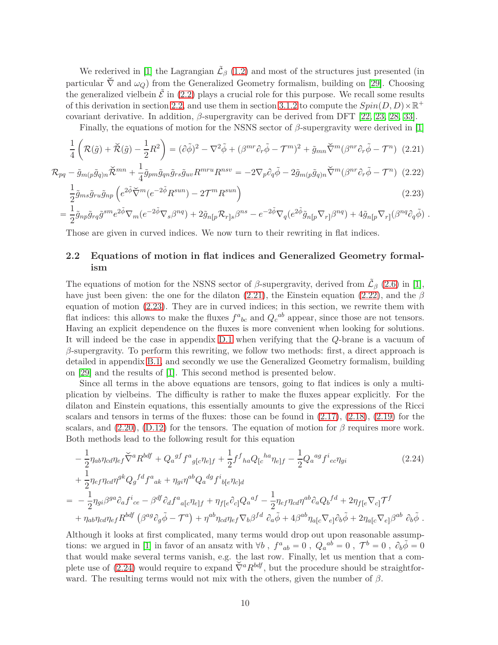We rederived in [\[1\]](#page-62-16) the Lagrangian  $\tilde{\mathcal{L}}_{\beta}$  [\(1.2\)](#page-2-3) and most of the structures just presented (in particular  $\tilde{\nabla}$  and  $\omega_Q$ ) from the Generalized Geometry formalism, building on [\[29\]](#page-63-11). Choosing the generalized vielbein  $\tilde{\mathcal{E}}$  in [\(2.2\)](#page-7-5) plays a crucial role for this purpose. We recall some results of this derivation in section [2.2,](#page-9-0) and use them in section [3.1.2](#page-15-0) to compute the  $Spin(D, D) \times \mathbb{R}^+$ covariant derivative. In addition, *β*-supergravity can be derived from DFT [\[22,](#page-63-4) [23,](#page-63-5) [28,](#page-63-10) [33\]](#page-63-15).

<span id="page-9-4"></span><span id="page-9-3"></span><span id="page-9-2"></span>Finally, the equations of motion for the NSNS sector of *β*-supergravity were derived in [\[1\]](#page-62-16)

$$
\frac{1}{4}\left(\mathcal{R}(\tilde{g})+\check{\mathcal{R}}(\tilde{g})-\frac{1}{2}R^2\right)=(\partial\tilde{\phi})^2-\nabla^2\tilde{\phi}+(\beta^{mr}\partial_r\tilde{\phi}-\mathcal{T}^m)^2+\tilde{g}_{mn}\check{\nabla}^m(\beta^{nr}\partial_r\tilde{\phi}-\mathcal{T}^n) (2.21)
$$

$$
\mathcal{R}_{pq} - \tilde{g}_{m(p}\tilde{g}_{q)n}\tilde{\mathcal{K}}^{mn} + \frac{1}{4}\tilde{g}_{pm}\tilde{g}_{qn}\tilde{g}_{rs}\tilde{g}_{uv}R^{mru}R^{nsv} = -2\nabla_p\partial_q\tilde{\phi} - 2\tilde{g}_{m(p}\tilde{g}_{q)n}\tilde{\nabla}^m(\beta^{nr}\partial_r\tilde{\phi} - \mathcal{T}^n) \tag{2.22}
$$

$$
\frac{1}{2}\tilde{g}_{ms}\tilde{g}_{ru}\tilde{g}_{np}\left(e^{2\tilde{\phi}}\check{\nabla}^m(e^{-2\tilde{\phi}}R^{sun}) - 2\mathcal{T}^mR^{sun}\right) \tag{2.23}
$$

$$
= \frac{1}{2}\tilde{g}_{np}\tilde{g}_{rq}\tilde{g}^{sm}e^{2\tilde{\phi}}\nabla_m(e^{-2\tilde{\phi}}\nabla_s\beta^{nq}) + 2\tilde{g}_{n[p}\mathcal{R}_{r]s}\beta^{ns} - e^{-2\tilde{\phi}}\nabla_q(e^{2\tilde{\phi}}\tilde{g}_{n[p}\nabla_{r]}\beta^{nq}) + 4\tilde{g}_{n[p}\nabla_{r]}(\beta^{nq}\partial_q\tilde{\phi}) .
$$

<span id="page-9-0"></span>Those are given in curved indices. We now turn to their rewriting in flat indices.

### **2.2 Equations of motion in flat indices and Generalized Geometry formalism**

The equations of motion for the NSNS sector of  $\beta$ -supergravity, derived from  $\tilde{\mathcal{L}}_{\beta}$  [\(2.6\)](#page-7-4) in [\[1\]](#page-62-16), have just been given: the one for the dilaton [\(2.21\)](#page-9-2), the Einstein equation [\(2.22\)](#page-9-3), and the *β* equation of motion [\(2.23\)](#page-9-4). They are in curved indices; in this section, we rewrite them with flat indices: this allows to make the fluxes  $f^a{}_{bc}$  and  $Q_c{}^{ab}$  appear, since those are not tensors. Having an explicit dependence on the fluxes is more convenient when looking for solutions. It will indeed be the case in appendix [D.1](#page-55-1) when verifying that the *Q*-brane is a vacuum of *β*-supergravity. To perform this rewriting, we follow two methods: first, a direct approach is detailed in appendix [B.1,](#page-47-1) and secondly we use the Generalized Geometry formalism, building on [\[29\]](#page-63-11) and the results of [\[1\]](#page-62-16). This second method is presented below.

Since all terms in the above equations are tensors, going to flat indices is only a multiplication by vielbeins. The difficulty is rather to make the fluxes appear explicitly. For the dilaton and Einstein equations, this essentially amounts to give the expressions of the Ricci scalars and tensors in terms of the fluxes: those can be found in [\(2.17\)](#page-8-1), [\(2.18\)](#page-8-2), [\(2.19\)](#page-8-3) for the scalars, and  $(2.20)$ ,  $(D.12)$  for the tensors. The equation of motion for  $\beta$  requires more work. Both methods lead to the following result for this equation

<span id="page-9-1"></span>
$$
-\frac{1}{2}\eta_{ab}\eta_{cd}\eta_{ef}\breve{\nabla}^{a}R^{bdf} + Q_{a}{}^{gf}f^{a}{}_{g[c}\eta_{e]f} + \frac{1}{2}f^{f}{}_{ha}Q_{[c}{}^{ha}\eta_{e]f} - \frac{1}{2}Q_{a}{}^{ag}f^{i}{}_{ec}\eta_{gi}
$$
\n
$$
+\frac{1}{2}\eta_{ef}\eta_{cd}\eta^{gk}Q_{g}{}^{fd}f^{a}{}_{ak} + \eta_{gi}\eta^{ab}Q_{a}{}^{dg}f^{i}{}_{b[e}\eta_{c]d}
$$
\n
$$
=-\frac{1}{2}\eta_{gi}\beta^{ga}\partial_{a}f^{i}{}_{ce} - \beta^{df}\partial_{d}f^{a}{}_{a[c}\eta_{e]f} + \eta_{f[e}\partial_{c]}Q_{a}{}^{af} - \frac{1}{2}\eta_{ef}\eta_{cd}\eta^{ab}\partial_{a}Q_{b}{}^{fd} + 2\eta_{f[e}\nabla_{c]}\mathcal{T}^{f}
$$
\n
$$
+\eta_{ab}\eta_{cd}\eta_{ef}R^{bdf}(\beta^{ag}\partial_{g}\tilde{\phi} - \mathcal{T}^{a}) + \eta^{ab}\eta_{cd}\eta_{ef}\nabla_{b}\beta^{fd} \partial_{a}\tilde{\phi} + 4\beta^{ab}\eta_{a[c}\nabla_{e]}\partial_{b}\tilde{\phi} + 2\eta_{a[c}\nabla_{e]}\beta^{ab} \partial_{b}\tilde{\phi}.
$$
\n(2.24)

Although it looks at first complicated, many terms would drop out upon reasonable assump-tions: we argued in [\[1\]](#page-62-16) in favor of an ansatz with  $\forall b$ ,  $f^a{}_{ab} = 0$ ,  $Q_a{}^{ab} = 0$ ,  $\mathcal{T}^b = 0$ ,  $\partial_b \tilde{\phi} = 0$ that would make several terms vanish, e.g. the last row. Finally, let us mention that a com-plete use of [\(2.24\)](#page-9-1) would require to expand  $\check{\nabla}^a R^{bdf}$ , but the procedure should be straightforward. The resulting terms would not mix with the others, given the number of *β*.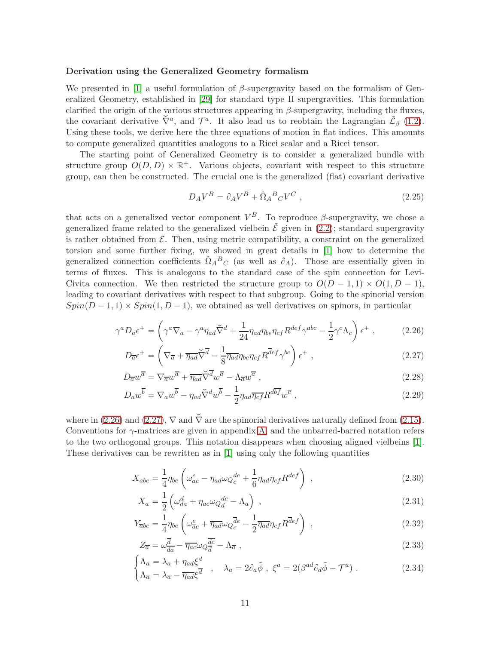#### **Derivation using the Generalized Geometry formalism**

We presented in [\[1\]](#page-62-16) a useful formulation of *β*-supergravity based on the formalism of Generalized Geometry, established in [\[29\]](#page-63-11) for standard type II supergravities. This formulation clarified the origin of the various structures appearing in *β*-supergravity, including the fluxes, the covariant derivative  $\check{\nabla}^a$ , and  $\mathcal{T}^a$ . It also lead us to reobtain the Lagrangian  $\tilde{\mathcal{L}}_{\beta}$  [\(1.2\)](#page-2-3). Using these tools, we derive here the three equations of motion in flat indices. This amounts to compute generalized quantities analogous to a Ricci scalar and a Ricci tensor.

The starting point of Generalized Geometry is to consider a generalized bundle with structure group  $O(D, D) \times \mathbb{R}^+$ . Various objects, covariant with respect to this structure group, can then be constructed. The crucial one is the generalized (flat) covariant derivative

<span id="page-10-2"></span><span id="page-10-1"></span><span id="page-10-0"></span>
$$
D_A V^B = \partial_A V^B + \hat{\Omega}_A{}^B{}_C V^C \,, \tag{2.25}
$$

that acts on a generalized vector component  $V^B$ . To reproduce  $\beta$ -supergravity, we chose a generalized frame related to the generalized vielbein  $\tilde{\mathcal{E}}$  given in [\(2.2\)](#page-7-5); standard supergravity is rather obtained from  $\mathcal{E}$ . Then, using metric compatibility, a constraint on the generalized torsion and some further fixing, we showed in great details in [\[1\]](#page-62-16) how to determine the generalized connection coefficients  $\hat{\Omega}_A{}^B{}_C$  (as well as  $\partial_A$ ). Those are essentially given in terms of fluxes. This is analogous to the standard case of the spin connection for Levi-Civita connection. We then restricted the structure group to  $O(D-1,1) \times O(1,D-1)$ , leading to covariant derivatives with respect to that subgroup. Going to the spinorial version  $Spin(D-1,1)\times Spin(1,D-1)$ , we obtained as well derivatives on spinors, in particular

$$
\gamma^a D_a \epsilon^+ = \left( \gamma^a \nabla_a - \gamma^a \eta_{ad} \widetilde{\nabla}^d + \frac{1}{24} \eta_{ad} \eta_{be} \eta_{cf} R^{def} \gamma^{abc} - \frac{1}{2} \gamma^c \Lambda_c \right) \epsilon^+ \;, \tag{2.26}
$$

$$
D_{\overline{a}}\epsilon^{+} = \left(\nabla_{\overline{a}} + \overline{\eta_{ad}}\breve{\nabla}^{\overline{d}} - \frac{1}{8}\overline{\eta_{ad}}\eta_{be}\eta_{cf}R^{\overline{d}ef}\gamma^{bc}\right)\epsilon^{+} ,\qquad (2.27)
$$

$$
D_{\overline{a}}w^{\overline{a}} = \nabla_{\overline{a}}w^{\overline{a}} + \overline{\eta_{ad}}\overline{\nabla}^{\overline{d}}w^{\overline{a}} - \Lambda_{\overline{a}}w^{\overline{a}} , \qquad (2.28)
$$

$$
D_a w^{\overline{b}} = \nabla_a w^{\overline{b}} - \eta_{ad} \breve{\nabla}^d w^{\overline{b}} - \frac{1}{2} \eta_{ad} \overline{\eta_{cf}} R^{d\overline{b}f} w^{\overline{c}} \,, \tag{2.29}
$$

where in [\(2.26\)](#page-10-0) and [\(2.27\)](#page-10-1),  $\nabla$  and  $\breve{\nabla}$  are the spinorial derivatives naturally defined from [\(2.15\)](#page-8-0). Conventions for *γ*-matrices are given in appendix [A,](#page-46-0) and the unbarred-barred notation refers to the two orthogonal groups. This notation disappears when choosing aligned vielbeins [\[1\]](#page-62-16). These derivatives can be rewritten as in [\[1\]](#page-62-16) using only the following quantities

$$
X_{abc} = \frac{1}{4} \eta_{be} \left( \omega_{ac}^e - \eta_{ad} \omega_{Q_c}^{de} + \frac{1}{6} \eta_{ad} \eta_{cf} R^{def} \right) , \qquad (2.30)
$$

$$
X_a = \frac{1}{2} \left( \omega_{da}^d + \eta_{ac} \omega_Q_{d}^{dc} - \Lambda_a \right) , \qquad (2.31)
$$

$$
Y_{\overline{a}bc} = \frac{1}{4} \eta_{be} \left( \omega_{ac}^e + \overline{\eta_{ad}} \omega_Q \overline{d}^e - \frac{1}{2} \overline{\eta_{ad}} \eta_{cf} R^{\overline{d}ef} \right) , \qquad (2.32)
$$

$$
Z_{\overline{a}} = \omega_{\overline{da}}^{\overline{d}} - \overline{\eta_{ac}} \omega_Q \overline{\frac{dc}{d}} - \Lambda_{\overline{a}} \,,\tag{2.33}
$$

$$
\begin{cases}\n\Lambda_a = \lambda_a + \eta_{ad}\xi^d \\
\Lambda_{\overline{a}} = \lambda_{\overline{a}} - \overline{\eta_{ad}}\xi^d\n\end{cases},\n\quad\n\lambda_a = 2\partial_a\tilde{\phi},\n\xi^a = 2(\beta^{ad}\partial_d\tilde{\phi} - \mathcal{T}^a) .
$$
\n(2.34)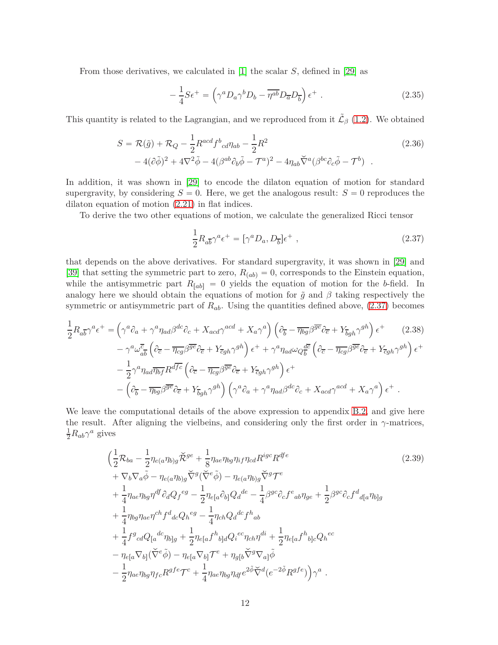From those derivatives, we calculated in [\[1\]](#page-62-16) the scalar *S*, defined in [\[29\]](#page-63-11) as

$$
-\frac{1}{4}S\epsilon^+ = \left(\gamma^a D_a \gamma^b D_b - \overline{\eta^{ab}} D_{\overline{a}} D_{\overline{b}}\right)\epsilon^+ \ . \tag{2.35}
$$

This quantity is related to the Lagrangian, and we reproduced from it  $\tilde{\mathcal{L}}_{\beta}$  [\(1.2\)](#page-2-3). We obtained

$$
S = \mathcal{R}(\tilde{g}) + \mathcal{R}_{Q} - \frac{1}{2} R^{acd} f^b{}_{cd} \eta_{ab} - \frac{1}{2} R^2
$$
  
-4( $\partial \tilde{\phi}$ )<sup>2</sup> + 4 $\nabla^2 \tilde{\phi}$  - 4( $\beta^{ab} \partial_b \tilde{\phi} - \mathcal{T}^a$ )<sup>2</sup> - 4 $\eta_{ab} \tilde{\nabla}^a (\beta^{bc} \partial_c \tilde{\phi} - \mathcal{T}^b)$  (2.36)

In addition, it was shown in [\[29\]](#page-63-11) to encode the dilaton equation of motion for standard supergravity, by considering  $S = 0$ . Here, we get the analogous result:  $S = 0$  reproduces the dilaton equation of motion [\(2.21\)](#page-9-2) in flat indices.

To derive the two other equations of motion, we calculate the generalized Ricci tensor

<span id="page-11-2"></span><span id="page-11-0"></span>
$$
\frac{1}{2}R_{a\overline{b}}\gamma^a\epsilon^+ = [\gamma^a D_a, D_{\overline{b}}]\epsilon^+ \ , \tag{2.37}
$$

that depends on the above derivatives. For standard supergravity, it was shown in [\[29\]](#page-63-11) and [\[39\]](#page-64-4) that setting the symmetric part to zero,  $R_{(ab)} = 0$ , corresponds to the Einstein equation, while the antisymmetric part  $R_{[ab]} = 0$  yields the equation of motion for the *b*-field. In analogy here we should obtain the equations of motion for  $\tilde{g}$  and  $\beta$  taking respectively the symmetric or antisymmetric part of *Rab*. Using the quantities defined above, [\(2.37\)](#page-11-0) becomes

$$
\frac{1}{2}R_{a\overline{b}}\gamma^{a}\epsilon^{+} = \left(\gamma^{a}\partial_{a} + \gamma^{a}\eta_{ad}\beta^{dc}\partial_{c} + X_{acd}\gamma^{acd} + X_{a}\gamma^{a}\right)\left(\partial_{\overline{b}} - \overline{\eta_{bg}}\beta^{\overline{ge}}\partial_{\overline{e}} + Y_{\overline{bg}}\gamma^{gh}\right)\epsilon^{+} \qquad (2.38)
$$
\n
$$
- \gamma^{a}\omega_{a\overline{b}}^{\overline{c}}\left(\partial_{\overline{c}} - \overline{\eta_{cg}}\beta^{\overline{ge}}\partial_{\overline{e}} + Y_{\overline{c}gh}\gamma^{gh}\right)\epsilon^{+} + \gamma^{a}\eta_{ad}\omega_{Q}\frac{d\overline{c}}{\overline{b}}\left(\partial_{\overline{c}} - \overline{\eta_{cg}}\beta^{\overline{ge}}\partial_{\overline{e}} + Y_{\overline{c}gh}\gamma^{gh}\right)\epsilon^{+}
$$
\n
$$
- \frac{1}{2}\gamma^{a}\eta_{ad}\overline{\eta_{bf}}R^{d\overline{fc}}\left(\partial_{\overline{c}} - \overline{\eta_{cg}}\beta^{\overline{ge}}\partial_{\overline{e}} + Y_{\overline{c}gh}\gamma^{gh}\right)\epsilon^{+}
$$
\n
$$
- \left(\partial_{\overline{b}} - \overline{\eta_{bg}}\beta^{\overline{ge}}\partial_{\overline{e}} + Y_{\overline{b}gh}\gamma^{gh}\right)\left(\gamma^{a}\partial_{a} + \gamma^{a}\eta_{ad}\beta^{dc}\partial_{c} + X_{acd}\gamma^{acd} + X_{a}\gamma^{a}\right)\epsilon^{+}.
$$

We leave the computational details of the above expression to appendix [B.2,](#page-49-0) and give here the result. After aligning the vielbeins, and considering only the first order in  $\gamma$ -matrices,  $\frac{1}{2}R_{ab}\gamma^a$  gives

<span id="page-11-1"></span>
$$
\begin{split}\n&\left(\frac{1}{2}\mathcal{R}_{ba} - \frac{1}{2}\eta_{e(a}\eta_{b)g}\tilde{\mathcal{R}}^{ge} + \frac{1}{8}\eta_{ae}\eta_{bg}\eta_{if}\eta_{cd}R^{igc}R^{dfe}\right. \\
&\left. + \nabla_{b}\nabla_{a}\tilde{\phi} - \eta_{e(a}\eta_{b)g}\nabla^{g}(\tilde{\nabla}^{e}\tilde{\phi}) - \eta_{e(a}\eta_{b)g}\tilde{\nabla}^{g}\mathcal{T}^{e}\right. \\
&\left. + \frac{1}{4}\eta_{ae}\eta_{bg}\eta^{df}\partial_{d}Q_{f}^{eg} - \frac{1}{2}\eta_{e[a}\partial_{b]}Q_{d}^{de} - \frac{1}{4}\beta^{gc}\partial_{c}f^{e}_{ab}\eta_{ge} + \frac{1}{2}\beta^{gc}\partial_{c}f^{d}_{d[a}\eta_{b]g}\right. \\
&\left. + \frac{1}{4}\eta_{bg}\eta_{ae}\eta^{ch}f^{d}_{dc}Q_{h}^{eg} - \frac{1}{4}\eta_{ch}Q_{d}^{dc}f^{h}_{ab}\right. \\
&\left. + \frac{1}{4}f^{g}_{cd}Q_{[a}^{dc}\eta_{b]g} + \frac{1}{2}\eta_{e[a}f^{h}_{b]d}Q_{i}^{ec}\eta_{ch}\eta^{di} + \frac{1}{2}\eta_{e[a}f^{h}_{b]c}Q_{h}^{ec}\right. \\
&\left. - \eta_{e[a}\nabla_{b]}(\tilde{\nabla}^{e}\tilde{\phi}) - \eta_{e[a}\nabla_{b]}T^{e} + \eta_{g[b}\tilde{\nabla}^{g}\nabla_{a]}\tilde{\phi}\right. \\
&\left. - \frac{1}{2}\eta_{ae}\eta_{bg}\eta_{fc}R^{gf}eT^{c} + \frac{1}{4}\eta_{ae}\eta_{bg}\eta_{df}e^{2\tilde{\phi}}\tilde{\nabla}^{d}(e^{-2\tilde{\phi}}R^{gf}e)\right)\gamma^{a}.\n\end{split}
$$
\n(2.39)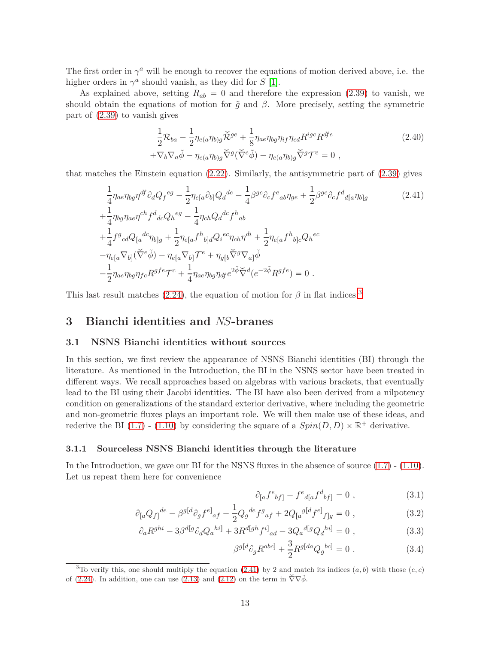The first order in  $\gamma^a$  will be enough to recover the equations of motion derived above, i.e. the higher orders in  $\gamma^a$  should vanish, as they did for *S* [\[1\]](#page-62-16).

As explained above, setting  $R_{ab} = 0$  and therefore the expression [\(2.39\)](#page-11-1) to vanish, we should obtain the equations of motion for  $\tilde{g}$  and  $\beta$ . More precisely, setting the symmetric part of [\(2.39\)](#page-11-1) to vanish gives

<span id="page-12-4"></span>
$$
\frac{1}{2}\mathcal{R}_{ba} - \frac{1}{2}\eta_{e(a}\eta_{b)g}\tilde{\mathcal{R}}^{ge} + \frac{1}{8}\eta_{ae}\eta_{bg}\eta_{if}\eta_{cd}R^{igc}R^{dfe} \n+ \nabla_b\nabla_a\tilde{\phi} - \eta_{e(a}\eta_{b)g}\tilde{\nabla}^g(\tilde{\nabla}^e\tilde{\phi}) - \eta_{e(a}\eta_{b)g}\tilde{\nabla}^g\mathcal{T}^e = 0,
$$
\n(2.40)

that matches the Einstein equation [\(2.22\)](#page-9-3). Similarly, the antisymmetric part of [\(2.39\)](#page-11-1) gives

$$
\frac{1}{4}\eta_{ae}\eta_{bg}\eta^{df}\partial_dQ_f^{eg} - \frac{1}{2}\eta_{e[a}\partial_{b]}Q_d^{de} - \frac{1}{4}\beta^{gc}\partial_c f^e_{ab}\eta_{ge} + \frac{1}{2}\beta^{gc}\partial_c f^d_{d[a}\eta_{b]g} \n+ \frac{1}{4}\eta_{bg}\eta_{ae}\eta^{ch}f^d_{dc}Q_h^{eg} - \frac{1}{4}\eta_{ch}Q_d^{dc}f^h_{ab} \n+ \frac{1}{4}f^g_{cd}Q_{[a}^{dc}\eta_{b]g} + \frac{1}{2}\eta_{e[a}f^h_{b]d}Q_i^{ec}\eta_{ch}\eta^{di} + \frac{1}{2}\eta_{e[a}f^h_{b]c}Q_h^{ec} \n- \eta_{e[a}\nabla_{b]}(\breve{\nabla}^e\tilde{\phi}) - \eta_{e[a}\nabla_{b]} \mathcal{T}^e + \eta_{g[b}\breve{\nabla}^g\nabla_{a]}\tilde{\phi} \n- \frac{1}{2}\eta_{ae}\eta_{bg}\eta_{fc}R^{gf}e\mathcal{T}^c + \frac{1}{4}\eta_{ae}\eta_{bg}\eta_{df}e^{2\tilde{\phi}}\breve{\nabla}^d(e^{-2\tilde{\phi}}R^{gf}e) = 0.
$$
\n(2.41)

This last result matches [\(2.24\)](#page-9-1), the equation of motion for  $\beta$  in flat indices.<sup>[3](#page-12-3)</sup>

### <span id="page-12-1"></span><span id="page-12-0"></span>**3 Bianchi identities and** *NS***-branes**

### **3.1 NSNS Bianchi identities without sources**

In this section, we first review the appearance of NSNS Bianchi identities (BI) through the literature. As mentioned in the Introduction, the BI in the NSNS sector have been treated in different ways. We recall approaches based on algebras with various brackets, that eventually lead to the BI using their Jacobi identities. The BI have also been derived from a nilpotency condition on generalizations of the standard exterior derivative, where including the geometric and non-geometric fluxes plays an important role. We will then make use of these ideas, and rederive the BI [\(1.7\)](#page-4-0) - [\(1.10\)](#page-4-2) by considering the square of a  $Spin(D, D) \times \mathbb{R}^+$  derivative.

### <span id="page-12-2"></span>**3.1.1 Sourceless NSNS Bianchi identities through the literature**

In the Introduction, we gave our BI for the NSNS fluxes in the absence of source [\(1.7\)](#page-4-0) - [\(1.10\)](#page-4-2). Let us repeat them here for convenience

<span id="page-12-8"></span><span id="page-12-7"></span><span id="page-12-6"></span><span id="page-12-5"></span>
$$
\partial_{[a} f^e{}_{bf}] - f^e{}_{d[a} f^d{}_{bf}] = 0 \;, \tag{3.1}
$$

$$
\partial_{[a}Q_{f]}^{de} - \beta^{g[d}\partial_{g}f^{e]}_{af} - \frac{1}{2}Q_{g}^{de}f^{g}{}_{af} + 2Q_{[a}^{g[d}f^{e]}_{f]g} = 0 , \qquad (3.2)
$$

$$
\partial_a R^{ghi} - 3\beta^{d[g} \partial_d Q_a^{hi]} + 3R^{d[gh} f^{i]}_{ad} - 3Q_a^{d[g} Q_d^{hi]} = 0 \tag{3.3}
$$

$$
\beta^{g[d}\partial_g R^{abc]} + \frac{3}{2} R^{g[da} Q_g{}^{bc]} = 0 . \qquad (3.4)
$$

<span id="page-12-3"></span> $3$ To verify this, one should multiply the equation [\(2.41\)](#page-12-4) by 2 and match its indices  $(a, b)$  with those  $(e, c)$ of [\(2.24\)](#page-9-1). In addition, one can use [\(2.13\)](#page-8-5) and [\(2.12\)](#page-8-6) on the term in  $\check{\nabla}\nabla\tilde{\phi}$ .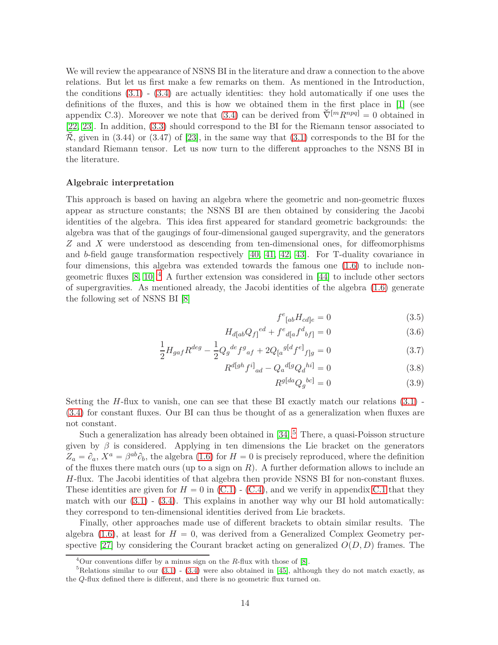We will review the appearance of NSNS BI in the literature and draw a connection to the above relations. But let us first make a few remarks on them. As mentioned in the Introduction, the conditions  $(3.1)$  -  $(3.4)$  are actually identities: they hold automatically if one uses the definitions of the fluxes, and this is how we obtained them in the first place in [\[1\]](#page-62-16) (see appendix C.3). Moreover we note that [\(3.4\)](#page-12-6) can be derived from  $\tilde{\nabla}^{[m}R^{npq]} = 0$  obtained in [\[22,](#page-63-4) [23\]](#page-63-5). In addition, [\(3.3\)](#page-12-7) should correspond to the BI for the Riemann tensor associated to  $\mathcal{R}$ , given in (3.44) or (3.47) of [\[23\]](#page-63-5), in the same way that [\(3.1\)](#page-12-5) corresponds to the BI for the standard Riemann tensor. Let us now turn to the different approaches to the NSNS BI in the literature.

### **Algebraic interpretation**

This approach is based on having an algebra where the geometric and non-geometric fluxes appear as structure constants; the NSNS BI are then obtained by considering the Jacobi identities of the algebra. This idea first appeared for standard geometric backgrounds: the algebra was that of the gaugings of four-dimensional gauged supergravity, and the generators *Z* and *X* were understood as descending from ten-dimensional ones, for diffeomorphisms and *b*-field gauge transformation respectively [\[40,](#page-64-5) [41,](#page-64-6) [42,](#page-64-7) [43\]](#page-64-8). For T-duality covariance in four dimensions, this algebra was extended towards the famous one [\(1.6\)](#page-4-1) to include nongeometric fluxes  $[8, 10]$  $[8, 10]$ .<sup>[4](#page-13-2)</sup> A further extension was considered in [\[44\]](#page-64-9) to include other sectors of supergravities. As mentioned already, the Jacobi identities of the algebra [\(1.6\)](#page-4-1) generate the following set of NSNS BI [\[8\]](#page-62-6)

<span id="page-13-0"></span>
$$
f^{e}[_{ab}H_{cd]e} = 0 \tag{3.5}
$$

$$
H_{d[ab}Q_{f]}^{ed} + f^{e}_{d[a}f^{d}_{bf]} = 0
$$
\n(3.6)

$$
\frac{1}{2}H_{gaf}R^{deg} - \frac{1}{2}Q_g{}^{def}g_{af} + 2Q_{[a}{}^{g[d}f^{e]}{}_{f]g} = 0
$$
\n(3.7)

$$
R^{d[gh}f^{i]}_{ad} - Q_a{}^{d[g}Q_d{}^{hi]} = 0
$$
\n(3.8)

<span id="page-13-1"></span>
$$
R^{g[da}Q_g{}^{bc]} = 0\tag{3.9}
$$

Setting the *H*-flux to vanish, one can see that these BI exactly match our relations [\(3.1\)](#page-12-5) - [\(3.4\)](#page-12-6) for constant fluxes. Our BI can thus be thought of as a generalization when fluxes are not constant.

Such a generalization has already been obtained in  $[34]$ <sup>[5](#page-13-3)</sup>. There, a quasi-Poisson structure given by  $\beta$  is considered. Applying in ten dimensions the Lie bracket on the generators  $Z_a = \partial_a$ ,  $X^a = \beta^{ab}\partial_b$ , the algebra [\(1.6\)](#page-4-1) for  $H = 0$  is precisely reproduced, where the definition of the fluxes there match ours (up to a sign on *R*). A further deformation allows to include an *H*-flux. The Jacobi identities of that algebra then provide NSNS BI for non-constant fluxes. These identities are given for  $H = 0$  in  $(C.1)$  -  $(C.4)$ , and we verify in appendix [C.1](#page-52-1) that they match with our  $(3.1)$  -  $(3.4)$ . This explains in another way why our BI hold automatically: they correspond to ten-dimensional identities derived from Lie brackets.

Finally, other approaches made use of different brackets to obtain similar results. The algebra  $(1.6)$ , at least for  $H = 0$ , was derived from a Generalized Complex Geometry per-spective [\[27\]](#page-63-9) by considering the Courant bracket acting on generalized  $O(D, D)$  frames. The

<span id="page-13-2"></span><sup>4</sup>Our conventions differ by a minus sign on the *R*-flux with those of [\[8\]](#page-62-6).

<span id="page-13-3"></span><sup>&</sup>lt;sup>5</sup>Relations similar to our  $(3.1)$  -  $(3.4)$  were also obtained in [\[45\]](#page-64-10), although they do not match exactly, as the *Q*-flux defined there is different, and there is no geometric flux turned on.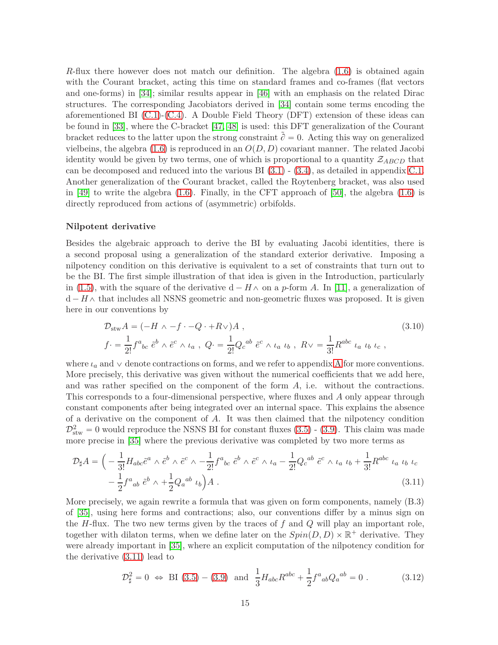*R*-flux there however does not match our definition. The algebra [\(1.6\)](#page-4-1) is obtained again with the Courant bracket, acting this time on standard frames and co-frames (flat vectors and one-forms) in [\[34\]](#page-63-16); similar results appear in [\[46\]](#page-64-11) with an emphasis on the related Dirac structures. The corresponding Jacobiators derived in [\[34\]](#page-63-16) contain some terms encoding the aforementioned BI  $(C.1)-(C.4)$  $(C.1)-(C.4)$ . A Double Field Theory (DFT) extension of these ideas can be found in [\[33\]](#page-63-15), where the C-bracket [\[47,](#page-64-12) [48\]](#page-64-13) is used: this DFT generalization of the Courant bracket reduces to the latter upon the strong constraint  $\partial = 0$ . Acting this way on generalized vielbeins, the algebra  $(1.6)$  is reproduced in an  $O(D, D)$  covariant manner. The related Jacobi identity would be given by two terms, one of which is proportional to a quantity  $\mathcal{Z}_{ABCD}$  that can be decomposed and reduced into the various  $BI(3.1) - (3.4)$  $BI(3.1) - (3.4)$ , as detailed in appendix [C.1.](#page-52-1) Another generalization of the Courant bracket, called the Roytenberg bracket, was also used in  $[49]$  to write the algebra  $(1.6)$ . Finally, in the CFT approach of  $[50]$ , the algebra  $(1.6)$  is directly reproduced from actions of (asymmetric) orbifolds.

### **Nilpotent derivative**

Besides the algebraic approach to derive the BI by evaluating Jacobi identities, there is a second proposal using a generalization of the standard exterior derivative. Imposing a nilpotency condition on this derivative is equivalent to a set of constraints that turn out to be the BI. The first simple illustration of that idea is given in the Introduction, particularly in [\(1.5\)](#page-4-3), with the square of the derivative  $d - H \wedge$  on a *p*-form *A*. In [\[11\]](#page-62-9), a generalization of  $d - H \wedge$  that includes all NSNS geometric and non-geometric fluxes was proposed. It is given here in our conventions by

$$
\mathcal{D}_{\text{stw}} A = (-H \wedge -f \cdot -Q \cdot + R \vee) A , \qquad (3.10)
$$
\n
$$
f \cdot = \frac{1}{2!} f^{a}{}_{bc} \tilde{e}^{b} \wedge \tilde{e}^{c} \wedge \iota_{a} , Q \cdot = \frac{1}{2!} Q_{c}{}^{ab} \tilde{e}^{c} \wedge \iota_{a} \iota_{b} , R \vee = \frac{1}{3!} R^{abc} \iota_{a} \iota_{b} \iota_{c} ,
$$

where  $\iota_a$  and  $\vee$  denote contractions on forms, and we refer to appendix [A](#page-46-0) for more conventions. More precisely, this derivative was given without the numerical coefficients that we add here, and was rather specified on the component of the form *A*, i.e. without the contractions. This corresponds to a four-dimensional perspective, where fluxes and *A* only appear through constant components after being integrated over an internal space. This explains the absence of a derivative on the component of *A*. It was then claimed that the nilpotency condition  $\mathcal{D}^2_{\text{stw}} = 0$  would reproduce the NSNS BI for constant fluxes [\(3.5\)](#page-13-0) - [\(3.9\)](#page-13-1). This claim was made more precise in [\[35\]](#page-64-0) where the previous derivative was completed by two more terms as

$$
\mathcal{D}_{\sharp}A = \left(-\frac{1}{3!}H_{abc}\tilde{e}^{a} \wedge \tilde{e}^{b} \wedge \tilde{e}^{c} \wedge -\frac{1}{2!}f^{a}{}_{bc}\tilde{e}^{b} \wedge \tilde{e}^{c} \wedge \iota_{a} - \frac{1}{2!}Q_{c}{}^{ab}\tilde{e}^{c} \wedge \iota_{a}\iota_{b} + \frac{1}{3!}R^{abc}\iota_{a}\iota_{b}\iota_{c} - \frac{1}{2}f^{a}{}_{ab}\tilde{e}^{b} \wedge + \frac{1}{2}Q_{a}{}^{ab}\iota_{b}\right)A.
$$
\n(3.11)

More precisely, we again rewrite a formula that was given on form components, namely (B.3) of [\[35\]](#page-64-0), using here forms and contractions; also, our conventions differ by a minus sign on the *H*-flux. The two new terms given by the traces of *f* and *Q* will play an important role, together with dilaton terms, when we define later on the  $Spin(D, D) \times \mathbb{R}^+$  derivative. They were already important in [\[35\]](#page-64-0), where an explicit computation of the nilpotency condition for the derivative [\(3.11\)](#page-14-1) lead to

<span id="page-14-1"></span><span id="page-14-0"></span>
$$
\mathcal{D}_{\sharp}^{2} = 0 \iff \text{BI (3.5)} - (3.9) \quad \text{and} \quad \frac{1}{3} H_{abc} R^{abc} + \frac{1}{2} f^{a}{}_{ab} Q_{a}{}^{ab} = 0 \tag{3.12}
$$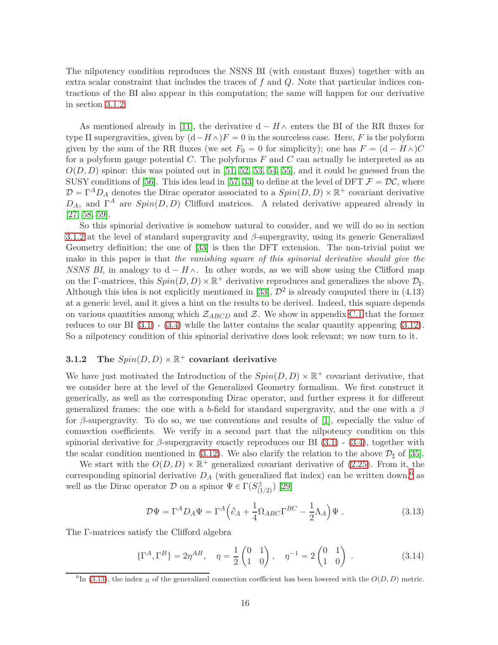The nilpotency condition reproduces the NSNS BI (with constant fluxes) together with an extra scalar constraint that includes the traces of *f* and *Q*. Note that particular indices contractions of the BI also appear in this computation; the same will happen for our derivative in section [3.1.2.](#page-15-0)

As mentioned already in [\[11\]](#page-62-9), the derivative  $d - H \wedge$  enters the BI of the RR fluxes for type II supergravities, given by  $(d - H \wedge)F = 0$  in the sourceless case. Here, *F* is the polyform given by the sum of the RR fluxes (we set  $F_0 = 0$  for simplicity); one has  $F = (d - H_{\wedge})C$ for a polyform gauge potential *C*. The polyforms *F* and *C* can actually be interpreted as an  $O(D, D)$  spinor: this was pointed out in [\[51,](#page-65-0) [52,](#page-65-1) [53,](#page-65-2) [54,](#page-65-3) [55\]](#page-65-4), and it could be guessed from the SUSY conditions of [\[56\]](#page-65-5). This idea lead in [\[57,](#page-65-6) [33\]](#page-63-15) to define at the level of DFT  $\mathcal{F} = \mathcal{DC}$ , where  $\mathcal{D} = \Gamma^A D_A$  denotes the Dirac operator associated to a  $Spin(D, D) \times \mathbb{R}^+$  covariant derivative  $D_A$ , and  $\Gamma^A$  are  $Spin(D, D)$  Clifford matrices. A related derivative appeared already in [\[27,](#page-63-9) [58,](#page-65-7) [59\]](#page-65-8).

So this spinorial derivative is somehow natural to consider, and we will do so in section [3.1.2](#page-15-0) at the level of standard supergravity and *β*-supergravity, using its generic Generalized Geometry definition; the one of [\[33\]](#page-63-15) is then the DFT extension. The non-trivial point we make in this paper is that *the vanishing square of this spinorial derivative should give the NSNS BI*, in analogy to  $d - H \wedge$ . In other words, as we will show using the Clifford map on the Γ-matrices, this  $Spin(D, D) \times \mathbb{R}^+$  derivative reproduces and generalizes the above  $\mathcal{D}_{\sharp}$ . Although this idea is not explicitly mentioned in [\[33\]](#page-63-15),  $\mathcal{D}^2$  is already computed there in (4.13) at a generic level, and it gives a hint on the results to be derived. Indeed, this square depends on various quantities among which Z*ABCD* and Z. We show in appendix [C.1](#page-52-1) that the former reduces to our BI  $(3.1)$  -  $(3.4)$  while the latter contains the scalar quantity appearing  $(3.12)$ . So a nilpotency condition of this spinorial derivative does look relevant; we now turn to it.

### <span id="page-15-0"></span>**3.1.2** The  $Spin(D, D) \times \mathbb{R}^+$  covariant derivative

We have just motivated the Introduction of the  $Spin(D, D) \times \mathbb{R}^+$  covariant derivative, that we consider here at the level of the Generalized Geometry formalism. We first construct it generically, as well as the corresponding Dirac operator, and further express it for different generalized frames: the one with a *b*-field for standard supergravity, and the one with a *β* for *β*-supergravity. To do so, we use conventions and results of [\[1\]](#page-62-16), especially the value of connection coefficients. We verify in a second part that the nilpotency condition on this spinorial derivative for  $\beta$ -supergravity exactly reproduces our BI [\(3.1\)](#page-12-5) - [\(3.4\)](#page-12-6), together with the scalar condition mentioned in [\(3.12\)](#page-14-0). We also clarify the relation to the above  $\mathcal{D}_{\dagger}$  of [\[35\]](#page-64-0).

We start with the  $O(D, D) \times \mathbb{R}^+$  generalized covariant derivative of [\(2.25\)](#page-10-2). From it, the corresponding spinorial derivative  $D_A$  (with generalized flat index) can be written down,<sup>[6](#page-15-1)</sup> as well as the Dirac operator  $\mathcal{D}$  on a spinor  $\Psi \in \Gamma(S_{(1/2)}^{\pm})$  [\[29\]](#page-63-11)

<span id="page-15-2"></span>
$$
\mathcal{D}\Psi = \Gamma^A D_A \Psi = \Gamma^A \left(\partial_A + \frac{1}{4} \Omega_{ABC} \Gamma^{BC} - \frac{1}{2} \Lambda_A \right) \Psi \,. \tag{3.13}
$$

The Γ-matrices satisfy the Clifford algebra

$$
\{\Gamma^A, \Gamma^B\} = 2\eta^{AB}, \quad \eta = \frac{1}{2} \begin{pmatrix} 0 & 1 \\ 1 & 0 \end{pmatrix}, \quad \eta^{-1} = 2 \begin{pmatrix} 0 & 1 \\ 1 & 0 \end{pmatrix} . \tag{3.14}
$$

<span id="page-15-1"></span> ${}^{6}\text{In}$  [\(3.13\)](#page-15-2), the index *B* of the generalized connection coefficient has been lowered with the  $O(D, D)$  metric.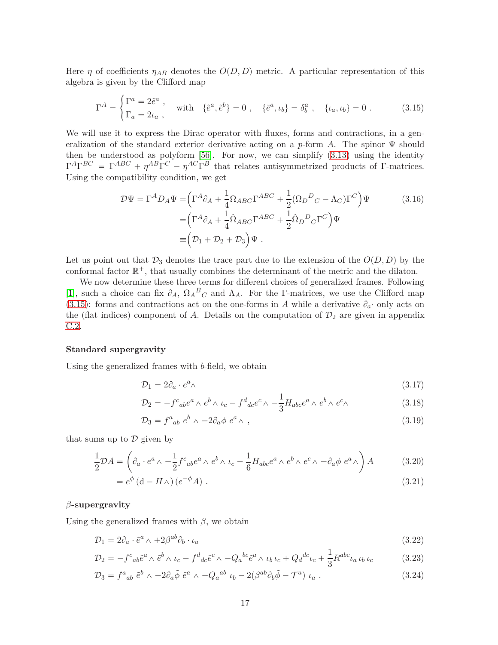Here *η* of coefficients  $\eta_{AB}$  denotes the  $O(D, D)$  metric. A particular representation of this algebra is given by the Clifford map

<span id="page-16-0"></span>
$$
\Gamma^{A} = \begin{cases} \Gamma^{a} = 2\tilde{e}^{a} ,\\ \Gamma_{a} = 2\iota_{a} , \end{cases} \text{ with } \{\tilde{e}^{a}, \tilde{e}^{b}\} = 0 , \{\tilde{e}^{a}, \iota_{b}\} = \delta^{a}_{b} , \{\iota_{a}, \iota_{b}\} = 0 .
$$
 (3.15)

We will use it to express the Dirac operator with fluxes, forms and contractions, in a generalization of the standard exterior derivative acting on a *p*-form *A*. The spinor Ψ should then be understood as polyform [\[56\]](#page-65-5). For now, we can simplify [\(3.13\)](#page-15-2) using the identity  $\Gamma^{A}\Gamma^{BC} = \Gamma^{ABC} + \eta^{AB}\Gamma^{C} - \eta^{AC}\Gamma^{B}$  that relates antisymmetrized products of Γ-matrices. Using the compatibility condition, we get

<span id="page-16-1"></span>
$$
\mathcal{D}\Psi = \Gamma^A D_A \Psi = \left(\Gamma^A \partial_A + \frac{1}{4} \Omega_{ABC} \Gamma^{ABC} + \frac{1}{2} (\Omega_D^D C - \Lambda_C) \Gamma^C \right) \Psi
$$
\n
$$
= \left(\Gamma^A \partial_A + \frac{1}{4} \hat{\Omega}_{ABC} \Gamma^{ABC} + \frac{1}{2} \hat{\Omega}_D^D C \Gamma^C \right) \Psi
$$
\n
$$
\equiv \left(\mathcal{D}_1 + \mathcal{D}_2 + \mathcal{D}_3 \right) \Psi.
$$
\n(3.16)

Let us point out that  $\mathcal{D}_3$  denotes the trace part due to the extension of the  $O(D, D)$  by the conformal factor  $\mathbb{R}^+$ , that usually combines the determinant of the metric and the dilaton.

We now determine these three terms for different choices of generalized frames. Following [\[1\]](#page-62-16), such a choice can fix  $\partial_A$ ,  $\Omega_A{}^B{}_C$  and  $\Lambda_A$ . For the Γ-matrices, we use the Clifford map [\(3.15\)](#page-16-0): forms and contractions act on the one-forms in *A* while a derivative  $\partial_a$ · only acts on the (flat indices) component of  $A$ . Details on the computation of  $\mathcal{D}_2$  are given in appendix [C.2.](#page-52-2)

### **Standard supergravity**

Using the generalized frames with *b*-field, we obtain

$$
\mathcal{D}_1 = 2\partial_a \cdot e^a \wedge \tag{3.17}
$$

$$
\mathcal{D}_2 = -f^c{}_{ab}e^a \wedge e^b \wedge \iota_c - f^d{}_{dc}e^c \wedge -\frac{1}{3}H_{abc}e^a \wedge e^b \wedge e^c \wedge \tag{3.18}
$$

$$
\mathcal{D}_3 = f^a{}_{ab} \; e^b \wedge -2\partial_a \phi \; e^a \wedge \; , \tag{3.19}
$$

that sums up to  $\mathcal D$  given by

$$
\frac{1}{2}\mathcal{D}A = \left(\partial_a \cdot e^a \wedge -\frac{1}{2}f^c{}_{ab}e^a \wedge e^b \wedge \iota_c - \frac{1}{6}H_{abc}e^a \wedge e^b \wedge e^c \wedge -\partial_a\phi \; e^a \wedge\right)A\tag{3.20}
$$

$$
= e^{\phi} \left( d - H \wedge \right) \left( e^{-\phi} A \right). \tag{3.21}
$$

### *β***-supergravity**

Using the generalized frames with  $\beta$ , we obtain

$$
\mathcal{D}_1 = 2\partial_a \cdot \tilde{e}^a \wedge + 2\beta^{ab}\partial_b \cdot \iota_a \tag{3.22}
$$

$$
\mathcal{D}_2 = -f^c{}_{ab}\tilde{e}^a \wedge \tilde{e}^b \wedge \iota_c - f^d{}_{dc}\tilde{e}^c \wedge -Q_a{}^{bc}\tilde{e}^a \wedge \iota_b\iota_c + Q_d{}^{dc}\iota_c + \frac{1}{3}R^{abc}\iota_a\iota_b\iota_c \tag{3.23}
$$

$$
\mathcal{D}_3 = f^a{}_{ab} \tilde{e}^b \wedge -2\partial_a \tilde{\phi} \tilde{e}^a \wedge + Q_a{}^{ab} \iota_b - 2(\beta^{ab}\partial_b \tilde{\phi} - \mathcal{T}^a) \iota_a \; . \tag{3.24}
$$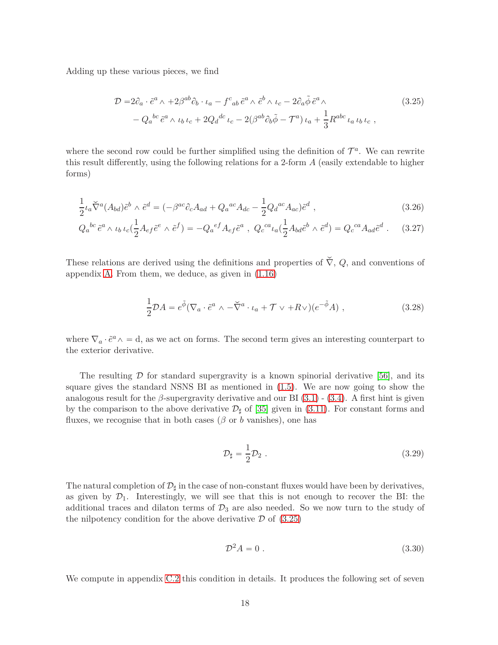Adding up these various pieces, we find

<span id="page-17-0"></span>
$$
\mathcal{D} = 2\partial_a \cdot \tilde{e}^a \wedge + 2\beta^{ab}\partial_b \cdot \iota_a - f^c{}_{ab}\tilde{e}^a \wedge \tilde{e}^b \wedge \iota_c - 2\partial_a\tilde{\phi}\tilde{e}^a \wedge \n- Q_a{}^{bc}\tilde{e}^a \wedge \iota_b\iota_c + 2Q_d{}^{dc}\iota_c - 2(\beta^{ab}\partial_b\tilde{\phi} - \mathcal{T}^a)\iota_a + \frac{1}{3}R^{abc}\iota_a\iota_b\iota_c,
$$
\n(3.25)

where the second row could be further simplified using the definition of  $\mathcal{T}^a$ . We can rewrite this result differently, using the following relations for a 2-form *A* (easily extendable to higher forms)

$$
\frac{1}{2}\iota_a \check{\nabla}^a (A_{bd})\tilde{e}^b \wedge \tilde{e}^d = (-\beta^{ac}\partial_c A_{ad} + Q_a{}^{ac}A_{dc} - \frac{1}{2}Q_d{}^{ac}A_{ac})\tilde{e}^d ,\qquad (3.26)
$$

$$
Q_a{}^{bc}\tilde{e}^a \wedge \iota_b \iota_c(\frac{1}{2}A_{ef}\tilde{e}^e \wedge \tilde{e}^f) = -Q_a{}^{ef}A_{ef}\tilde{e}^a \ , \ Q_c{}^{ca}\iota_a(\frac{1}{2}A_{bd}\tilde{e}^b \wedge \tilde{e}^d) = Q_c{}^{ca}A_{ad}\tilde{e}^d \ . \tag{3.27}
$$

These relations are derived using the definitions and properties of  $\check{\nabla}$ , *Q*, and conventions of appendix [A.](#page-46-0) From them, we deduce, as given in [\(1.16\)](#page-5-0)

<span id="page-17-1"></span>
$$
\frac{1}{2}\mathcal{D}A = e^{\tilde{\phi}}(\nabla_a \cdot \tilde{e}^a \wedge -\check{\nabla}^a \cdot \iota_a + \mathcal{T} \vee + R \vee)(e^{-\tilde{\phi}}A) , \qquad (3.28)
$$

where  $\nabla_a \cdot \tilde{e}^a \wedge \alpha = d$ , as we act on forms. The second term gives an interesting counterpart to the exterior derivative.

The resulting  $\mathcal D$  for standard supergravity is a known spinorial derivative [\[56\]](#page-65-5), and its square gives the standard NSNS BI as mentioned in [\(1.5\)](#page-4-3). We are now going to show the analogous result for the  $\beta$ -supergravity derivative and our BI [\(3.1\)](#page-12-5) - [\(3.4\)](#page-12-6). A first hint is given by the comparison to the above derivative  $\mathcal{D}_{\sharp}$  of [\[35\]](#page-64-0) given in [\(3.11\)](#page-14-1). For constant forms and fluxes, we recognise that in both cases ( $\beta$  or  $b$  vanishes), one has

$$
\mathcal{D}_{\sharp} = \frac{1}{2}\mathcal{D}_2 \ . \tag{3.29}
$$

The natural completion of  $\mathcal{D}_{\sharp}$  in the case of non-constant fluxes would have been by derivatives, as given by  $\mathcal{D}_1$ . Interestingly, we will see that this is not enough to recover the BI: the additional traces and dilaton terms of  $\mathcal{D}_3$  are also needed. So we now turn to the study of the nilpotency condition for the above derivative  $\mathcal D$  of  $(3.25)$ 

<span id="page-17-2"></span>
$$
\mathcal{D}^2 A = 0 \tag{3.30}
$$

We compute in appendix [C.2](#page-52-2) this condition in details. It produces the following set of seven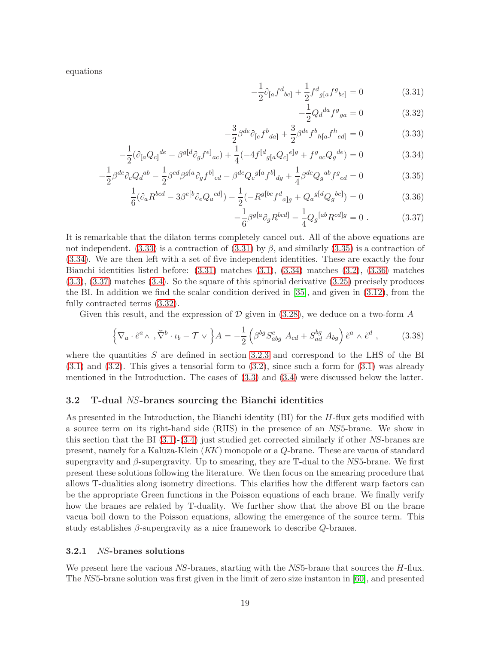equations

$$
-\frac{1}{2}\partial_{[a}f^{d}{}_{bc]} + \frac{1}{2}f^{d}{}_{g[a}f^{g}{}_{bc]} = 0
$$
 (3.31)

<span id="page-18-9"></span><span id="page-18-8"></span><span id="page-18-7"></span><span id="page-18-6"></span><span id="page-18-5"></span><span id="page-18-4"></span><span id="page-18-3"></span>
$$
-\frac{1}{2}Q_d{}^{da}f^g{}_{ga} = 0\tag{3.32}
$$

$$
\frac{3}{2}\beta^{de}\partial_{[e}f^b{}_{da]} + \frac{3}{2}\beta^{de}f^b{}_{h[a}f^h{}_{ed]} = 0
$$
\n(3.33)

$$
-\frac{1}{2}(\partial_{[a}Q_{c]}{}^{de} - \beta^{g[d}\partial_g f^{e]}{}_{ac}) + \frac{1}{4}(-4f^{[d}{}_{g[a}Q_{c]}{}^{e]g} + f^g{}_{ac}Q_g{}^{de}) = 0
$$
\n(3.34)

 $\overline{\phantom{0}}$ 

$$
-\frac{1}{2}\beta^{dc}\partial_c Q_d{}^{ab} - \frac{1}{2}\beta^{cd}\beta^{g[a}\partial_g f^{b]}{}_{cd} - \beta^{dc}Q_c{}^{g[a}f^{b]}{}_{dg} + \frac{1}{4}\beta^{dc}Q_g{}^{ab}f^g{}_{cd} = 0
$$
\n(3.35)

$$
\frac{1}{6}(\partial_a R^{bcd} - 3\beta^{e[b}\partial_e Q_a{}^{cd]}) - \frac{1}{2}(-R^{g[bc}f^d{}_{a]g} + Q_a{}^{g[d}Q_g{}^{bc]}) = 0
$$
\n(3.36)

$$
-\frac{1}{6}\beta^{g[a}\partial_g R^{bcd]} - \frac{1}{4}Q_g^{[ab}R^{cd]g} = 0.
$$
 (3.37)

It is remarkable that the dilaton terms completely cancel out. All of the above equations are not independent. [\(3.33\)](#page-18-3) is a contraction of  $(3.31)$  by  $\beta$ , and similarly  $(3.35)$  is a contraction of [\(3.34\)](#page-18-6). We are then left with a set of five independent identities. These are exactly the four Bianchi identities listed before: [\(3.31\)](#page-18-4) matches [\(3.1\)](#page-12-5), [\(3.34\)](#page-18-6) matches [\(3.2\)](#page-12-8), [\(3.36\)](#page-18-7) matches [\(3.3\)](#page-12-7), [\(3.37\)](#page-18-8) matches [\(3.4\)](#page-12-6). So the square of this spinorial derivative [\(3.25\)](#page-17-0) precisely produces the BI. In addition we find the scalar condition derived in [\[35\]](#page-64-0), and given in [\(3.12\)](#page-14-0), from the fully contracted terms [\(3.32\)](#page-18-9).

Given this result, and the expression of D given in [\(3.28\)](#page-17-1), we deduce on a two-form *A*

<span id="page-18-2"></span>
$$
\left\{\nabla_a \cdot \tilde{e}^a \wedge \, , \breve{\nabla}^b \cdot \iota_b - \mathcal{T} \vee \right\} A = -\frac{1}{2} \left( \beta^{bg} S^c_{abg} \ A_{cd} + S^{bg}_{ad} \ A_{bg} \right) \tilde{e}^a \wedge \tilde{e}^d \ , \tag{3.38}
$$

where the quantities *S* are defined in section [3.2.3](#page-25-0) and correspond to the LHS of the BI  $(3.1)$  and  $(3.2)$ . This gives a tensorial form to  $(3.2)$ , since such a form for  $(3.1)$  was already mentioned in the Introduction. The cases of [\(3.3\)](#page-12-7) and [\(3.4\)](#page-12-6) were discussed below the latter.

### <span id="page-18-0"></span>**3.2 T-dual** *NS***-branes sourcing the Bianchi identities**

As presented in the Introduction, the Bianchi identity (BI) for the *H*-flux gets modified with a source term on its right-hand side (RHS) in the presence of an *NS*5-brane. We show in this section that the BI [\(3.1\)](#page-12-5)-[\(3.4\)](#page-12-6) just studied get corrected similarly if other *NS*-branes are present, namely for a Kaluza-Klein (*KK*) monopole or a *Q*-brane. These are vacua of standard supergravity and *β*-supergravity. Up to smearing, they are T-dual to the *NS*5-brane. We first present these solutions following the literature. We then focus on the smearing procedure that allows T-dualities along isometry directions. This clarifies how the different warp factors can be the appropriate Green functions in the Poisson equations of each brane. We finally verify how the branes are related by T-duality. We further show that the above BI on the brane vacua boil down to the Poisson equations, allowing the emergence of the source term. This study establishes *β*-supergravity as a nice framework to describe *Q*-branes.

### <span id="page-18-1"></span>**3.2.1** *NS***-branes solutions**

We present here the various *NS*-branes, starting with the *NS*5-brane that sources the *H*-flux. The *NS*5-brane solution was first given in the limit of zero size instanton in [\[60\]](#page-65-9), and presented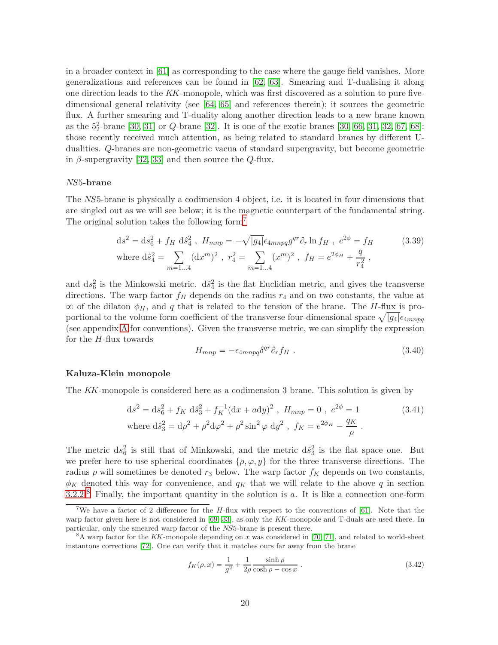in a broader context in [\[61\]](#page-65-10) as corresponding to the case where the gauge field vanishes. More generalizations and references can be found in [\[62,](#page-65-11) [63\]](#page-65-12). Smearing and T-dualising it along one direction leads to the *KK*-monopole, which was first discovered as a solution to pure fivedimensional general relativity (see [\[64,](#page-65-13) [65\]](#page-65-14) and references therein); it sources the geometric flux. A further smearing and T-duality along another direction leads to a new brane known as the  $5\frac{2}{2}$ -brane [\[30,](#page-63-12) [31\]](#page-63-13) or *Q*-brane [\[32\]](#page-63-14). It is one of the exotic branes [30, [66,](#page-65-15) [31,](#page-63-13) [32,](#page-63-14) [67,](#page-65-16) [68\]](#page-65-17): those recently received much attention, as being related to standard branes by different Udualities. *Q*-branes are non-geometric vacua of standard supergravity, but become geometric in *β*-supergravity [\[32,](#page-63-14) [33\]](#page-63-15) and then source the *Q*-flux.

### *NS*5**-brane**

The *NS*5-brane is physically a codimension 4 object, i.e. it is located in four dimensions that are singled out as we will see below; it is the magnetic counterpart of the fundamental string. The original solution takes the following form<sup>[7](#page-19-0)</sup>

$$
ds^{2} = ds_{6}^{2} + f_{H} ds_{4}^{2}, H_{mnp} = -\sqrt{|g_{4}|} \epsilon_{4mnpq} g^{qr} \partial_{r} \ln f_{H}, e^{2\phi} = f_{H}
$$
 (3.39)  
where 
$$
d\hat{s}_{4}^{2} = \sum_{m=1...4} (dx^{m})^{2}, r_{4}^{2} = \sum_{m=1...4} (x^{m})^{2}, f_{H} = e^{2\phi_{H}} + \frac{q}{r_{4}^{2}},
$$

and  $ds_6^2$  is the Minkowski metric.  $ds_4^2$  is the flat Euclidian metric, and gives the transverse directions. The warp factor  $f_H$  depends on the radius  $r_4$  and on two constants, the value at  $\infty$  of the dilaton  $\phi_H$ , and q that is related to the tension of the brane. The *H*-flux is proportional to the volume form coefficient of the transverse four-dimensional space  $\sqrt{|g_4|}\epsilon_{4mnpq}$ (see appendix [A](#page-46-0) for conventions). Given the transverse metric, we can simplify the expression for the *H*-flux towards

<span id="page-19-4"></span><span id="page-19-3"></span><span id="page-19-2"></span>
$$
H_{mnp} = -\epsilon_{4mnpq} \delta^{qr} \partial_r f_H . \qquad (3.40)
$$

#### **Kaluza-Klein monopole**

The *KK*-monopole is considered here as a codimension 3 brane. This solution is given by

$$
ds^{2} = ds_{6}^{2} + f_{K} d\hat{s}_{3}^{2} + f_{K}^{-1} (dx + ady)^{2}, H_{mnp} = 0, e^{2\phi} = 1
$$
 (3.41)  
where 
$$
d\hat{s}_{3}^{2} = d\rho^{2} + \rho^{2} d\varphi^{2} + \rho^{2} \sin^{2} \varphi dy^{2}, f_{K} = e^{2\phi_{K}} - \frac{q_{K}}{\rho}.
$$

The metric  $ds_6^2$  is still that of Minkowski, and the metric  $d\hat{s}_3^2$  is the flat space one. But we prefer here to use spherical coordinates  $\{\rho, \varphi, y\}$  for the three transverse directions. The radius *ρ* will sometimes be denoted *r*<sup>3</sup> below. The warp factor *f<sup>K</sup>* depends on two constants,  $\phi_K$  denoted this way for convenience, and  $q_K$  that we will relate to the above *q* in section [3.2.2.](#page-21-0)[8](#page-19-1) Finally, the important quantity in the solution is *a*. It is like a connection one-form

$$
f_K(\rho, x) = \frac{1}{g^2} + \frac{1}{2\rho} \frac{\sinh \rho}{\cosh \rho - \cos x} .
$$
 (3.42)

<span id="page-19-0"></span><sup>7</sup>We have a factor of 2 difference for the *H*-flux with respect to the conventions of [\[61\]](#page-65-10). Note that the warp factor given here is not considered in [\[69,](#page-66-0) [33\]](#page-63-15), as only the *KK*-monopole and T-duals are used there. In particular, only the smeared warp factor of the *NS*5-brane is present there.

<span id="page-19-1"></span><sup>8</sup>A warp factor for the *KK*-monopole depending on *x* was considered in [\[70,](#page-66-1) [71\]](#page-66-2), and related to world-sheet instantons corrections [\[72\]](#page-66-3). One can verify that it matches ours far away from the brane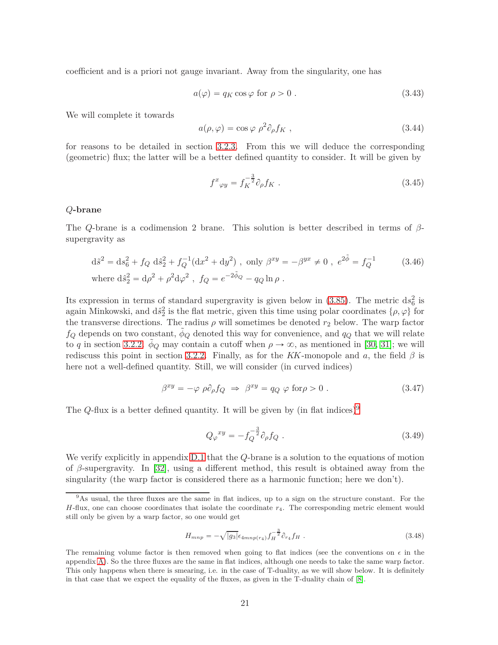coefficient and is a priori not gauge invariant. Away from the singularity, one has

$$
a(\varphi) = q_K \cos \varphi \text{ for } \rho > 0. \qquad (3.43)
$$

We will complete it towards

$$
a(\rho, \varphi) = \cos \varphi \,\,\rho^2 \partial_{\rho} f_K \,\,, \tag{3.44}
$$

for reasons to be detailed in section [3.2.3.](#page-25-0) From this we will deduce the corresponding (geometric) flux; the latter will be a better defined quantity to consider. It will be given by

<span id="page-20-1"></span>
$$
f^x{}_{\varphi y} = f_K^{-\frac{3}{2}} \partial_\rho f_K \tag{3.45}
$$

### *Q***-brane**

The *Q*-brane is a codimension 2 brane. This solution is better described in terms of *β*supergravity as

$$
d\hat{s}^2 = ds_6^2 + f_Q \ d\hat{s}_2^2 + f_Q^{-1} (dx^2 + dy^2) , \text{ only } \beta^{xy} = -\beta^{yx} \neq 0 , \ e^{2\tilde{\phi}} = f_Q^{-1}
$$
 (3.46)  
where  $d\hat{s}_2^2 = d\rho^2 + \rho^2 d\varphi^2$ ,  $f_Q = e^{-2\tilde{\phi}_Q} - q_Q \ln \rho$ .

Its expression in terms of standard supergravity is given below in  $(3.85)$ . The metric  $ds_6^2$  is again Minkowski, and d $\hat{s}_2^2$  is the flat metric, given this time using polar coordinates  $\{\rho, \varphi\}$  for the transverse directions. The radius  $\rho$  will sometimes be denoted  $r_2$  below. The warp factor  $f_Q$  depends on two constant,  $\phi_Q$  denoted this way for convenience, and  $q_Q$  that we will relate to *q* in section [3.2.2.](#page-21-0)  $\phi_Q$  may contain a cutoff when  $\rho \to \infty$ , as mentioned in [\[30,](#page-63-12) [31\]](#page-63-13); we will rediscuss this point in section [3.2.2.](#page-21-0) Finally, as for the *KK*-monopole and *a*, the field  $\beta$  is here not a well-defined quantity. Still, we will consider (in curved indices)

$$
\beta^{xy} = -\varphi \; \rho \partial_{\rho} f_Q \; \Rightarrow \; \beta^{xy} = q_Q \; \varphi \; \text{for} \rho > 0 \; . \tag{3.47}
$$

The *Q*-flux is a better defined quantity. It will be given by (in flat indices)<sup>[9](#page-20-0)</sup>

$$
Q_{\varphi}^{xy} = -f_Q^{-\frac{3}{2}} \partial_{\rho} f_Q . \qquad (3.49)
$$

We verify explicitly in appendix [D.1](#page-55-1) that the *Q*-brane is a solution to the equations of motion of *β*-supergravity. In [\[32\]](#page-63-14), using a different method, this result is obtained away from the singularity (the warp factor is considered there as a harmonic function; here we don't).

$$
H_{mnp} = -\sqrt{|g_3|} \epsilon_{4mnp(r_4)} f_H^{-\frac{3}{2}} \partial_{r_4} f_H . \qquad (3.48)
$$

<span id="page-20-0"></span><sup>&</sup>lt;sup>9</sup>As usual, the three fluxes are the same in flat indices, up to a sign on the structure constant. For the *H*-flux, one can choose coordinates that isolate the coordinate *r*4. The corresponding metric element would still only be given by a warp factor, so one would get

The remaining volume factor is then removed when going to flat indices (see the conventions on  $\epsilon$  in the appendix [A\)](#page-46-0). So the three fluxes are the same in flat indices, although one needs to take the same warp factor. This only happens when there is smearing, i.e. in the case of T-duality, as we will show below. It is definitely in that case that we expect the equality of the fluxes, as given in the T-duality chain of [\[8\]](#page-62-6).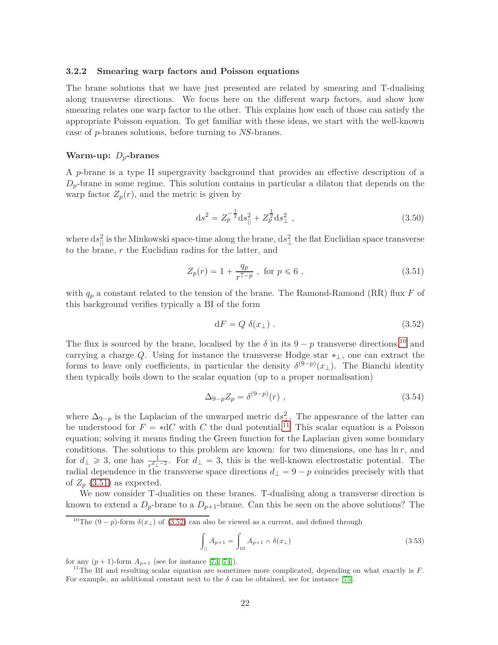#### <span id="page-21-0"></span>**3.2.2 Smearing warp factors and Poisson equations**

The brane solutions that we have just presented are related by smearing and T-dualising along transverse directions. We focus here on the different warp factors, and show how smearing relates one warp factor to the other. This explains how each of those can satisfy the appropriate Poisson equation. To get familiar with these ideas, we start with the well-known case of *p*-branes solutions, before turning to *NS*-branes.

### **Warm-up:** *Dp***-branes**

A *p*-brane is a type II supergravity background that provides an effective description of a  $D_p$ -brane in some regime. This solution contains in particular a dilaton that depends on the warp factor  $Z_p(r)$ , and the metric is given by

$$
ds^2 = Z_p^{-\frac{1}{2}} ds_{\parallel}^2 + Z_p^{\frac{1}{2}} ds_{\perp}^2 \t\t(3.50)
$$

where  $ds_{\parallel}^2$  is the Minkowski space-time along the brane,  $ds_{\perp}^2$  $\frac{2}{1}$  the flat Euclidian space transverse to the brane, *r* the Euclidian radius for the latter, and

<span id="page-21-3"></span>
$$
Z_p(r) = 1 + \frac{q_p}{r^{7-p}} , \text{ for } p \leq 6 ,
$$
 (3.51)

with *q<sup>p</sup>* a constant related to the tension of the brane. The Ramond-Ramond (RR) flux *F* of this background verifies typically a BI of the form

<span id="page-21-4"></span>
$$
dF = Q \delta(x_{\perp}). \tag{3.52}
$$

The flux is sourced by the brane, localised by the  $\delta$  in its  $9 - p$  transverse directions,<sup>[10](#page-21-1)</sup> and carrying a charge  $Q$ . Using for instance the transverse Hodge star  $*_\perp$ , one can extract the forms to leave only coefficients, in particular the density  $\delta^{(\tilde{9}-p)}(x_{\perp})$ . The Bianchi identity then typically boils down to the scalar equation (up to a proper normalisation)

$$
\Delta_{9-p} Z_p = \delta^{(9-p)}(r) , \qquad (3.54)
$$

where  $\Delta_{9-p}$  is the Laplacian of the unwarped metric  $ds_1^2$  $\frac{2}{4}$ . The appearance of the latter can be understood for  $F = *dC$  with *C* the dual potential.<sup>[11](#page-21-2)</sup> This scalar equation is a Poisson equation; solving it means finding the Green function for the Laplacian given some boundary conditions. The solutions to this problem are known: for two dimensions, one has  $\ln r$ , and for  $d_{\perp} \geq 3$ , one has  $\frac{1}{r^{d_{\perp}-2}}$ . For  $d_{\perp} = 3$ , this is the well-known electrostatic potential. The radial dependence in the transverse space directions  $d_{\perp} = 9 - p$  coincides precisely with that of  $Z_p$  [\(3.51\)](#page-21-3) as expected.

We now consider T-dualities on these branes. T-dualising along a transverse direction is known to extend a  $D_p$ -brane to a  $D_{p+1}$ -brane. Can this be seen on the above solutions? The

$$
\int_{||} A_{p+1} = \int_{10} A_{p+1} \wedge \delta(x_\perp) \tag{3.53}
$$

for any  $(p+1)$ -form  $A_{p+1}$  (see for instance [\[73,](#page-66-4) [74\]](#page-66-5)).

<span id="page-21-1"></span><sup>&</sup>lt;sup>10</sup>The  $(9 - p)$ -form  $\delta(x_\perp)$  of [\(3.52\)](#page-21-4) can also be viewed as a current, and defined through

<span id="page-21-2"></span><sup>&</sup>lt;sup>11</sup>The BI and resulting scalar equation are sometimes more complicated, depending on what exactly is  $F$ . For example, an additional constant next to the  $\delta$  can be obtained, see for instance [\[75\]](#page-66-6).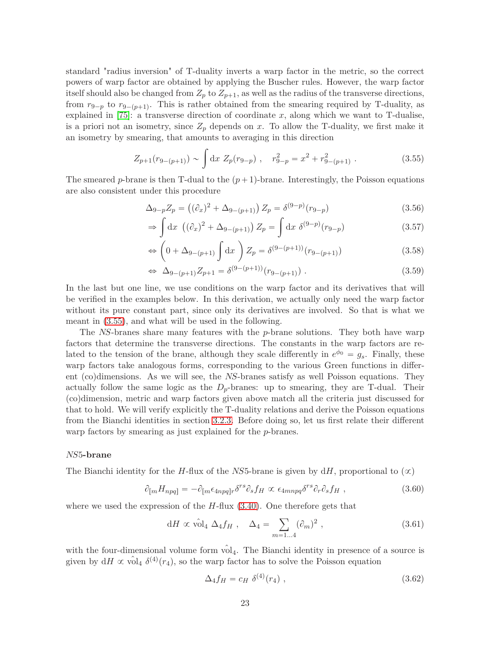standard "radius inversion" of T-duality inverts a warp factor in the metric, so the correct powers of warp factor are obtained by applying the Buscher rules. However, the warp factor itself should also be changed from  $Z_p$  to  $Z_{p+1}$ , as well as the radius of the transverse directions, from  $r_{9-p}$  to  $r_{9-(p+1)}$ . This is rather obtained from the smearing required by T-duality, as explained in [\[75\]](#page-66-6): a transverse direction of coordinate *x*, along which we want to T-dualise, is a priori not an isometry, since  $Z_p$  depends on x. To allow the T-duality, we first make it an isometry by smearing, that amounts to averaging in this direction

<span id="page-22-0"></span>
$$
Z_{p+1}(r_{9-(p+1)}) \sim \int dx \ Z_p(r_{9-p}) \ , \quad r_{9-p}^2 = x^2 + r_{9-(p+1)}^2 \ . \tag{3.55}
$$

The smeared *p*-brane is then T-dual to the  $(p+1)$ -brane. Interestingly, the Poisson equations are also consistent under this procedure

$$
\Delta_{9-p} Z_p = ((\partial_x)^2 + \Delta_{9-(p+1)}) Z_p = \delta^{(9-p)}(r_{9-p})
$$
\n(3.56)

<span id="page-22-1"></span>
$$
\Rightarrow \int dx \, \left( (\partial_x)^2 + \Delta_{9-(p+1)} \right) Z_p = \int dx \, \delta^{(9-p)}(r_{9-p}) \tag{3.57}
$$

$$
\Leftrightarrow \left(0 + \Delta_{9-(p+1)} \int dx\right) Z_p = \delta^{(9-(p+1))}(r_{9-(p+1)})\tag{3.58}
$$

<span id="page-22-2"></span>
$$
\Leftrightarrow \Delta_{9-(p+1)} Z_{p+1} = \delta^{(9-(p+1))} (r_{9-(p+1)}) . \tag{3.59}
$$

In the last but one line, we use conditions on the warp factor and its derivatives that will be verified in the examples below. In this derivation, we actually only need the warp factor without its pure constant part, since only its derivatives are involved. So that is what we meant in [\(3.55\)](#page-22-0), and what will be used in the following.

The *NS*-branes share many features with the *p*-brane solutions. They both have warp factors that determine the transverse directions. The constants in the warp factors are related to the tension of the brane, although they scale differently in  $e^{\phi_0} = g_s$ . Finally, these warp factors take analogous forms, corresponding to the various Green functions in different (co)dimensions. As we will see, the *NS*-branes satisfy as well Poisson equations. They actually follow the same logic as the  $D_p$ -branes: up to smearing, they are T-dual. Their (co)dimension, metric and warp factors given above match all the criteria just discussed for that to hold. We will verify explicitly the T-duality relations and derive the Poisson equations from the Bianchi identities in section [3.2.3.](#page-25-0) Before doing so, let us first relate their different warp factors by smearing as just explained for the *p*-branes.

#### *NS*5**-brane**

The Bianchi identity for the *H*-flux of the *NS*5-brane is given by  $dH$ , proportional to  $(\alpha)$ 

<span id="page-22-3"></span>
$$
\partial_{[m} H_{npq]} = -\partial_{[m} \epsilon_{4npq]r} \delta^{rs} \partial_s f_H \propto \epsilon_{4mnpq} \delta^{rs} \partial_r \partial_s f_H , \qquad (3.60)
$$

where we used the expression of the *H*-flux  $(3.40)$ . One therefore gets that

$$
dH \propto \hat{\text{vol}}_4 \Delta_4 f_H , \quad \Delta_4 = \sum_{m=1...4} (\partial_m)^2 , \qquad (3.61)
$$

with the four-dimensional volume form  $\hat{\text{vol}}_4$ . The Bianchi identity in presence of a source is given by  $dH \propto \hat{\text{vol}}_4 \delta^{(4)}(r_4)$ , so the warp factor has to solve the Poisson equation

<span id="page-22-4"></span>
$$
\Delta_4 f_H = c_H \, \delta^{(4)}(r_4) \,, \tag{3.62}
$$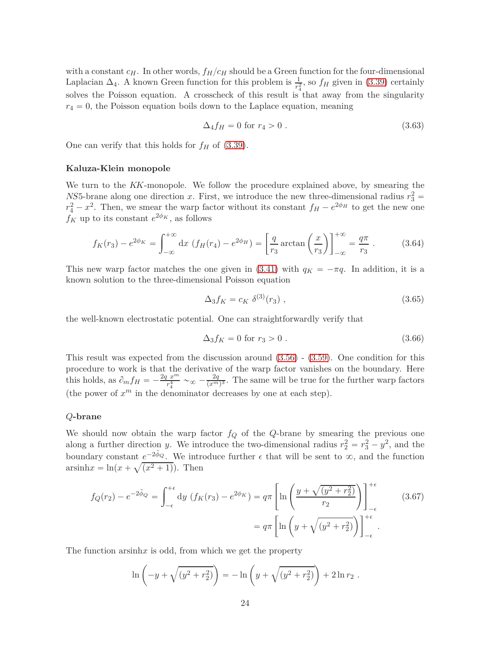with a constant  $c_H$ . In other words,  $f_H/c_H$  should be a Green function for the four-dimensional Laplacian  $\Delta_4$ . A known Green function for this problem is  $\frac{1}{r_4^2}$ , so  $f_H$  given in [\(3.39\)](#page-19-3) certainly solves the Poisson equation. A crosscheck of this result is that away from the singularity  $r_4 = 0$ , the Poisson equation boils down to the Laplace equation, meaning

$$
\Delta_4 f_H = 0 \text{ for } r_4 > 0. \tag{3.63}
$$

One can verify that this holds for  $f_H$  of  $(3.39)$ .

### **Kaluza-Klein monopole**

We turn to the *KK*-monopole. We follow the procedure explained above, by smearing the *NS*5-brane along one direction *x*. First, we introduce the new three-dimensional radius  $r_3^2$  =  $r_4^2 - x^2$ . Then, we smear the warp factor without its constant  $f_H - e^{2\phi_H}$  to get the new one  $f_K$  up to its constant  $e^{2\phi_K}$ , as follows

$$
f_K(r_3) - e^{2\phi_K} = \int_{-\infty}^{+\infty} dx \, (f_H(r_4) - e^{2\phi_H}) = \left[ \frac{q}{r_3} \arctan\left(\frac{x}{r_3}\right) \right]_{-\infty}^{+\infty} = \frac{q\pi}{r_3} \,. \tag{3.64}
$$

This new warp factor matches the one given in [\(3.41\)](#page-19-4) with  $q_K = -\pi q$ . In addition, it is a known solution to the three-dimensional Poisson equation

<span id="page-23-0"></span>
$$
\Delta_3 f_K = c_K \delta^{(3)}(r_3) , \qquad (3.65)
$$

the well-known electrostatic potential. One can straightforwardly verify that

$$
\Delta_3 f_K = 0 \text{ for } r_3 > 0. \tag{3.66}
$$

This result was expected from the discussion around [\(3.56\)](#page-22-1) - [\(3.59\)](#page-22-2). One condition for this procedure to work is that the derivative of the warp factor vanishes on the boundary. Here this holds, as  $\partial_m f_H = -\frac{2q x^m}{r^4}$  $\frac{x^m}{r_4^4} \sim_{\infty} -\frac{2q}{(x^m)}$  $\frac{2q}{(x^m)^3}$ . The same will be true for the further warp factors (the power of  $x^m$  in the denominator decreases by one at each step).

#### *Q***-brane**

We should now obtain the warp factor  $f_Q$  of the  $Q$ -brane by smearing the previous one along a further direction *y*. We introduce the two-dimensional radius  $r_2^2 = r_3^2 - y^2$ , and the boundary constant  $e^{-2\tilde{\phi}_{Q}}$ . We introduce further  $\epsilon$  that will be sent to  $\infty$ , and the function arsinh $x = \ln(x + \sqrt{x^2 + 1})$ . Then

$$
f_Q(r_2) - e^{-2\tilde{\phi}_Q} = \int_{-\epsilon}^{+\epsilon} dy \, (f_K(r_3) - e^{2\phi_K}) = q\pi \left[ \ln \left( \frac{y + \sqrt{(y^2 + r_2^2)}}{r_2} \right) \right]_{-\epsilon}^{+\epsilon}
$$
\n
$$
= q\pi \left[ \ln \left( y + \sqrt{(y^2 + r_2^2)} \right) \right]_{-\epsilon}^{+\epsilon}.
$$
\n(3.67)

The function arsinh*x* is odd, from which we get the property

$$
\ln\left(-y+\sqrt{(y^2+r_2^2)}\right) = -\ln\left(y+\sqrt{(y^2+r_2^2)}\right) + 2\ln r_2.
$$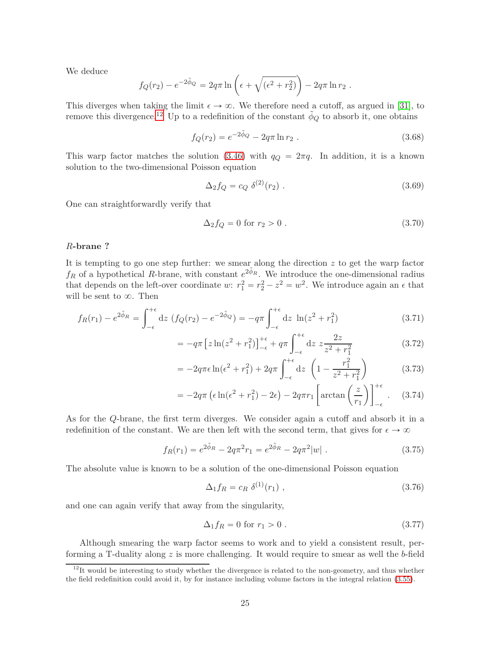We deduce

$$
f_Q(r_2) - e^{-2\tilde{\phi}_Q} = 2q\pi \ln\left(\epsilon + \sqrt{(\epsilon^2 + r_2^2)}\right) - 2q\pi \ln r_2.
$$

This diverges when taking the limit  $\epsilon \to \infty$ . We therefore need a cutoff, as argued in [\[31\]](#page-63-13), to remove this divergence.<sup>[12](#page-24-0)</sup> Up to a redefinition of the constant  $\phi_Q$  to absorb it, one obtains

$$
f_Q(r_2) = e^{-2\tilde{\phi}_Q} - 2q\pi \ln r_2 \,. \tag{3.68}
$$

This warp factor matches the solution [\(3.46\)](#page-20-1) with  $q_Q = 2\pi q$ . In addition, it is a known solution to the two-dimensional Poisson equation

<span id="page-24-1"></span>
$$
\Delta_2 f_Q = c_Q \ \delta^{(2)}(r_2) \ . \tag{3.69}
$$

One can straightforwardly verify that

$$
\Delta_2 f_Q = 0 \text{ for } r_2 > 0. \tag{3.70}
$$

### *R***-brane ?**

It is tempting to go one step further: we smear along the direction  $z$  to get the warp factor *f*<sub>*R*</sub> of a hypothetical *R*-brane, with constant  $e^{2\tilde{\phi}_R}$ . We introduce the one-dimensional radius that depends on the left-over coordinate *w*:  $r_1^2 = r_2^2 - z^2 = w^2$ . We introduce again an  $\epsilon$  that will be sent to  $\infty$ . Then

$$
f_R(r_1) - e^{2\tilde{\phi}_R} = \int_{-\epsilon}^{+\epsilon} dz \, (f_Q(r_2) - e^{-2\tilde{\phi}_Q}) = -q\pi \int_{-\epsilon}^{+\epsilon} dz \, \ln(z^2 + r_1^2)
$$
 (3.71)

$$
= -q\pi \left[ z \ln(z^2 + r_1^2) \right]_{-\epsilon}^{+\epsilon} + q\pi \int_{-\epsilon}^{+\epsilon} dz \ z \frac{2z}{z^2 + r_1^2}
$$
(3.72)

$$
= -2q\pi\epsilon\ln(\epsilon^2 + r_1^2) + 2q\pi \int_{-\epsilon}^{+\epsilon} dz \left(1 - \frac{r_1^2}{z^2 + r_1^2}\right) \tag{3.73}
$$

$$
= -2q\pi \left(\epsilon \ln(\epsilon^2 + r_1^2) - 2\epsilon\right) - 2q\pi r_1 \left[\arctan\left(\frac{z}{r_1}\right)\right]_{-\epsilon}^{+\epsilon} . \quad (3.74)
$$

As for the *Q*-brane, the first term diverges. We consider again a cutoff and absorb it in a redefinition of the constant. We are then left with the second term, that gives for  $\epsilon \to \infty$ 

<span id="page-24-2"></span>
$$
f_R(r_1) = e^{2\tilde{\phi}_R} - 2q\pi^2 r_1 = e^{2\tilde{\phi}_R} - 2q\pi^2 |w| \tag{3.75}
$$

The absolute value is known to be a solution of the one-dimensional Poisson equation

$$
\Delta_1 f_R = c_R \, \delta^{(1)}(r_1) \tag{3.76}
$$

and one can again verify that away from the singularity,

$$
\Delta_1 f_R = 0 \text{ for } r_1 > 0. \tag{3.77}
$$

Although smearing the warp factor seems to work and to yield a consistent result, performing a T-duality along *z* is more challenging. It would require to smear as well the *b*-field

<span id="page-24-0"></span> $12$ It would be interesting to study whether the divergence is related to the non-geometry, and thus whether the field redefinition could avoid it, by for instance including volume factors in the integral relation [\(3.55\)](#page-22-0).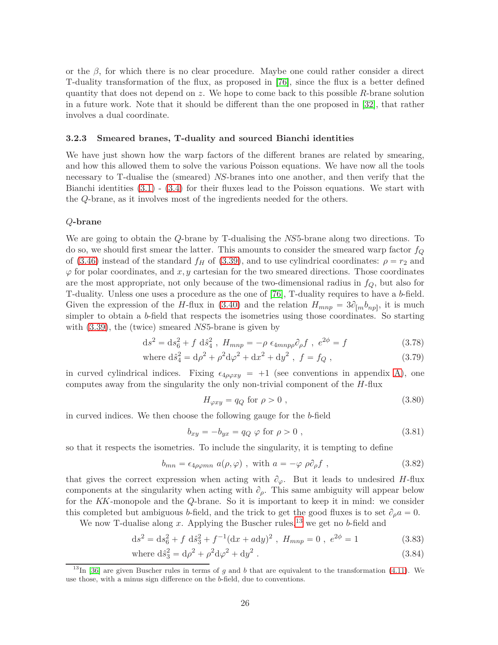or the *β*, for which there is no clear procedure. Maybe one could rather consider a direct T-duality transformation of the flux, as proposed in [\[76\]](#page-66-7), since the flux is a better defined quantity that does not depend on *z*. We hope to come back to this possible *R*-brane solution in a future work. Note that it should be different than the one proposed in [\[32\]](#page-63-14), that rather involves a dual coordinate.

#### <span id="page-25-0"></span>**3.2.3 Smeared branes, T-duality and sourced Bianchi identities**

We have just shown how the warp factors of the different branes are related by smearing, and how this allowed them to solve the various Poisson equations. We have now all the tools necessary to T-dualise the (smeared) *NS*-branes into one another, and then verify that the Bianchi identities [\(3.1\)](#page-12-5) - [\(3.4\)](#page-12-6) for their fluxes lead to the Poisson equations. We start with the *Q*-brane, as it involves most of the ingredients needed for the others.

### *Q***-brane**

We are going to obtain the *Q*-brane by T-dualising the *NS*5-brane along two directions. To do so, we should first smear the latter. This amounts to consider the smeared warp factor *f<sup>Q</sup>* of [\(3.46\)](#page-20-1) instead of the standard  $f_H$  of [\(3.39\)](#page-19-3), and to use cylindrical coordinates:  $\rho = r_2$  and *ϕ* for polar coordinates, and *x, y* cartesian for the two smeared directions. Those coordinates are the most appropriate, not only because of the two-dimensional radius in *fQ*, but also for T-duality. Unless one uses a procedure as the one of [\[76\]](#page-66-7), T-duality requires to have a *b*-field. Given the expression of the *H*-flux in [\(3.40\)](#page-19-2) and the relation  $H_{mnp} = 3\partial_{[m}b_{np]},$  it is much simpler to obtain a *b*-field that respects the isometries using those coordinates. So starting with [\(3.39\)](#page-19-3), the (twice) smeared *NS*5-brane is given by

$$
ds^{2} = ds_{6}^{2} + f ds_{4}^{2}, H_{mnp} = -\rho \epsilon_{4mnp\rho} \partial_{\rho} f , e^{2\phi} = f
$$
 (3.78)

where 
$$
d\hat{s}_4^2 = d\rho^2 + \rho^2 d\varphi^2 + dx^2 + dy^2
$$
,  $f = f_Q$ , (3.79)

in curved cylindrical indices. Fixing  $\epsilon_{4\rho\varphi xy} = +1$  (see conventions in appendix [A\)](#page-46-0), one computes away from the singularity the only non-trivial component of the *H*-flux

$$
H_{\varphi xy} = q_Q \text{ for } \rho > 0 ,\qquad (3.80)
$$

in curved indices. We then choose the following gauge for the *b*-field

$$
b_{xy} = -b_{yx} = q_Q \varphi \text{ for } \rho > 0 , \qquad (3.81)
$$

so that it respects the isometries. To include the singularity, it is tempting to define

<span id="page-25-2"></span>
$$
b_{mn} = \epsilon_{4\rho\varphi mn} \ a(\rho, \varphi) \ , \text{ with } a = -\varphi \ \rho \partial_{\rho} f \ , \tag{3.82}
$$

that gives the correct expression when acting with  $\partial_{\varphi}$ . But it leads to undesired *H*-flux components at the singularity when acting with  $\partial_{\rho}$ . This same ambiguity will appear below for the *KK*-monopole and the *Q*-brane. So it is important to keep it in mind: we consider this completed but ambiguous *b*-field, and the trick to get the good fluxes is to set  $\partial_{\rho}a = 0$ .

We now T-dualise along  $x$ . Applying the Buscher rules,<sup>[13](#page-25-1)</sup> we get no *b*-field and

$$
ds^{2} = ds_{6}^{2} + f d\hat{s}_{3}^{2} + f^{-1}(dx + ady)^{2}, H_{mnp} = 0, e^{2\phi} = 1
$$
 (3.83)

where 
$$
d\hat{s}_3^2 = d\rho^2 + \rho^2 d\varphi^2 + dy^2
$$
. (3.84)

<span id="page-25-1"></span><sup>&</sup>lt;sup>13</sup>In [\[36\]](#page-64-1) are given Buscher rules in terms of  $g$  and  $b$  that are equivalent to the transformation [\(4.11\)](#page-32-0). We use those, with a minus sign difference on the *b*-field, due to conventions.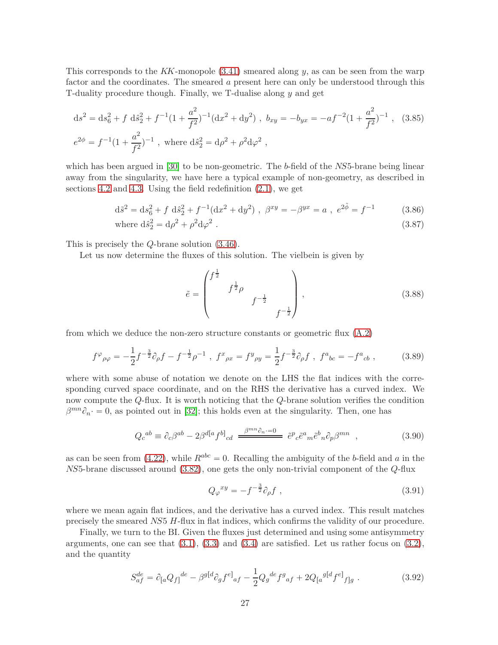This corresponds to the *KK*-monopole [\(3.41\)](#page-19-4) smeared along *y*, as can be seen from the warp factor and the coordinates. The smeared *a* present here can only be understood through this T-duality procedure though. Finally, we T-dualise along *y* and get

$$
ds^{2} = ds_{6}^{2} + f d\hat{s}_{2}^{2} + f^{-1}(1 + \frac{a^{2}}{f^{2}})^{-1}(dx^{2} + dy^{2}), b_{xy} = -b_{yx} = -af^{-2}(1 + \frac{a^{2}}{f^{2}})^{-1}, (3.85)
$$
  

$$
e^{2\phi} = f^{-1}(1 + \frac{a^{2}}{f^{2}})^{-1}, \text{ where } d\hat{s}_{2}^{2} = d\rho^{2} + \rho^{2}d\varphi^{2},
$$

which has been argued in [\[30\]](#page-63-12) to be non-geometric. The *b*-field of the *NS*5-brane being linear away from the singularity, we have here a typical example of non-geometry, as described in sections [4.2](#page-34-0) and [4.3.](#page-39-0) Using the field redefinition [\(2.1\)](#page-7-3), we get

$$
d\tilde{s}^2 = ds_6^2 + f \ d\hat{s}_2^2 + f^{-1}(dx^2 + dy^2) , \ \beta^{xy} = -\beta^{yx} = a , \ e^{2\tilde{\phi}} = f^{-1}
$$
 (3.86)

where 
$$
d\hat{s}_2^2 = d\rho^2 + \rho^2 d\varphi^2
$$
. (3.87)

This is precisely the *Q*-brane solution [\(3.46\)](#page-20-1).

Let us now determine the fluxes of this solution. The vielbein is given by

<span id="page-26-0"></span>
$$
\tilde{e} = \begin{pmatrix} f^{\frac{1}{2}} & & & \\ & f^{\frac{1}{2}} \rho & & \\ & & f^{-\frac{1}{2}} & \\ & & & f^{-\frac{1}{2}} \end{pmatrix},
$$
\n(3.88)

from which we deduce the non-zero structure constants or geometric flux  $(A.2)$ 

$$
f^{\varphi}{}_{\rho\varphi} = -\frac{1}{2}f^{-\frac{3}{2}}\partial_{\rho}f - f^{-\frac{1}{2}}\rho^{-1} , \ f^{x}{}_{\rho x} = f^{y}{}_{\rho y} = \frac{1}{2}f^{-\frac{3}{2}}\partial_{\rho}f , \ f^{a}{}_{bc} = -f^{a}{}_{cb} , \qquad (3.89)
$$

where with some abuse of notation we denote on the LHS the flat indices with the corresponding curved space coordinate, and on the RHS the derivative has a curved index. We now compute the *Q*-flux. It is worth noticing that the *Q*-brane solution verifies the condition  $\beta^{mn}\partial_n = 0$ , as pointed out in [\[32\]](#page-63-14); this holds even at the singularity. Then, one has

<span id="page-26-1"></span>
$$
Q_c{}^{ab} \equiv \partial_c \beta^{ab} - 2\beta^{d[a} f^{b]}{}_{cd} \stackrel{\beta^{mn}\partial_n := 0}{=} \tilde{e}^p{}_c \tilde{e}^a{}_m \tilde{e}^b{}_n \partial_p \beta^{mn} \quad , \tag{3.90}
$$

as can be seen from [\(4.22\)](#page-35-1), while  $R^{abc} = 0$ . Recalling the ambiguity of the *b*-field and *a* in the *NS*5-brane discussed around [\(3.82\)](#page-25-2), one gets the only non-trivial component of the *Q*-flux

$$
Q_{\varphi}^{\quad xy} = -f^{-\frac{3}{2}} \partial_{\rho} f \tag{3.91}
$$

where we mean again flat indices, and the derivative has a curved index. This result matches precisely the smeared *NS*5 *H*-flux in flat indices, which confirms the validity of our procedure.

Finally, we turn to the BI. Given the fluxes just determined and using some antisymmetry arguments, one can see that  $(3.1)$ ,  $(3.3)$  and  $(3.4)$  are satisfied. Let us rather focus on  $(3.2)$ , and the quantity

$$
S_{af}^{de} = \partial_{[a}Q_{f]}^{de} - \beta^{g[d}\partial_{g}f^{e]}_{af} - \frac{1}{2}Q_{g}^{de}f^{g}{}_{af} + 2Q_{[a}^{g[d}f^{e]}_{f]g} . \tag{3.92}
$$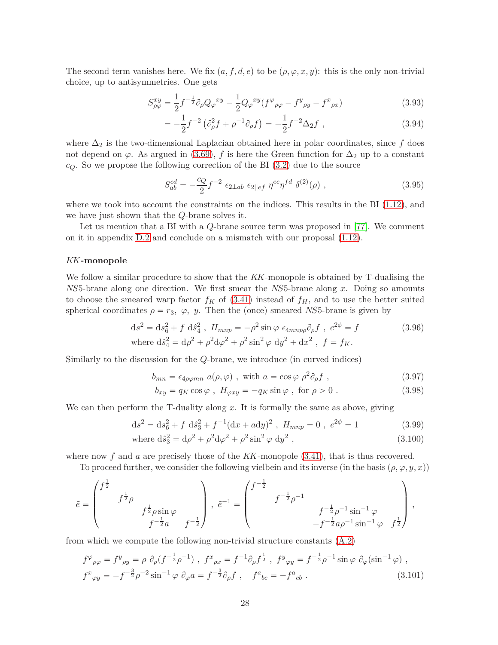The second term vanishes here. We fix  $(a, f, d, e)$  to be  $(\rho, \varphi, x, y)$ : this is the only non-trivial choice, up to antisymmetries. One gets

$$
S_{\rho\varphi}^{xy} = \frac{1}{2} f^{-\frac{1}{2}} \partial_{\rho} Q_{\varphi}^{xy} - \frac{1}{2} Q_{\varphi}^{xy} (f^{\varphi}_{\rho\varphi} - f^{y}_{\rho y} - f^{x}_{\rho x})
$$
(3.93)

<span id="page-27-0"></span>
$$
= -\frac{1}{2}f^{-2}\left(\partial_{\rho}^{2}f + \rho^{-1}\partial_{\rho}f\right) = -\frac{1}{2}f^{-2}\Delta_{2}f , \qquad (3.94)
$$

where  $\Delta_2$  is the two-dimensional Laplacian obtained here in polar coordinates, since f does not depend on  $\varphi$ . As argued in [\(3.69\)](#page-24-1), *f* is here the Green function for  $\Delta_2$  up to a constant  $c_Q$ . So we propose the following correction of the BI  $(3.2)$  due to the source

$$
S_{ab}^{cd} = -\frac{c_Q}{2} f^{-2} \epsilon_{2 \perp ab} \epsilon_{2||ef} \eta^{ec} \eta^{fd} \delta^{(2)}(\rho) , \qquad (3.95)
$$

where we took into account the constraints on the indices. This results in the BI  $(1.12)$ , and we have just shown that the *Q*-brane solves it.

Let us mention that a BI with a *Q*-brane source term was proposed in [\[77\]](#page-66-8). We comment on it in appendix [D.2](#page-57-0) and conclude on a mismatch with our proposal [\(1.12\)](#page-4-4).

### *KK***-monopole**

We follow a similar procedure to show that the *KK*-monopole is obtained by T-dualising the *NS*5-brane along one direction. We first smear the *NS*5-brane along *x*. Doing so amounts to choose the smeared warp factor  $f_K$  of [\(3.41\)](#page-19-4) instead of  $f_H$ , and to use the better suited spherical coordinates  $\rho = r_3$ ,  $\varphi$ , y. Then the (once) smeared *NS*5-brane is given by

$$
ds^{2} = ds_{6}^{2} + f d\hat{s}_{4}^{2}, H_{mnp} = -\rho^{2} \sin \varphi \epsilon_{4mnp\rho} \partial_{\rho} f , e^{2\phi} = f
$$
 (3.96)  
where  $d\hat{s}_{4}^{2} = d\rho^{2} + \rho^{2} d\varphi^{2} + \rho^{2} \sin^{2} \varphi d\varphi^{2} + dx^{2}, f = f_{K}.$ 

Similarly to the discussion for the *Q*-brane, we introduce (in curved indices)

$$
b_{mn} = \epsilon_{4\rho\varphi mn} \ a(\rho, \varphi) \ , \text{ with } a = \cos\varphi \ \rho^2 \partial_{\rho} f \ , \tag{3.97}
$$

$$
b_{xy} = q_K \cos \varphi , H_{\varphi xy} = -q_K \sin \varphi , \text{ for } \rho > 0 . \qquad (3.98)
$$

We can then perform the T-duality along *x*. It is formally the same as above, giving

$$
ds^{2} = ds_{6}^{2} + f d\hat{s}_{3}^{2} + f^{-1}(dx + ady)^{2}, H_{mnp} = 0, e^{2\phi} = 1
$$
 (3.99)

where 
$$
d\hat{s}_3^2 = d\rho^2 + \rho^2 d\varphi^2 + \rho^2 \sin^2 \varphi \ dy^2
$$
, (3.100)

where now *f* and *a* are precisely those of the *KK*-monopole  $(3.41)$ , that is thus recovered.

To proceed further, we consider the following vielbein and its inverse (in the basis  $(\rho, \varphi, y, x)$ )

$$
\tilde{e} = \begin{pmatrix} f^{\frac{1}{2}} & & & \\ & f^{\frac{1}{2}} \rho & & \\ & & f^{\frac{1}{2}} \rho \sin \varphi & \\ & & & f^{-\frac{1}{2}} a & f^{-\frac{1}{2}} \end{pmatrix}, \ \tilde{e}^{-1} = \begin{pmatrix} f^{-\frac{1}{2}} & & & \\ & f^{-\frac{1}{2}} \rho^{-1} & & \\ & & f^{-\frac{1}{2}} \rho^{-1} \sin^{-1} \varphi & \\ & & -f^{-\frac{1}{2}} a \rho^{-1} \sin^{-1} \varphi & f^{\frac{1}{2}} \end{pmatrix},
$$

from which we compute the following non-trivial structure constants [\(A.2\)](#page-46-1)

$$
f^{\varphi}{}_{\rho\varphi} = f^{y}{}_{\rho y} = \rho \; \partial_{\rho} (f^{-\frac{1}{2}} \rho^{-1}) \; , \; f^{x}{}_{\rho x} = f^{-1} \partial_{\rho} f^{\frac{1}{2}} \; , \; f^{y}{}_{\varphi y} = f^{-\frac{1}{2}} \rho^{-1} \sin \varphi \; \partial_{\varphi} (\sin^{-1} \varphi) \; ,
$$
  

$$
f^{x}{}_{\varphi y} = -f^{-\frac{3}{2}} \rho^{-2} \sin^{-1} \varphi \; \partial_{\varphi} a = f^{-\frac{3}{2}} \partial_{\rho} f \; , \quad f^{a}{}_{bc} = -f^{a}{}_{cb} \; . \tag{3.101}
$$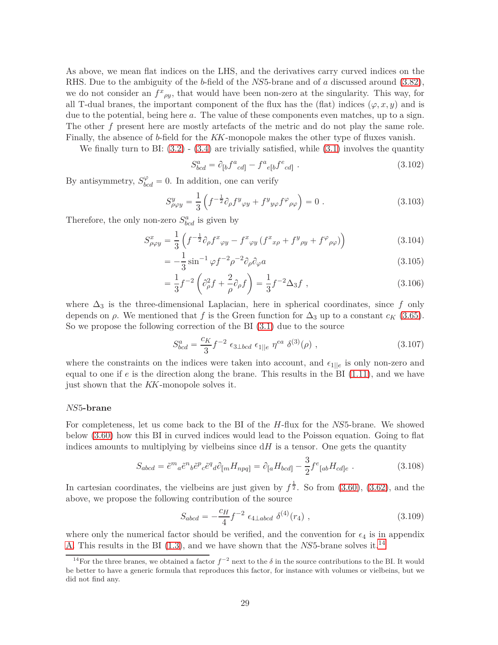As above, we mean flat indices on the LHS, and the derivatives carry curved indices on the RHS. Due to the ambiguity of the *b*-field of the *NS*5-brane and of *a* discussed around [\(3.82\)](#page-25-2), we do not consider an  $f^x{}_{\rho y}$ , that would have been non-zero at the singularity. This way, for all T-dual branes, the important component of the flux has the (flat) indices  $(\varphi, x, y)$  and is due to the potential, being here *a*. The value of these components even matches, up to a sign. The other *f* present here are mostly artefacts of the metric and do not play the same role. Finally, the absence of *b*-field for the *KK*-monopole makes the other type of fluxes vanish.

We finally turn to BI:  $(3.2)$  -  $(3.4)$  are trivially satisfied, while  $(3.1)$  involves the quantity

$$
S_{bcd}^a = \partial_{[b} f^a{}_{cd]} - f^a{}_{e[b} f^e{}_{cd]} \tag{3.102}
$$

By antisymmetry,  $S_{bcd}^{\varphi} = 0$ . In addition, one can verify

$$
S_{\rho\varphi y}^{y} = \frac{1}{3} \left( f^{-\frac{1}{2}} \partial_{\rho} f^{y}{}_{\varphi y} + f^{y}{}_{y\varphi} f^{\varphi}{}_{\rho\varphi} \right) = 0 \tag{3.103}
$$

Therefore, the only non-zero  $S^a_{bcd}$  is given by

$$
S_{\rho\varphi y}^{x} = \frac{1}{3} \left( f^{-\frac{1}{2}} \partial_{\rho} f^{x}{}_{\varphi y} - f^{x}{}_{\varphi y} \left( f^{x}{}_{x\rho} + f^{y}{}_{\rho y} + f^{\varphi}{}_{\rho\varphi} \right) \right)
$$
(3.104)

$$
= -\frac{1}{3}\sin^{-1}\varphi f^{-2}\rho^{-2}\partial_{\rho}\partial_{\varphi}a\tag{3.105}
$$

$$
=\frac{1}{3}f^{-2}\left(\partial_{\rho}^{2}f+\frac{2}{\rho}\partial_{\rho}f\right)=\frac{1}{3}f^{-2}\Delta_{3}f\;, \tag{3.106}
$$

where  $\Delta_3$  is the three-dimensional Laplacian, here in spherical coordinates, since f only depends on  $\rho$ . We mentioned that f is the Green function for  $\Delta_3$  up to a constant  $c_K$  [\(3.65\)](#page-23-0). So we propose the following correction of the BI [\(3.1\)](#page-12-5) due to the source

$$
S_{bcd}^{a} = \frac{c_K}{3} f^{-2} \epsilon_{3 \perp bcd} \epsilon_{1||e} \eta^{ea} \delta^{(3)}(\rho) , \qquad (3.107)
$$

where the constraints on the indices were taken into account, and  $\epsilon_{1||e}$  is only non-zero and equal to one if  $e$  is the direction along the brane. This results in the BI  $(1.11)$ , and we have just shown that the *KK*-monopole solves it.

### *NS*5**-brane**

For completeness, let us come back to the BI of the *H*-flux for the *NS*5-brane. We showed below [\(3.60\)](#page-22-3) how this BI in curved indices would lead to the Poisson equation. Going to flat indices amounts to multiplying by vielbeins since  $dH$  is a tensor. One gets the quantity

$$
S_{abcd} = \tilde{e}^m{}_a \tilde{e}^n{}_b \tilde{e}^p{}_c \tilde{e}^q{}_d \partial_{[m} H_{npq]} = \partial_{[a} H_{bcd]} - \frac{3}{2} f^e_{[ab} H_{cd]e} . \tag{3.108}
$$

In cartesian coordinates, the vielbeins are just given by  $f^{\frac{1}{2}}$ . So from [\(3.60\)](#page-22-3), [\(3.62\)](#page-22-4), and the above, we propose the following contribution of the source

$$
S_{abcd} = -\frac{c_H}{4} f^{-2} \epsilon_{4 \perp abcd} \delta^{(4)}(r_4) , \qquad (3.109)
$$

where only the numerical factor should be verified, and the convention for  $\epsilon_4$  is in appendix [A.](#page-46-0) This results in the BI [\(1.3\)](#page-3-0), and we have shown that the *NS*5-brane solves it.[14](#page-28-0)

<span id="page-28-0"></span><sup>&</sup>lt;sup>14</sup>For the three branes, we obtained a factor  $f^{-2}$  next to the  $\delta$  in the source contributions to the BI. It would be better to have a generic formula that reproduces this factor, for instance with volumes or vielbeins, but we did not find any.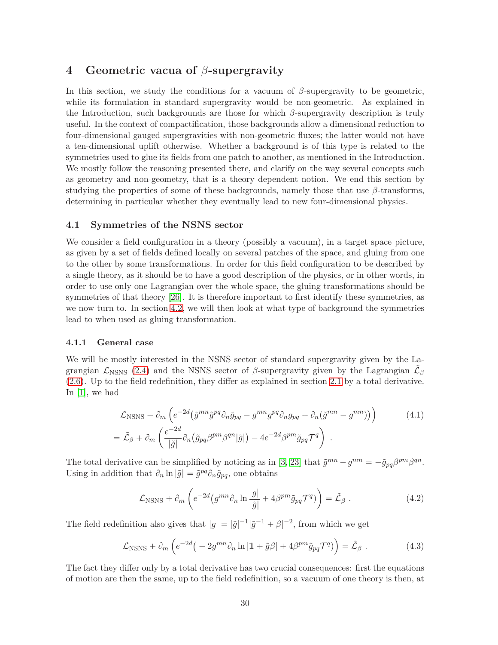### <span id="page-29-0"></span>**4 Geometric vacua of** *β***-supergravity**

In this section, we study the conditions for a vacuum of *β*-supergravity to be geometric, while its formulation in standard supergravity would be non-geometric. As explained in the Introduction, such backgrounds are those for which *β*-supergravity description is truly useful. In the context of compactification, those backgrounds allow a dimensional reduction to four-dimensional gauged supergravities with non-geometric fluxes; the latter would not have a ten-dimensional uplift otherwise. Whether a background is of this type is related to the symmetries used to glue its fields from one patch to another, as mentioned in the Introduction. We mostly follow the reasoning presented there, and clarify on the way several concepts such as geometry and non-geometry, that is a theory dependent notion. We end this section by studying the properties of some of these backgrounds, namely those that use *β*-transforms, determining in particular whether they eventually lead to new four-dimensional physics.

### <span id="page-29-1"></span>**4.1 Symmetries of the NSNS sector**

We consider a field configuration in a theory (possibly a vacuum), in a target space picture, as given by a set of fields defined locally on several patches of the space, and gluing from one to the other by some transformations. In order for this field configuration to be described by a single theory, as it should be to have a good description of the physics, or in other words, in order to use only one Lagrangian over the whole space, the gluing transformations should be symmetries of that theory [\[26\]](#page-63-8). It is therefore important to first identify these symmetries, as we now turn to. In section [4.2,](#page-34-0) we will then look at what type of background the symmetries lead to when used as gluing transformation.

### <span id="page-29-2"></span>**4.1.1 General case**

We will be mostly interested in the NSNS sector of standard supergravity given by the Lagrangian  $\mathcal{L}_{\text{NSNS}}$  [\(2.4\)](#page-7-2) and the NSNS sector of *β*-supergravity given by the Lagrangian  $\tilde{\mathcal{L}}_{\beta}$ [\(2.6\)](#page-7-4). Up to the field redefinition, they differ as explained in section [2.1](#page-7-1) by a total derivative. In [\[1\]](#page-62-16), we had

$$
\mathcal{L}_{\text{NSNS}} - \partial_m \left( e^{-2d} \left( \tilde{g}^{mn} \tilde{g}^{pq} \partial_n \tilde{g}_{pq} - g^{mn} g^{pq} \partial_n g_{pq} + \partial_n (\tilde{g}^{mn} - g^{mn}) \right) \right)
$$
(4.1)  
=  $\tilde{\mathcal{L}}_{\beta} + \partial_m \left( \frac{e^{-2d}}{|\tilde{g}|} \partial_n \left( \tilde{g}_{pq} \beta^{pm} \beta^{qn} |\tilde{g}| \right) - 4e^{-2d} \beta^{pm} \tilde{g}_{pq} \mathcal{T}^q \right)$ .

The total derivative can be simplified by noticing as in [\[3,](#page-62-1) [23\]](#page-63-5) that  $\tilde{g}^{mn} - g^{mn} = -\tilde{g}_{pq}\beta^{pm}\beta^{qn}$ . Using in addition that  $\partial_n \ln |\tilde{g}| = \tilde{g}^{pq} \partial_n \tilde{g}_{pq}$ , one obtains

$$
\mathcal{L}_{\text{NSNS}} + \partial_m \left( e^{-2d} \left( g^{mn} \partial_n \ln \frac{|g|}{|\tilde{g}|} + 4 \beta^{pm} \tilde{g}_{pq} \mathcal{T}^q \right) \right) = \tilde{\mathcal{L}}_{\beta} . \tag{4.2}
$$

The field redefinition also gives that  $|g| = |\tilde{g}|^{-1} |\tilde{g}^{-1} + \beta|^{-2}$ , from which we get

<span id="page-29-3"></span>
$$
\mathcal{L}_{\text{NSNS}} + \partial_m \left( e^{-2d} \left( -2g^{mn} \partial_n \ln |\mathbb{1} + \tilde{g}\beta| + 4\beta^{pm} \tilde{g}_{pq} \mathcal{T}^q \right) \right) = \tilde{\mathcal{L}}_{\beta} . \tag{4.3}
$$

The fact they differ only by a total derivative has two crucial consequences: first the equations of motion are then the same, up to the field redefinition, so a vacuum of one theory is then, at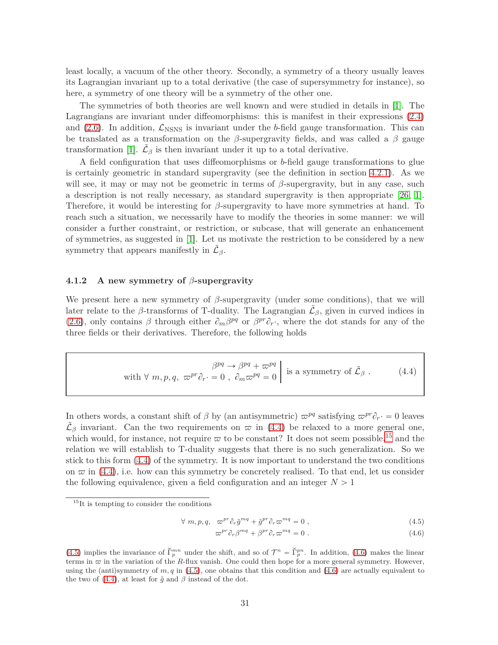least locally, a vacuum of the other theory. Secondly, a symmetry of a theory usually leaves its Lagrangian invariant up to a total derivative (the case of supersymmetry for instance), so here, a symmetry of one theory will be a symmetry of the other one.

The symmetries of both theories are well known and were studied in details in [\[1\]](#page-62-16). The Lagrangians are invariant under diffeomorphisms: this is manifest in their expressions [\(2.4\)](#page-7-2) and [\(2.6\)](#page-7-4). In addition,  $\mathcal{L}_{\text{NSNS}}$  is invariant under the *b*-field gauge transformation. This can be translated as a transformation on the *β*-supergravity fields, and was called a *β* gauge transformation [\[1\]](#page-62-16).  $\tilde{\mathcal{L}}_{\beta}$  is then invariant under it up to a total derivative.

A field configuration that uses diffeomorphisms or *b*-field gauge transformations to glue is certainly geometric in standard supergravity (see the definition in section [4.2.1\)](#page-35-0). As we will see, it may or may not be geometric in terms of *β*-supergravity, but in any case, such a description is not really necessary, as standard supergravity is then appropriate [\[26,](#page-63-8) [1\]](#page-62-16). Therefore, it would be interesting for *β*-supergravity to have more symmetries at hand. To reach such a situation, we necessarily have to modify the theories in some manner: we will consider a further constraint, or restriction, or subcase, that will generate an enhancement of symmetries, as suggested in [\[1\]](#page-62-16). Let us motivate the restriction to be considered by a new symmetry that appears manifestly in  $\tilde{\mathcal{L}}_{\beta}$ .

### <span id="page-30-0"></span>**4.1.2 A new symmetry of** *β***-supergravity**

We present here a new symmetry of *β*-supergravity (under some conditions), that we will later relate to the *β*-transforms of T-duality. The Lagrangian  $\tilde{\mathcal{L}}_{\beta}$ , given in curved indices in [\(2.6\)](#page-7-4), only contains  $\beta$  through either  $\partial_m \beta^{pq}$  or  $\beta^{pr} \partial_r$ ; where the dot stands for any of the three fields or their derivatives. Therefore, the following holds

> <span id="page-30-1"></span> $\beta^{pq} \rightarrow \beta^{pq} + \omega^{pq}$ with  $\forall m, p, q, \ \varpi^{pr} \partial_r \cdot = 0$ ,  $\partial_m \varpi^{pq} = 0$  is a symmetry of  $\tilde{\mathcal{L}}$  $(4.4)$

In others words, a constant shift of  $\beta$  by (an antisymmetric)  $\varpi^{pq}$  satisfying  $\varpi^{pr}\partial_r = 0$  leaves  $\tilde{\mathcal{L}}_{\beta}$  invariant. Can the two requirements on  $\varpi$  in [\(4.4\)](#page-30-1) be relaxed to a more general one, which would, for instance, not require  $\varpi$  to be constant? It does not seem possible,<sup>[15](#page-30-2)</sup> and the relation we will establish to T-duality suggests that there is no such generalization. So we stick to this form [\(4.4\)](#page-30-1) of the symmetry. It is now important to understand the two conditions on  $\bar{\omega}$  in [\(4.4\)](#page-30-1), i.e. how can this symmetry be concretely realised. To that end, let us consider the following equivalence, given a field configuration and an integer  $N > 1$ 

$$
\forall m, p, q, \quad \varpi^{pr} \partial_r \tilde{g}^{mq} + \tilde{g}^{pr} \partial_r \varpi^{mq} = 0 , \qquad (4.5)
$$

<span id="page-30-4"></span><span id="page-30-3"></span>
$$
\varpi^{pr} \partial_r \beta^{mq} + \beta^{pr} \partial_r \varpi^{mq} = 0 \tag{4.6}
$$

<span id="page-30-2"></span> $^{15}$ It is tempting to consider the conditions

[<sup>\(4.5\)</sup>](#page-30-3) implies the invariance of  $\tilde{\Gamma}_p^{mn}$  under the shift, and so of  $\mathcal{T}^n = \tilde{\Gamma}_p^{pn}$ . In addition, [\(4.6\)](#page-30-4) makes the linear terms in  $\varpi$  in the variation of the *R*-flux vanish. One could then hope for a more general symmetry. However, using the (anti)symmetry of  $m, q$  in [\(4.5\)](#page-30-3), one obtains that this condition and [\(4.6\)](#page-30-4) are actually equivalent to the two of  $(4.4)$ , at least for  $\tilde{g}$  and  $\beta$  instead of the dot.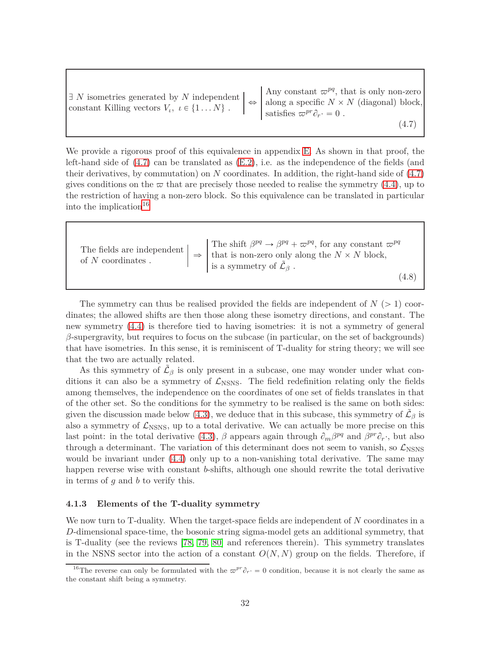<span id="page-31-1"></span>D *N* isometries generated by *N* independent constant Killing vectors  $V_i$ ,  $i \in \{1...N\}$ . Any constant  $\varpi^{pq}$ , that is only non-zero along a specific  $N \times N$  (diagonal) block, satisfies  $\varpi^{pr} \partial_r \cdot = 0$ . (4.7)

We provide a rigorous proof of this equivalence in appendix [E.](#page-58-0) As shown in that proof, the left-hand side of [\(4.7\)](#page-31-1) can be translated as [\(E.2\)](#page-59-0), i.e. as the independence of the fields (and their derivatives, by commutation) on *N* coordinates. In addition, the right-hand side of [\(4.7\)](#page-31-1) gives conditions on the  $\varpi$  that are precisely those needed to realise the symmetry [\(4.4\)](#page-30-1), up to the restriction of having a non-zero block. So this equivalence can be translated in particular into the implication  $16$ 

<span id="page-31-3"></span>The fields are independent 
$$
\left| \Rightarrow \right|
$$
 The shift  $\beta^{pq} \rightarrow \beta^{pq} + \varpi^{pq}$ , for any constant  $\varpi^{pq}$  of  $N$  coordinates.  $\left| \Rightarrow \right|$  is a symmetry of  $\tilde{\mathcal{L}}_{\beta}$ .  $(4.8)$ 

The symmetry can thus be realised provided the fields are independent of  $N$  ( $> 1$ ) coordinates; the allowed shifts are then those along these isometry directions, and constant. The new symmetry [\(4.4\)](#page-30-1) is therefore tied to having isometries: it is not a symmetry of general *β*-supergravity, but requires to focus on the subcase (in particular, on the set of backgrounds) that have isometries. In this sense, it is reminiscent of T-duality for string theory; we will see that the two are actually related.

As this symmetry of  $\tilde{\mathcal{L}}_{\beta}$  is only present in a subcase, one may wonder under what conditions it can also be a symmetry of  $\mathcal{L}_{\text{NSNS}}$ . The field redefinition relating only the fields among themselves, the independence on the coordinates of one set of fields translates in that of the other set. So the conditions for the symmetry to be realised is the same on both sides: given the discussion made below [\(4.3\)](#page-29-3), we deduce that in this subcase, this symmetry of  $\tilde{\mathcal{L}}_{\beta}$  is also a symmetry of  $\mathcal{L}_{NSNS}$ , up to a total derivative. We can actually be more precise on this last point: in the total derivative [\(4.3\)](#page-29-3),  $\beta$  appears again through  $\partial_m \beta^{pq}$  and  $\beta^{pr} \partial_r$ ; but also through a determinant. The variation of this determinant does not seem to vanish, so  $\mathcal{L}_{\mathrm{NSNS}}$ would be invariant under [\(4.4\)](#page-30-1) only up to a non-vanishing total derivative. The same may happen reverse wise with constant *b*-shifts, although one should rewrite the total derivative in terms of *g* and *b* to verify this.

### <span id="page-31-0"></span>**4.1.3 Elements of the T-duality symmetry**

We now turn to T-duality. When the target-space fields are independent of *N* coordinates in a *D*-dimensional space-time, the bosonic string sigma-model gets an additional symmetry, that is T-duality (see the reviews [\[78,](#page-66-9) [79,](#page-66-10) [80\]](#page-66-11) and references therein). This symmetry translates in the NSNS sector into the action of a constant  $O(N, N)$  group on the fields. Therefore, if

<span id="page-31-2"></span><sup>&</sup>lt;sup>16</sup>The reverse can only be formulated with the  $\varpi^{pr}\partial_r \cdot = 0$  condition, because it is not clearly the same as the constant shift being a symmetry.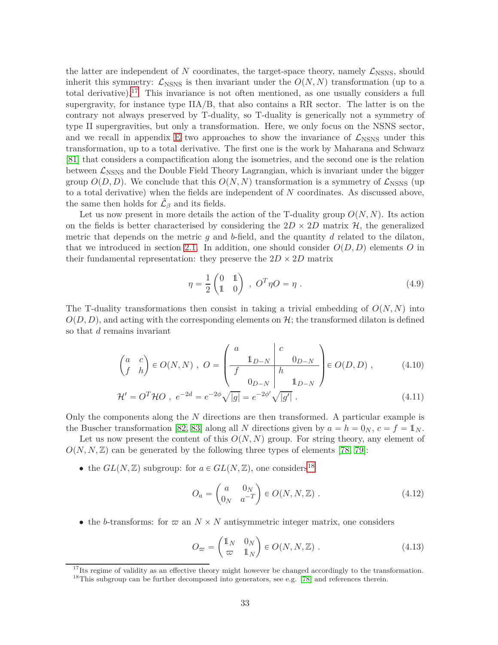the latter are independent of  $N$  coordinates, the target-space theory, namely  $\mathcal{L}_{\text{NSNS}}$ , should inherit this symmetry:  $\mathcal{L}_{\text{NSNS}}$  is then invariant under the  $O(N, N)$  transformation (up to a total derivative).[17](#page-32-1) This invariance is not often mentioned, as one usually considers a full supergravity, for instance type  $IIA/B$ , that also contains a RR sector. The latter is on the contrary not always preserved by T-duality, so T-duality is generically not a symmetry of type II supergravities, but only a transformation. Here, we only focus on the NSNS sector, and we recall in appendix [E](#page-58-0) two approaches to show the invariance of  $\mathcal{L}_{\text{NSNS}}$  under this transformation, up to a total derivative. The first one is the work by Maharana and Schwarz [\[81\]](#page-66-12) that considers a compactification along the isometries, and the second one is the relation between  $\mathcal{L}_{\text{NSNS}}$  and the Double Field Theory Lagrangian, which is invariant under the bigger group  $O(D, D)$ . We conclude that this  $O(N, N)$  transformation is a symmetry of  $\mathcal{L}_{\text{NSNS}}$  (up to a total derivative) when the fields are independent of *N* coordinates. As discussed above, the same then holds for  $\tilde{\mathcal{L}}_{\beta}$  and its fields.

Let us now present in more details the action of the T-duality group  $O(N, N)$ . Its action on the fields is better characterised by considering the  $2D \times 2D$  matrix  $H$ , the generalized metric that depends on the metric *g* and *b*-field, and the quantity *d* related to the dilaton, that we introduced in section [2.1.](#page-7-1) In addition, one should consider  $O(D, D)$  elements *O* in their fundamental representation: they preserve the  $2D \times 2D$  matrix

<span id="page-32-3"></span>
$$
\eta = \frac{1}{2} \begin{pmatrix} 0 & 1 \\ 1 & 0 \end{pmatrix} , O^T \eta O = \eta . \qquad (4.9)
$$

The T-duality transformations then consist in taking a trivial embedding of  $O(N, N)$  into  $O(D, D)$ , and acting with the corresponding elements on  $\mathcal{H}$ ; the transformed dilaton is defined so that *d* remains invariant

$$
\begin{pmatrix} a & c \\ f & h \end{pmatrix} \in O(N, N) , O = \begin{pmatrix} a & c \\ \frac{\mathbb{1}_{D-N}}{f} & 0_{D-N} \\ 0_{D-N} & \mathbb{1}_{D-N} \end{pmatrix} \in O(D, D) , \qquad (4.10)
$$

$$
\mathcal{H}' = O^T \mathcal{H} O \ , \ e^{-2d} = e^{-2\phi} \sqrt{|g|} = e^{-2\phi'} \sqrt{|g'|} \ . \tag{4.11}
$$

Only the components along the *N* directions are then transformed. A particular example is the Buscher transformation [\[82,](#page-66-13) [83\]](#page-66-14) along all *N* directions given by  $a = h = 0_N$ ,  $c = f = 1_N$ .

Let us now present the content of this  $O(N, N)$  group. For string theory, any element of  $O(N, N, \mathbb{Z})$  can be generated by the following three types of elements [\[78,](#page-66-9) [79\]](#page-66-10):

• the  $GL(N, \mathbb{Z})$  subgroup: for  $a \in GL(N, \mathbb{Z})$ , one considers<sup>[18](#page-32-2)</sup>

<span id="page-32-0"></span>
$$
O_a = \begin{pmatrix} a & 0_N \\ 0_N & a^{-T} \end{pmatrix} \in O(N, N, \mathbb{Z}). \tag{4.12}
$$

• the *b*-transforms: for  $\varpi$  an  $N \times N$  antisymmetric integer matrix, one considers

$$
O_{\varpi} = \begin{pmatrix} \mathbb{1}_N & 0_N \\ \varpi & \mathbb{1}_N \end{pmatrix} \in O(N, N, \mathbb{Z}). \tag{4.13}
$$

<sup>&</sup>lt;sup>17</sup>Its regime of validity as an effective theory might however be changed accordingly to the transformation.

<span id="page-32-2"></span><span id="page-32-1"></span><sup>&</sup>lt;sup>18</sup>This subgroup can be further decomposed into generators, see e.g. [\[78\]](#page-66-9) and references therein.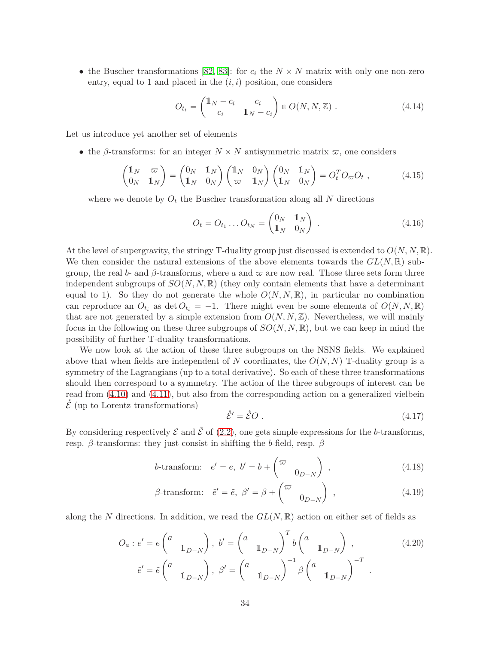• the Buscher transformations [\[82,](#page-66-13) [83\]](#page-66-14): for  $c_i$  the  $N \times N$  matrix with only one non-zero entry, equal to 1 and placed in the  $(i, i)$  position, one considers

$$
O_{t_i} = \begin{pmatrix} \mathbb{1}_N - c_i & c_i \\ c_i & \mathbb{1}_N - c_i \end{pmatrix} \in O(N, N, \mathbb{Z}) \tag{4.14}
$$

Let us introduce yet another set of elements

• the *β*-transforms: for an integer  $N \times N$  antisymmetric matrix  $\varpi$ , one considers

$$
\begin{pmatrix} \mathbb{1}_N & \varpi \\ 0_N & \mathbb{1}_N \end{pmatrix} = \begin{pmatrix} 0_N & \mathbb{1}_N \\ \mathbb{1}_N & 0_N \end{pmatrix} \begin{pmatrix} \mathbb{1}_N & 0_N \\ \varpi & \mathbb{1}_N \end{pmatrix} \begin{pmatrix} 0_N & \mathbb{1}_N \\ \mathbb{1}_N & 0_N \end{pmatrix} = O_t^T O_\varpi O_t \;, \tag{4.15}
$$

where we denote by  $O_t$  the Buscher transformation along all N directions

$$
O_t = O_{t_1} \dots O_{t_N} = \begin{pmatrix} 0_N & 1_N \\ 1_N & 0_N \end{pmatrix} .
$$
 (4.16)

At the level of supergravity, the stringy T-duality group just discussed is extended to  $O(N, N, \mathbb{R})$ . We then consider the natural extensions of the above elements towards the  $GL(N,\mathbb{R})$  subgroup, the real *b*- and  $\beta$ -transforms, where *a* and  $\varpi$  are now real. Those three sets form three independent subgroups of  $SO(N, N, \mathbb{R})$  (they only contain elements that have a determinant equal to 1). So they do not generate the whole  $O(N, N, \mathbb{R})$ , in particular no combination can reproduce an  $O_{t_i}$  as det  $O_{t_i} = -1$ . There might even be some elements of  $O(N, N, \mathbb{R})$ that are not generated by a simple extension from  $O(N, N, \mathbb{Z})$ . Nevertheless, we will mainly focus in the following on these three subgroups of  $SO(N, N, \mathbb{R})$ , but we can keep in mind the possibility of further T-duality transformations.

We now look at the action of these three subgroups on the NSNS fields. We explained above that when fields are independent of N coordinates, the  $O(N, N)$  T-duality group is a symmetry of the Lagrangians (up to a total derivative). So each of these three transformations should then correspond to a symmetry. The action of the three subgroups of interest can be read from [\(4.10\)](#page-32-3) and [\(4.11\)](#page-32-0), but also from the corresponding action on a generalized vielbein  $\mathcal E$  (up to Lorentz transformations)

<span id="page-33-2"></span><span id="page-33-1"></span><span id="page-33-0"></span>
$$
\mathring{\mathcal{E}}' = \mathring{\mathcal{E}}O \tag{4.17}
$$

By considering respectively  $\mathcal E$  and  $\tilde{\mathcal E}$  of [\(2.2\)](#page-7-5), one gets simple expressions for the *b*-transforms, resp. *β*-transforms: they just consist in shifting the *b*-field, resp. *β*

$$
b\text{-transform: } e' = e, \ b' = b + \begin{pmatrix} \varpi \\ 0_{D-N} \end{pmatrix} , \qquad (4.18)
$$

$$
\beta\text{-transform: } \tilde{e}' = \tilde{e}, \ \beta' = \beta + \begin{pmatrix} \varpi \\ 0_{D-N} \end{pmatrix} , \tag{4.19}
$$

along the N directions. In addition, we read the  $GL(N,\mathbb{R})$  action on either set of fields as

$$
O_a: e' = e \begin{pmatrix} a & b \\ b & b \end{pmatrix}, b' = \begin{pmatrix} a & b \\ b & b \end{pmatrix} b \begin{pmatrix} a & b \\ b & b \end{pmatrix},
$$
  
\n
$$
\tilde{e}' = \tilde{e} \begin{pmatrix} a & b \\ b & b \end{pmatrix}, \beta' = \begin{pmatrix} a & b \\ b & b \end{pmatrix} b \begin{pmatrix} a & b \\ b & b \end{pmatrix} b \begin{pmatrix} a & b \\ b & b \end{pmatrix} b \begin{pmatrix} a & b \\ b & b \end{pmatrix} b \begin{pmatrix} a & b \\ b & b \end{pmatrix} b \begin{pmatrix} a & b \\ b & b \end{pmatrix} b \begin{pmatrix} a & b \\ b & b \end{pmatrix} b \begin{pmatrix} a & b \\ b & b \end{pmatrix} b \begin{pmatrix} a & b \\ b & b \end{pmatrix} b \begin{pmatrix} a & b \\ b & b \end{pmatrix} b \begin{pmatrix} a & b \\ b & b \end{pmatrix} b \begin{pmatrix} a & b \\ b & b \end{pmatrix} b \begin{pmatrix} a & b \\ b & b \end{pmatrix} b \begin{pmatrix} a & b \\ b & b \end{pmatrix} b \begin{pmatrix} a & b \\ b & b \end{pmatrix} b \begin{pmatrix} a & b \\ b & b \end{pmatrix} b \begin{pmatrix} a & b \\ b & b \end{pmatrix} b \begin{pmatrix} a & b \\ b & b \end{pmatrix} b \begin{pmatrix} a & b \\ b & b \end{pmatrix} b \begin{pmatrix} a & b \\ b & b \end{pmatrix} b \begin{pmatrix} a & b \\ b & b \end{pmatrix} b \begin{pmatrix} a & b \\ b & b \end{pmatrix} b \begin{pmatrix} a & b \\ b & b \end{pmatrix} b \begin{pmatrix} a & b \\ b & b \end{pmatrix} b \begin{pmatrix} a & b \\ b & b \end{pmatrix} b \begin{pmatrix} a & b \\ b & b \end{pmatrix} b \begin{pmatrix} a & b \\ b & b \end{pmatrix} b \begin{pmatrix} a & b \\ b & b \end{pmatrix} b \begin{pmatrix} a & b \\ b & b \end{pmatrix} b \begin{pmatrix} a & b \\ b & b \end{pmatrix} b \begin{pmatrix} a & b \\ b & b \end{pmatrix} b \begin{pmatrix} a & b \\ b & b \end{pmatrix} b \begin{pm
$$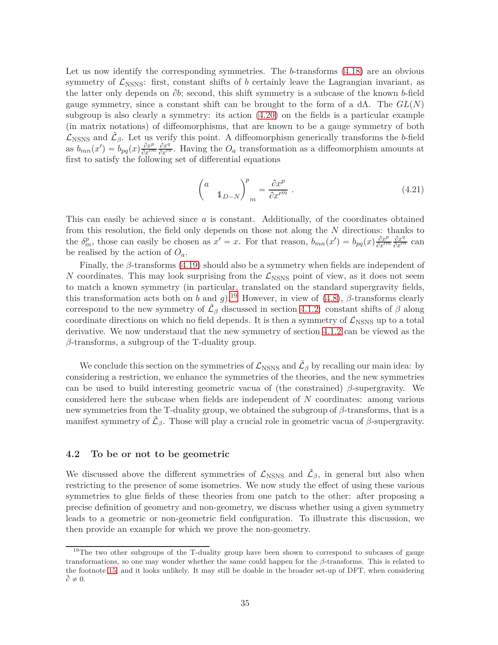Let us now identify the corresponding symmetries. The *b*-transforms  $(4.18)$  are an obvious symmetry of  $\mathcal{L}_{\text{NSNS}}$ : first, constant shifts of *b* certainly leave the Lagrangian invariant, as the latter only depends on  $\partial b$ ; second, this shift symmetry is a subcase of the known *b*-field gauge symmetry, since a constant shift can be brought to the form of a d $\Lambda$ . The  $GL(N)$ subgroup is also clearly a symmetry: its action [\(4.20\)](#page-33-1) on the fields is a particular example (in matrix notations) of diffeomorphisms, that are known to be a gauge symmetry of both  $\mathcal{L}_{\text{NSNS}}$  and  $\tilde{\mathcal{L}}_{\beta}$ . Let us verify this point. A diffeomorphism generically transforms the *b*-field as  $b_{mn}(x') = b_{pq}(x) \frac{\partial x^p}{\partial x'^m} \frac{\partial x^q}{\partial x'^n}$ . Having the  $O_a$  transformation as a diffeomorphism amounts at first to satisfy the following set of differential equations

$$
\left(\begin{array}{cc} a & \\ & 1_{D-N} \end{array}\right)^p_{m} = \frac{\partial x^p}{\partial x'^m} \ . \tag{4.21}
$$

This can easily be achieved since *a* is constant. Additionally, of the coordinates obtained from this resolution, the field only depends on those not along the *N* directions: thanks to the  $\delta_m^p$ , those can easily be chosen as  $x' = x$ . For that reason,  $b_{mn}(x') = b_{pq}(x) \frac{\partial x^p}{\partial x'^m} \frac{\partial x^q}{\partial x'^n}$  can be realised by the action of  $O_a$ .

Finally, the *β*-transforms [\(4.19\)](#page-33-2) should also be a symmetry when fields are independent of *N* coordinates. This may look surprising from the  $\mathcal{L}_{\text{NSNS}}$  point of view, as it does not seem to match a known symmetry (in particular, translated on the standard supergravity fields, this transformation acts both on *b* and *g*).<sup>[19](#page-34-1)</sup> However, in view of [\(4.8\)](#page-31-3), *β*-transforms clearly correspond to the new symmetry of  $\tilde{\mathcal{L}}_{\beta}$  discussed in section [4.1.2:](#page-30-0) constant shifts of  $\beta$  along coordinate directions on which no field depends. It is then a symmetry of  $\mathcal{L}_{\text{NSNS}}$  up to a total derivative. We now understand that the new symmetry of section [4.1.2](#page-30-0) can be viewed as the *β*-transforms, a subgroup of the T-duality group.

We conclude this section on the symmetries of  $\mathcal{L}_{\mathrm{NSNS}}$  and  $\tilde{\mathcal{L}}_{\beta}$  by recalling our main idea: by considering a restriction, we enhance the symmetries of the theories, and the new symmetries can be used to build interesting geometric vacua of (the constrained) *β*-supergravity. We considered here the subcase when fields are independent of *N* coordinates: among various new symmetries from the T-duality group, we obtained the subgroup of *β*-transforms, that is a manifest symmetry of  $\tilde{\mathcal{L}}_{\beta}$ . Those will play a crucial role in geometric vacua of  $\beta$ -supergravity.

### <span id="page-34-0"></span>**4.2 To be or not to be geometric**

We discussed above the different symmetries of  $\mathcal{L}_{\text{NSNS}}$  and  $\tilde{\mathcal{L}}_{\beta}$ , in general but also when restricting to the presence of some isometries. We now study the effect of using these various symmetries to glue fields of these theories from one patch to the other: after proposing a precise definition of geometry and non-geometry, we discuss whether using a given symmetry leads to a geometric or non-geometric field configuration. To illustrate this discussion, we then provide an example for which we prove the non-geometry.

<span id="page-34-1"></span><sup>&</sup>lt;sup>19</sup>The two other subgroups of the T-duality group have been shown to correspond to subcases of gauge transformations, so one may wonder whether the same could happen for the *β*-transforms. This is related to the footnote [15,](#page-30-2) and it looks unlikely. It may still be doable in the broader set-up of DFT, when considering  $\tilde{\partial} \neq 0.$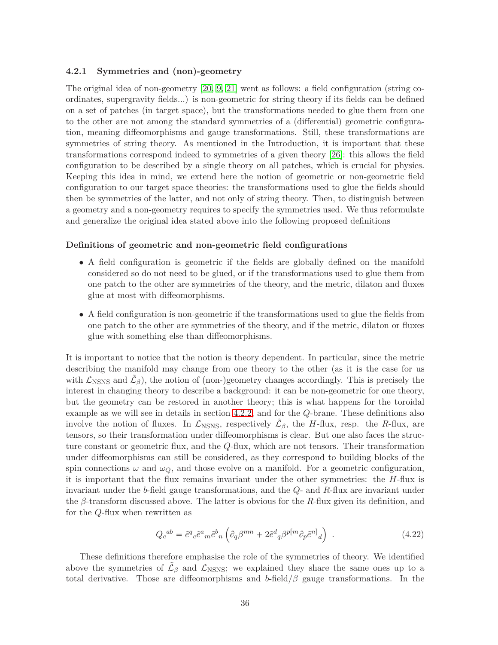### <span id="page-35-0"></span>**4.2.1 Symmetries and (non)-geometry**

The original idea of non-geometry [\[20,](#page-63-2) [9,](#page-62-7) [21\]](#page-63-3) went as follows: a field configuration (string coordinates, supergravity fields...) is non-geometric for string theory if its fields can be defined on a set of patches (in target space), but the transformations needed to glue them from one to the other are not among the standard symmetries of a (differential) geometric configuration, meaning diffeomorphisms and gauge transformations. Still, these transformations are symmetries of string theory. As mentioned in the Introduction, it is important that these transformations correspond indeed to symmetries of a given theory [\[26\]](#page-63-8): this allows the field configuration to be described by a single theory on all patches, which is crucial for physics. Keeping this idea in mind, we extend here the notion of geometric or non-geometric field configuration to our target space theories: the transformations used to glue the fields should then be symmetries of the latter, and not only of string theory. Then, to distinguish between a geometry and a non-geometry requires to specify the symmetries used. We thus reformulate and generalize the original idea stated above into the following proposed definitions

### **Definitions of geometric and non-geometric field configurations**

- A field configuration is geometric if the fields are globally defined on the manifold considered so do not need to be glued, or if the transformations used to glue them from one patch to the other are symmetries of the theory, and the metric, dilaton and fluxes glue at most with diffeomorphisms.
- A field configuration is non-geometric if the transformations used to glue the fields from one patch to the other are symmetries of the theory, and if the metric, dilaton or fluxes glue with something else than diffeomorphisms.

It is important to notice that the notion is theory dependent. In particular, since the metric describing the manifold may change from one theory to the other (as it is the case for us with  $\mathcal{L}_{\text{NSNS}}$  and  $\tilde{\mathcal{L}}_{\beta}$ ), the notion of (non-)geometry changes accordingly. This is precisely the interest in changing theory to describe a background: it can be non-geometric for one theory, but the geometry can be restored in another theory; this is what happens for the toroidal example as we will see in details in section [4.2.2,](#page-37-0) and for the *Q*-brane. These definitions also involve the notion of fluxes. In  $\mathcal{L}_{\text{NSNS}}$ , respectively  $\tilde{\mathcal{L}}_{\beta}$ , the *H*-flux, resp. the *R*-flux, are tensors, so their transformation under diffeomorphisms is clear. But one also faces the structure constant or geometric flux, and the *Q*-flux, which are not tensors. Their transformation under diffeomorphisms can still be considered, as they correspond to building blocks of the spin connections  $\omega$  and  $\omega_Q$ , and those evolve on a manifold. For a geometric configuration, it is important that the flux remains invariant under the other symmetries: the *H*-flux is invariant under the *b*-field gauge transformations, and the *Q*- and *R*-flux are invariant under the *β*-transform discussed above. The latter is obvious for the *R*-flux given its definition, and for the *Q*-flux when rewritten as

<span id="page-35-1"></span>
$$
Q_c{}^{ab} = \tilde{e}^q{}_c \tilde{e}^a{}_m \tilde{e}^b{}_n \left( \partial_q \beta^{mn} + 2 \tilde{e}^d{}_q \beta^{p[m} \partial_p \tilde{e}^{n]}{}_d \right) \tag{4.22}
$$

These definitions therefore emphasise the role of the symmetries of theory. We identified above the symmetries of  $\tilde{\mathcal{L}}_{\beta}$  and  $\mathcal{L}_{\text{NSNS}}$ ; we explained they share the same ones up to a total derivative. Those are diffeomorphisms and *b*-field/*β* gauge transformations. In the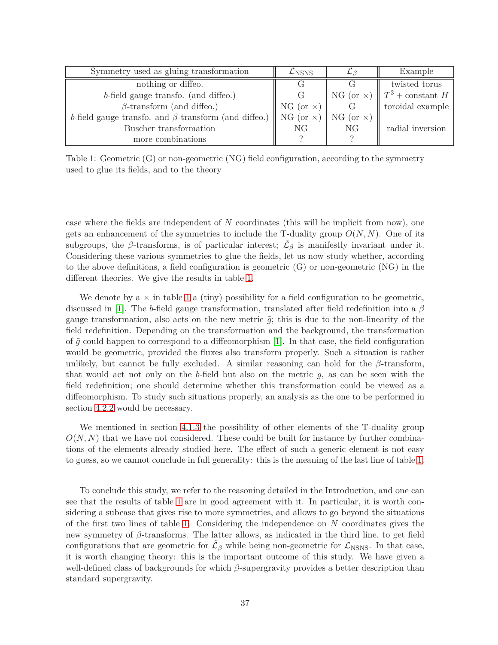| Symmetry used as gluing transformation                                                          | $\mathcal{L}_{\rm NSNS}$ |                   | Example            |
|-------------------------------------------------------------------------------------------------|--------------------------|-------------------|--------------------|
| nothing or diffeo.                                                                              |                          |                   | twisted torus      |
| $b$ -field gauge transfo. (and diffeo.)                                                         |                          | NG (or $\times$ ) | $T^3$ + constant H |
| $\beta$ -transform (and diffeo.)                                                                | NG (or x)                |                   | toroidal example   |
| b-field gauge transfo. and $\beta$ -transform (and diffeo.) NG (or $\times$ ) NG (or $\times$ ) |                          |                   |                    |
| Buscher transformation                                                                          | NG                       | NG                | radial inversion   |
| more combinations                                                                               |                          |                   |                    |

<span id="page-36-0"></span>Table 1: Geometric (G) or non-geometric (NG) field configuration, according to the symmetry used to glue its fields, and to the theory

case where the fields are independent of *N* coordinates (this will be implicit from now), one gets an enhancement of the symmetries to include the T-duality group  $O(N, N)$ . One of its subgroups, the *β*-transforms, is of particular interest;  $\tilde{\mathcal{L}}_{\beta}$  is manifestly invariant under it. Considering these various symmetries to glue the fields, let us now study whether, according to the above definitions, a field configuration is geometric  $(G)$  or non-geometric  $(NG)$  in the different theories. We give the results in table [1.](#page-36-0)

We denote by a  $\times$  in table [1](#page-36-0) a (tiny) possibility for a field configuration to be geometric, discussed in [\[1\]](#page-62-16). The *b*-field gauge transformation, translated after field redefinition into a *β* gauge transformation, also acts on the new metric  $\tilde{q}$ ; this is due to the non-linearity of the field redefinition. Depending on the transformation and the background, the transformation of  $\tilde{g}$  could happen to correspond to a diffeomorphism [\[1\]](#page-62-16). In that case, the field configuration would be geometric, provided the fluxes also transform properly. Such a situation is rather unlikely, but cannot be fully excluded. A similar reasoning can hold for the  $\beta$ -transform, that would act not only on the *b*-field but also on the metric *g*, as can be seen with the field redefinition; one should determine whether this transformation could be viewed as a diffeomorphism. To study such situations properly, an analysis as the one to be performed in section [4.2.2](#page-37-0) would be necessary.

We mentioned in section [4.1.3](#page-31-0) the possibility of other elements of the T-duality group  $O(N, N)$  that we have not considered. These could be built for instance by further combinations of the elements already studied here. The effect of such a generic element is not easy to guess, so we cannot conclude in full generality: this is the meaning of the last line of table [1.](#page-36-0)

To conclude this study, we refer to the reasoning detailed in the Introduction, and one can see that the results of table [1](#page-36-0) are in good agreement with it. In particular, it is worth considering a subcase that gives rise to more symmetries, and allows to go beyond the situations of the first two lines of table [1.](#page-36-0) Considering the independence on *N* coordinates gives the new symmetry of *β*-transforms. The latter allows, as indicated in the third line, to get field configurations that are geometric for  $\tilde{\mathcal{L}}_{\beta}$  while being non-geometric for  $\mathcal{L}_{\text{NSNS}}$ . In that case, it is worth changing theory: this is the important outcome of this study. We have given a well-defined class of backgrounds for which *β*-supergravity provides a better description than standard supergravity.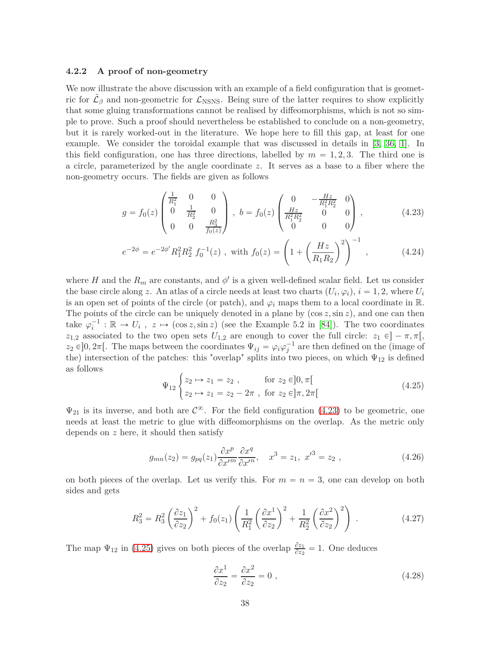### <span id="page-37-0"></span>**4.2.2 A proof of non-geometry**

We now illustrate the above discussion with an example of a field configuration that is geometric for  $\tilde{\mathcal{L}}_{\beta}$  and non-geometric for  $\mathcal{L}_{\text{NSNS}}$ . Being sure of the latter requires to show explicitly that some gluing transformations cannot be realised by diffeomorphisms, which is not so simple to prove. Such a proof should nevertheless be established to conclude on a non-geometry, but it is rarely worked-out in the literature. We hope here to fill this gap, at least for one example. We consider the toroidal example that was discussed in details in [\[3,](#page-62-1) [36,](#page-64-1) [1\]](#page-62-16). In this field configuration, one has three directions, labelled by  $m = 1, 2, 3$ . The third one is a circle, parameterized by the angle coordinate *z*. It serves as a base to a fiber where the non-geometry occurs. The fields are given as follows

<span id="page-37-1"></span>
$$
g = f_0(z) \begin{pmatrix} \frac{1}{R_1^2} & 0 & 0 \\ 0 & \frac{1}{R_2^2} & 0 \\ 0 & 0 & \frac{R_3^2}{f_0(z)} \end{pmatrix}, \ b = f_0(z) \begin{pmatrix} 0 & -\frac{Hz}{R_1^2 R_2^2} & 0 \\ \frac{Hz}{R_1^2 R_2^2} & 0 & 0 \\ 0 & 0 & 0 \end{pmatrix}, \tag{4.23}
$$

$$
e^{-2\phi} = e^{-2\phi'} R_1^2 R_2^2 f_0^{-1}(z) , \text{ with } f_0(z) = \left(1 + \left(\frac{Hz}{R_1 R_2}\right)^2\right)^{-1} , \qquad (4.24)
$$

where *H* and the  $R_m$  are constants, and  $\phi'$  is a given well-defined scalar field. Let us consider the base circle along *z*. An atlas of a circle needs at least two charts  $(U_i, \varphi_i)$ ,  $i = 1, 2$ , where  $U_i$ is an open set of points of the circle (or patch), and  $\varphi_i$  maps them to a local coordinate in  $\mathbb{R}$ . The points of the circle can be uniquely denoted in a plane by  $(\cos z, \sin z)$ , and one can then take  $\varphi_i^{-1} : \mathbb{R} \to U_i$ ,  $z \mapsto (\cos z, \sin z)$  (see the Example 5.2 in [\[84\]](#page-66-15)). The two coordinates *z*<sub>1,2</sub> associated to the two open sets  $U_{1,2}$  are enough to cover the full circle:  $z_1 \in ]-\pi, \pi[$ ,  $z_2 \in ]0, 2\pi[$ . The maps between the coordinates  $\Psi_{ij} = \varphi_i \varphi_j^{-1}$  are then defined on the (image of the) intersection of the patches: this "overlap" splits into two pieces, on which  $\Psi_{12}$  is defined as follows

<span id="page-37-2"></span>
$$
\Psi_{12} \begin{cases} z_2 \mapsto z_1 = z_2 , & \text{for } z_2 \in ]0, \pi[ \\ z_2 \mapsto z_1 = z_2 - 2\pi , & \text{for } z_2 \in ]\pi, 2\pi[ \end{cases}
$$
(4.25)

 $\Psi_{21}$  is its inverse, and both are  $\mathcal{C}^{\infty}$ . For the field configuration [\(4.23\)](#page-37-1) to be geometric, one needs at least the metric to glue with diffeomorphisms on the overlap. As the metric only depends on *z* here, it should then satisfy

$$
g_{mn}(z_2) = g_{pq}(z_1) \frac{\partial x^p}{\partial x'^m} \frac{\partial x^q}{\partial x'^n}, \quad x^3 = z_1, \ x'^3 = z_2 \ , \tag{4.26}
$$

on both pieces of the overlap. Let us verify this. For  $m = n = 3$ , one can develop on both sides and gets

$$
R_3^2 = R_3^2 \left(\frac{\partial z_1}{\partial z_2}\right)^2 + f_0(z_1) \left(\frac{1}{R_1^2} \left(\frac{\partial x^1}{\partial z_2}\right)^2 + \frac{1}{R_2^2} \left(\frac{\partial x^2}{\partial z_2}\right)^2\right) \tag{4.27}
$$

The map  $\Psi_{12}$  in [\(4.25\)](#page-37-2) gives on both pieces of the overlap  $\frac{\partial z_1}{\partial z_2} = 1$ . One deduces

<span id="page-37-3"></span>
$$
\frac{\partial x^1}{\partial z_2} = \frac{\partial x^2}{\partial z_2} = 0 , \qquad (4.28)
$$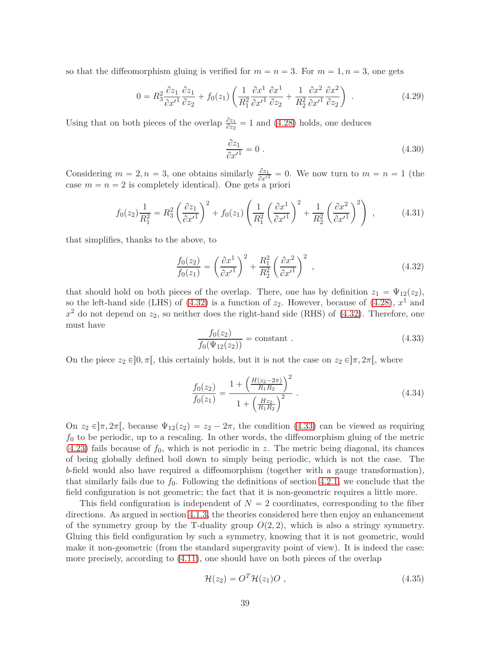so that the diffeomorphism gluing is verified for  $m = n = 3$ . For  $m = 1, n = 3$ , one gets

$$
0 = R_3^2 \frac{\partial z_1}{\partial x'} \frac{\partial z_1}{\partial z_2} + f_0(z_1) \left( \frac{1}{R_1^2} \frac{\partial x^1}{\partial x'^1} \frac{\partial x^1}{\partial z_2} + \frac{1}{R_2^2} \frac{\partial x^2}{\partial x'^1} \frac{\partial x^2}{\partial z_2} \right) \tag{4.29}
$$

Using that on both pieces of the overlap  $\frac{\partial z_1}{\partial z_2} = 1$  and [\(4.28\)](#page-37-3) holds, one deduces

$$
\frac{\partial z_1}{\partial x'} = 0 \tag{4.30}
$$

Considering  $m = 2, n = 3$ , one obtains similarly  $\frac{\partial z_1}{\partial x'^2} = 0$ . We now turn to  $m = n = 1$  (the case  $m = n = 2$  is completely identical). One gets a priori

$$
f_0(z_2)\frac{1}{R_1^2} = R_3^2 \left(\frac{\partial z_1}{\partial x'^1}\right)^2 + f_0(z_1) \left(\frac{1}{R_1^2} \left(\frac{\partial x^1}{\partial x'^1}\right)^2 + \frac{1}{R_2^2} \left(\frac{\partial x^2}{\partial x'^1}\right)^2\right) ,\qquad (4.31)
$$

that simplifies, thanks to the above, to

<span id="page-38-0"></span>
$$
\frac{f_0(z_2)}{f_0(z_1)} = \left(\frac{\partial x^1}{\partial x'^1}\right)^2 + \frac{R_1^2}{R_2^2} \left(\frac{\partial x^2}{\partial x'^1}\right)^2 ,\qquad (4.32)
$$

that should hold on both pieces of the overlap. There, one has by definition  $z_1 = \Psi_{12}(z_2)$ , so the left-hand side (LHS) of [\(4.32\)](#page-38-0) is a function of  $z_2$ . However, because of [\(4.28\)](#page-37-3),  $x^1$  and  $x^2$  do not depend on  $z_2$ , so neither does the right-hand side (RHS) of [\(4.32\)](#page-38-0). Therefore, one must have

<span id="page-38-1"></span>
$$
\frac{f_0(z_2)}{f_0(\Psi_{12}(z_2))} = \text{constant} . \tag{4.33}
$$

On the piece  $z_2 \in ]0, \pi[$ , this certainly holds, but it is not the case on  $z_2 \in ]\pi, 2\pi[$ , where

$$
\frac{f_0(z_2)}{f_0(z_1)} = \frac{1 + \left(\frac{H(z_2 - 2\pi)}{R_1 R_2}\right)^2}{1 + \left(\frac{Hz_2}{R_1 R_2}\right)^2} \tag{4.34}
$$

On  $z_2 \in ]\pi, 2\pi[$ , because  $\Psi_{12}(z_2) = z_2 - 2\pi$ , the condition [\(4.33\)](#page-38-1) can be viewed as requiring *f*0 to be periodic, up to a rescaling. In other words, the diffeomorphism gluing of the metric  $(4.23)$  fails because of  $f_0$ , which is not periodic in *z*. The metric being diagonal, its chances of being globally defined boil down to simply being periodic, which is not the case. The *b*-field would also have required a diffeomorphism (together with a gauge transformation), that similarly fails due to  $f_0$ . Following the definitions of section [4.2.1,](#page-35-0) we conclude that the field configuration is not geometric; the fact that it is non-geometric requires a little more.

This field configuration is independent of  $N = 2$  coordinates, corresponding to the fiber directions. As argued in section [4.1.3,](#page-31-0) the theories considered here then enjoy an enhancement of the symmetry group by the T-duality group  $O(2,2)$ , which is also a stringy symmetry. Gluing this field configuration by such a symmetry, knowing that it is not geometric, would make it non-geometric (from the standard supergravity point of view). It is indeed the case: more precisely, according to [\(4.11\)](#page-32-0), one should have on both pieces of the overlap

$$
\mathcal{H}(z_2) = O^T \mathcal{H}(z_1) O , \qquad (4.35)
$$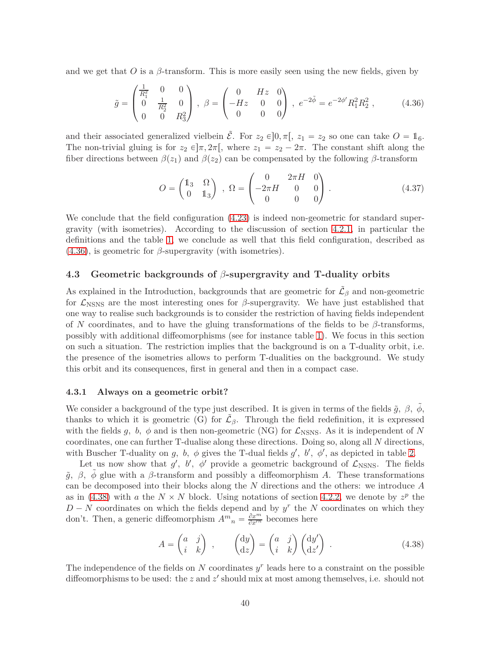and we get that  $O$  is a  $\beta$ -transform. This is more easily seen using the new fields, given by

<span id="page-39-2"></span>
$$
\tilde{g} = \begin{pmatrix} \frac{1}{R_1^2} & 0 & 0 \\ 0 & \frac{1}{R_2^2} & 0 \\ 0 & 0 & R_3^2 \end{pmatrix}, \ \beta = \begin{pmatrix} 0 & Hz & 0 \\ -Hz & 0 & 0 \\ 0 & 0 & 0 \end{pmatrix}, \ e^{-2\tilde{\phi}} = e^{-2\phi'} R_1^2 R_2^2 , \tag{4.36}
$$

and their associated generalized vielbein  $\tilde{\mathcal{E}}$ . For  $z_2 \in ]0, \pi[, z_1 = z_2$  so one can take  $O = \mathbb{1}_6$ . The non-trivial gluing is for  $z_2 \in ]\pi, 2\pi[$ , where  $z_1 = z_2 - 2\pi$ . The constant shift along the fiber directions between  $\beta(z_1)$  and  $\beta(z_2)$  can be compensated by the following  $\beta$ -transform

$$
O = \begin{pmatrix} 1_3 & \Omega \\ 0 & 1_3 \end{pmatrix} , \ \Omega = \begin{pmatrix} 0 & 2\pi H & 0 \\ -2\pi H & 0 & 0 \\ 0 & 0 & 0 \end{pmatrix} . \tag{4.37}
$$

We conclude that the field configuration  $(4.23)$  is indeed non-geometric for standard supergravity (with isometries). According to the discussion of section [4.2.1,](#page-35-0) in particular the definitions and the table [1,](#page-36-0) we conclude as well that this field configuration, described as  $(4.36)$ , is geometric for  $\beta$ -supergravity (with isometries).

### <span id="page-39-0"></span>**4.3 Geometric backgrounds of** *β***-supergravity and T-duality orbits**

As explained in the Introduction, backgrounds that are geometric for  $\tilde{\mathcal{L}}_{\beta}$  and non-geometric for  $\mathcal{L}_{\text{NSNS}}$  are the most interesting ones for  $\beta$ -supergravity. We have just established that one way to realise such backgrounds is to consider the restriction of having fields independent of *N* coordinates, and to have the gluing transformations of the fields to be *β*-transforms, possibly with additional diffeomorphisms (see for instance table [1\)](#page-36-0). We focus in this section on such a situation. The restriction implies that the background is on a T-duality orbit, i.e. the presence of the isometries allows to perform T-dualities on the background. We study this orbit and its consequences, first in general and then in a compact case.

#### <span id="page-39-1"></span>**4.3.1 Always on a geometric orbit?**

We consider a background of the type just described. It is given in terms of the fields  $\tilde{g}$ ,  $\beta$ ,  $\phi$ , thanks to which it is geometric (G) for  $\tilde{\mathcal{L}}_{\beta}$ . Through the field redefinition, it is expressed with the fields *g, b,*  $\phi$  and is then non-geometric (NG) for  $\mathcal{L}_{\text{NSNS}}$ . As it is independent of *N* coordinates, one can further T-dualise along these directions. Doing so, along all *N* directions, with Buscher T-duality on *g*, *b*,  $\phi$  gives the T-dual fields *g'*, *b'*,  $\phi'$ , as depicted in table [2.](#page-40-0)

Let us now show that  $g'$ ,  $b'$ ,  $\phi'$  provide a geometric background of  $\mathcal{L}_{\text{NSNS}}$ . The fields  $\tilde{g}$ ,  $\beta$ ,  $\phi$  glue with a  $\beta$ -transform and possibly a diffeomorphism *A*. These transformations can be decomposed into their blocks along the *N* directions and the others: we introduce *A* as in [\(4.38\)](#page-39-3) with *a* the  $N \times N$  block. Using notations of section [4.2.2,](#page-37-0) we denote by  $z^p$  the  $D - N$  coordinates on which the fields depend and by  $y^r$  the *N* coordinates on which they don't. Then, a generic diffeomorphism  $A^m{}_n = \frac{\partial x^m}{\partial x'^n}$  becomes here

<span id="page-39-3"></span>
$$
A = \begin{pmatrix} a & j \\ i & k \end{pmatrix} , \qquad \begin{pmatrix} dy \\ dz \end{pmatrix} = \begin{pmatrix} a & j \\ i & k \end{pmatrix} \begin{pmatrix} dy' \\ dz' \end{pmatrix} . \tag{4.38}
$$

The independence of the fields on  $N$  coordinates  $y<sup>r</sup>$  leads here to a constraint on the possible diffeomorphisms to be used: the *z* and *z*' should mix at most among themselves, i.e. should not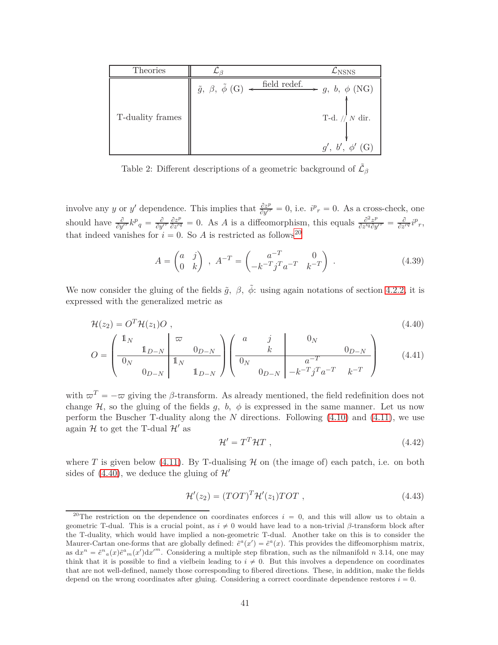| Theories         | A                                                                                            | $\mathcal{L}_{\mathrm{NSNS}}$           |
|------------------|----------------------------------------------------------------------------------------------|-----------------------------------------|
| T-duality frames | $\tilde{g}, \beta, \tilde{\phi}$ (G) $\leftarrow$ field redef. $\rightarrow g, b, \phi$ (NG) | T-d. $// N$ dir.<br>$q', b', \phi'$ (G) |

<span id="page-40-0"></span>Table 2: Different descriptions of a geometric background of  $\tilde{\mathcal{L}}_{\beta}$ 

involve any *y* or *y'* dependence. This implies that  $\frac{\partial z^p}{\partial y'^p}$  $\frac{\partial z^p}{\partial y'^r} = 0$ , i.e.  $i^p{}_r = 0$ . As a cross-check, one should have  $\frac{\partial}{\partial y'} k^p q = \frac{\partial}{\partial y'} \frac{\partial z^p}{\partial z'^q}$  $\frac{\partial z^p}{\partial z'^q} = 0$ . As *A* is a diffeomorphism, this equals  $\frac{\partial^2 z^p}{\partial z'^q \partial y}$  $\frac{\partial^2 z^p}{\partial z'^q \partial y'^r} = \frac{\partial}{\partial z'^q} i^p{}_r,$ that indeed vanishes for  $i = 0$ . So *A* is restricted as follows<sup>[20](#page-40-1)</sup>

$$
A = \begin{pmatrix} a & j \\ 0 & k \end{pmatrix} , A^{-T} = \begin{pmatrix} a^{-T} & 0 \\ -k^{-T}j^T a^{-T} & k^{-T} \end{pmatrix} . \tag{4.39}
$$

We now consider the gluing of the fields  $\tilde{g}$ ,  $\beta$ ,  $\tilde{\phi}$ : using again notations of section [4.2.2,](#page-37-0) it is expressed with the generalized metric as

$$
\mathcal{H}(z_2) = O^T \mathcal{H}(z_1) O \tag{4.40}
$$

$$
O = \begin{pmatrix} 1_N & \varpi & 0_{D-N} \\ \hline 0_N & 1_N & 0_{D-N} \\ 0_{D-N} & 1_N & 1_{D-N} \end{pmatrix} \begin{pmatrix} a & j & 0_N & 0_{D-N} \\ \hline 0_N & a^{-T} & 0_{D-N} \\ 0_{D-N} & -k^{-T}j^T a^{-T} & k^{-T} \end{pmatrix}
$$
(4.41)

with  $\varpi^T = -\varpi$  giving the *β*-transform. As already mentioned, the field redefinition does not change  $H$ , so the gluing of the fields *g*, *b*,  $\phi$  is expressed in the same manner. Let us now perform the Buscher T-duality along the *N* directions. Following [\(4.10\)](#page-32-3) and [\(4.11\)](#page-32-0), we use again H to get the T-dual  $\mathcal{H}'$  as

<span id="page-40-2"></span>
$$
\mathcal{H}' = T^T \mathcal{H} T \tag{4.42}
$$

where *T* is given below [\(4.11\)](#page-32-0). By T-dualising  $H$  on (the image of) each patch, i.e. on both sides of [\(4.40\)](#page-40-2), we deduce the gluing of  $\mathcal{H}'$ 

$$
\mathcal{H}'(z_2) = (TOT)^T \mathcal{H}'(z_1) TOT \t{, \t(4.43)}
$$

<span id="page-40-1"></span><sup>&</sup>lt;sup>20</sup>The restriction on the dependence on coordinates enforces  $i = 0$ , and this will allow us to obtain a geometric T-dual. This is a crucial point, as  $i \neq 0$  would have lead to a non-trivial  $\beta$ -transform block after the T-duality, which would have implied a non-geometric T-dual. Another take on this is to consider the Maurer-Cartan one-forms that are globally defined:  $\tilde{e}^a(x') = \tilde{e}^a(x)$ . This provides the diffeomorphism matrix, as  $dx^n = e^n{}_a(x)e^a{}_m(x')dx'^m$ . Considering a multiple step fibration, such as the nilmanifold *n* 3.14, one may think that it is possible to find a vielbein leading to  $i \neq 0$ . But this involves a dependence on coordinates that are not well-defined, namely those corresponding to fibered directions. These, in addition, make the fields depend on the wrong coordinates after gluing. Considering a correct coordinate dependence restores  $i = 0$ .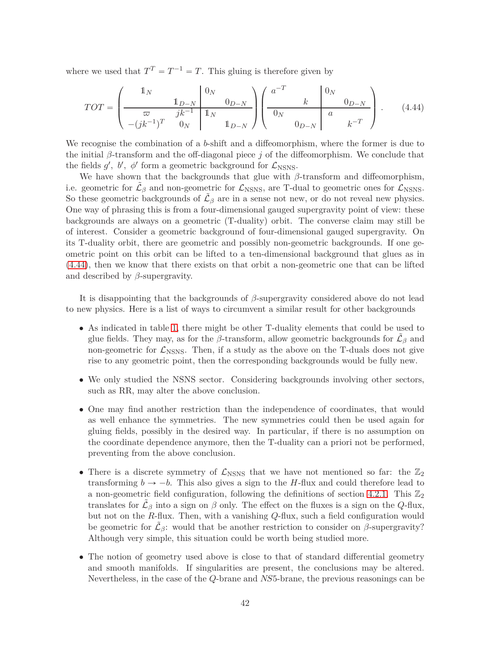where we used that  $T^T = T^{-1} = T$ . This gluing is therefore given by

<span id="page-41-0"></span>
$$
TOT = \left(\begin{array}{cc|cc} \mathbb{1}_N & 0_N & 0_{D-N} \\ \hline \varpi & jk^{-1} & \mathbb{1}_N \\ -(jk^{-1})^T & 0_N & \mathbb{1}_{D-N} \end{array}\right) \left(\begin{array}{cc|cc} a^{-T} & 0_N & 0_{D-N} \\ \hline 0_N & a & 0_{D-N} \\ 0_{D-N} & a & k^{-T} \end{array}\right). \tag{4.44}
$$

We recognise the combination of a *b*-shift and a diffeomorphism, where the former is due to the initial *β*-transform and the off-diagonal piece *j* of the diffeomorphism. We conclude that the fields  $g'$ ,  $b'$ ,  $\phi'$  form a geometric background for  $\mathcal{L}_{\text{NSNS}}$ .

We have shown that the backgrounds that glue with *β*-transform and diffeomorphism, i.e. geometric for  $\tilde{\mathcal{L}}_{\beta}$  and non-geometric for  $\mathcal{L}_{\text{NSNS}}$ , are T-dual to geometric ones for  $\mathcal{L}_{\text{NSNS}}$ . So these geometric backgrounds of  $\tilde{\mathcal{L}}_{\beta}$  are in a sense not new, or do not reveal new physics. One way of phrasing this is from a four-dimensional gauged supergravity point of view: these backgrounds are always on a geometric (T-duality) orbit. The converse claim may still be of interest. Consider a geometric background of four-dimensional gauged supergravity. On its T-duality orbit, there are geometric and possibly non-geometric backgrounds. If one geometric point on this orbit can be lifted to a ten-dimensional background that glues as in [\(4.44\)](#page-41-0), then we know that there exists on that orbit a non-geometric one that can be lifted and described by  $\beta$ -supergravity.

It is disappointing that the backgrounds of *β*-supergravity considered above do not lead to new physics. Here is a list of ways to circumvent a similar result for other backgrounds

- As indicated in table [1,](#page-36-0) there might be other T-duality elements that could be used to glue fields. They may, as for the  $\beta$ -transform, allow geometric backgrounds for  $\tilde{\mathcal{L}}_{\beta}$  and non-geometric for  $\mathcal{L}_{\text{NSNS}}$ . Then, if a study as the above on the T-duals does not give rise to any geometric point, then the corresponding backgrounds would be fully new.
- We only studied the NSNS sector. Considering backgrounds involving other sectors, such as RR, may alter the above conclusion.
- One may find another restriction than the independence of coordinates, that would as well enhance the symmetries. The new symmetries could then be used again for gluing fields, possibly in the desired way. In particular, if there is no assumption on the coordinate dependence anymore, then the T-duality can a priori not be performed, preventing from the above conclusion.
- There is a discrete symmetry of  $\mathcal{L}_{\text{NSNS}}$  that we have not mentioned so far: the  $\mathbb{Z}_2$ transforming  $b \rightarrow -b$ . This also gives a sign to the *H*-flux and could therefore lead to a non-geometric field configuration, following the definitions of section [4.2.1.](#page-35-0) This  $\mathbb{Z}_2$ translates for  $\tilde{\mathcal{L}}_{\beta}$  into a sign on  $\beta$  only. The effect on the fluxes is a sign on the *Q*-flux, but not on the *R*-flux. Then, with a vanishing *Q*-flux, such a field configuration would be geometric for  $\tilde{\mathcal{L}}_{\beta}$ : would that be another restriction to consider on  $\beta$ -supergravity? Although very simple, this situation could be worth being studied more.
- The notion of geometry used above is close to that of standard differential geometry and smooth manifolds. If singularities are present, the conclusions may be altered. Nevertheless, in the case of the *Q*-brane and *NS*5-brane, the previous reasonings can be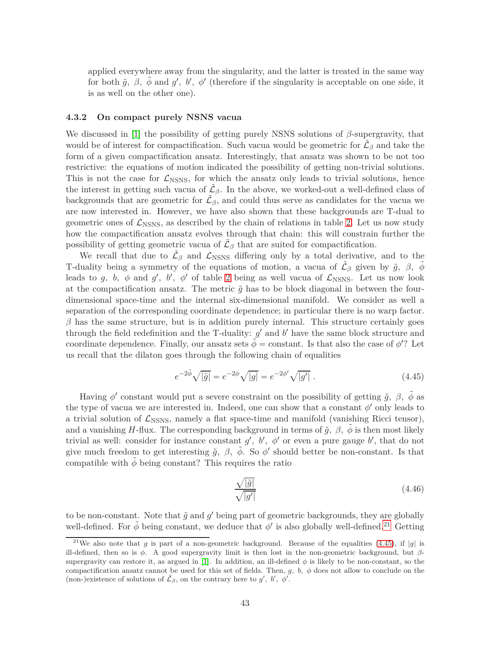applied everywhere away from the singularity, and the latter is treated in the same way for both  $\tilde{g}$ ,  $\beta$ ,  $\tilde{\phi}$  and  $g'$ ,  $b'$ ,  $\phi'$  (therefore if the singularity is acceptable on one side, it is as well on the other one).

#### <span id="page-42-0"></span>**4.3.2 On compact purely NSNS vacua**

We discussed in [\[1\]](#page-62-16) the possibility of getting purely NSNS solutions of *β*-supergravity, that would be of interest for compactification. Such vacua would be geometric for  $\tilde{\mathcal{L}}_{\beta}$  and take the form of a given compactification ansatz. Interestingly, that ansatz was shown to be not too restrictive: the equations of motion indicated the possibility of getting non-trivial solutions. This is not the case for  $\mathcal{L}_{\text{NSNS}}$ , for which the ansatz only leads to trivial solutions, hence the interest in getting such vacua of  $\tilde{\mathcal{L}}_{\beta}$ . In the above, we worked-out a well-defined class of backgrounds that are geometric for  $\tilde{\mathcal{L}}_{\beta}$ , and could thus serve as candidates for the vacua we are now interested in. However, we have also shown that these backgrounds are T-dual to geometric ones of  $\mathcal{L}_{\text{NSNS}}$ , as described by the chain of relations in table [2.](#page-40-0) Let us now study how the compactification ansatz evolves through that chain: this will constrain further the possibility of getting geometric vacua of  $\tilde{\mathcal{L}}_{\beta}$  that are suited for compactification.

We recall that due to  $\tilde{\mathcal{L}}_{\beta}$  and  $\mathcal{L}_{\text{NSNS}}$  differing only by a total derivative, and to the T-duality being a symmetry of the equations of motion, a vacua of  $\tilde{\mathcal{L}}_{\beta}$  given by  $\tilde{g}$ ,  $\beta$ ,  $\tilde{\phi}$ leads to *g*, *b*,  $\phi$  and *g*<sup>'</sup>, *b*<sup>'</sup>,  $\phi$ <sup>'</sup> of table [2](#page-40-0) being as well vacua of  $\mathcal{L}_{\text{NSNS}}$ . Let us now look at the compactification ansatz. The metric  $\tilde{g}$  has to be block diagonal in between the fourdimensional space-time and the internal six-dimensional manifold. We consider as well a separation of the corresponding coordinate dependence; in particular there is no warp factor.  $\beta$  has the same structure, but is in addition purely internal. This structure certainly goes through the field redefinition and the T-duality:  $g'$  and  $b'$  have the same block structure and coordinate dependence. Finally, our ansatz sets  $\tilde{\phi} = \text{constant}$ . Is that also the case of  $\phi$ <sup>'</sup>? Let us recall that the dilaton goes through the following chain of equalities

<span id="page-42-2"></span>
$$
e^{-2\tilde{\phi}}\sqrt{|\tilde{g}|} = e^{-2\phi}\sqrt{|g|} = e^{-2\phi'}\sqrt{|g'|} \ . \tag{4.45}
$$

Having  $\phi'$  constant would put a severe constraint on the possibility of getting  $\tilde{g}$ ,  $\beta$ ,  $\tilde{\phi}$  as the type of vacua we are interested in. Indeed, one can show that a constant  $\phi'$  only leads to a trivial solution of  $\mathcal{L}_{\text{NSNS}}$ , namely a flat space-time and manifold (vanishing Ricci tensor), and a vanishing *H*-flux. The corresponding background in terms of  $\tilde{g}$ ,  $\beta$ ,  $\tilde{\phi}$  is then most likely trivial as well: consider for instance constant  $g'$ ,  $b'$ ,  $\phi'$  or even a pure gauge  $b'$ , that do not give much freedom to get interesting  $\tilde{g}$ ,  $\beta$ ,  $\tilde{\phi}$ . So  $\phi'$  should better be non-constant. Is that compatible with  $\phi$  being constant? This requires the ratio

<span id="page-42-3"></span>
$$
\frac{\sqrt{|\tilde{g}|}}{\sqrt{|g'|}}\tag{4.46}
$$

to be non-constant. Note that  $\tilde{g}$  and  $g'$  being part of geometric backgrounds, they are globally well-defined. For  $\tilde{\phi}$  being constant, we deduce that  $\phi'$  is also globally well-defined.<sup>[21](#page-42-1)</sup> Getting

<span id="page-42-1"></span><sup>&</sup>lt;sup>21</sup>We also note that *q* is part of a non-geometric background. Because of the equalities [\(4.45\)](#page-42-2), if  $|q|$  is ill-defined, then so is *φ*. A good supergravity limit is then lost in the non-geometric background, but *β*-supergravity can restore it, as argued in [\[1\]](#page-62-16). In addition, an ill-defined  $\phi$  is likely to be non-constant, so the compactification ansatz cannot be used for this set of fields. Then,  $g, b, \phi$  does not allow to conclude on the (non-)existence of solutions of  $\tilde{\mathcal{L}}_{\beta}$ , on the contrary here to  $g'$ ,  $b'$ ,  $\phi'$ .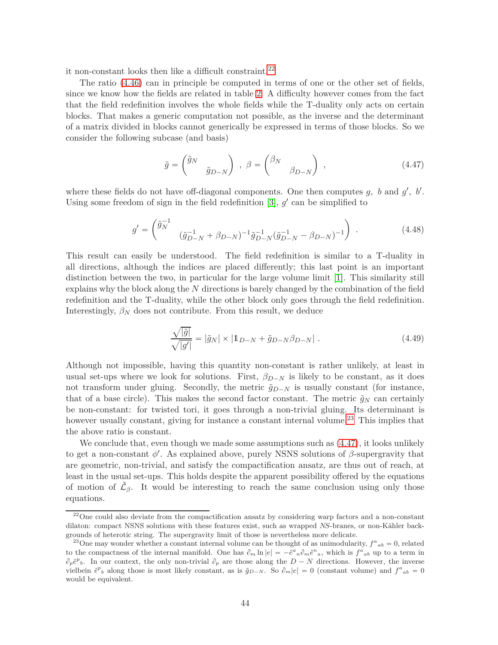it non-constant looks then like a difficult constraint.<sup>[22](#page-43-0)</sup>

The ratio [\(4.46\)](#page-42-3) can in principle be computed in terms of one or the other set of fields, since we know how the fields are related in table [2.](#page-40-0) A difficulty however comes from the fact that the field redefinition involves the whole fields while the T-duality only acts on certain blocks. That makes a generic computation not possible, as the inverse and the determinant of a matrix divided in blocks cannot generically be expressed in terms of those blocks. So we consider the following subcase (and basis)

<span id="page-43-2"></span>
$$
\tilde{g} = \begin{pmatrix} \tilde{g}_N & \\ & \tilde{g}_{D-N} \end{pmatrix} , \ \beta = \begin{pmatrix} \beta_N & \\ & \beta_{D-N} \end{pmatrix} , \tag{4.47}
$$

where these fields do not have off-diagonal components. One then computes  $g$ ,  $b$  and  $g'$ ,  $b'$ . Using some freedom of sign in the field redefinition  $[3]$ ,  $g'$  can be simplified to

$$
g' = \begin{pmatrix} \tilde{g}_N^{-1} & & \\ & (\tilde{g}_{D-N}^{-1} + \beta_{D-N})^{-1} \tilde{g}_{D-N}^{-1} (\tilde{g}_{D-N}^{-1} - \beta_{D-N})^{-1} \end{pmatrix} . \tag{4.48}
$$

This result can easily be understood. The field redefinition is similar to a T-duality in all directions, although the indices are placed differently; this last point is an important distinction between the two, in particular for the large volume limit [\[1\]](#page-62-16). This similarity still explains why the block along the *N* directions is barely changed by the combination of the field redefinition and the T-duality, while the other block only goes through the field redefinition. Interestingly,  $\beta_N$  does not contribute. From this result, we deduce

$$
\frac{\sqrt{|\tilde{g}|}}{\sqrt{|g'|}} = |\tilde{g}_N| \times |\mathbb{1}_{D-N} + \tilde{g}_{D-N}\beta_{D-N}|.
$$
\n(4.49)

Although not impossible, having this quantity non-constant is rather unlikely, at least in usual set-ups where we look for solutions. First,  $\beta_{D-N}$  is likely to be constant, as it does not transform under gluing. Secondly, the metric  $\tilde{g}_{D-N}$  is usually constant (for instance, that of a base circle). This makes the second factor constant. The metric  $\tilde{g}_N$  can certainly be non-constant: for twisted tori, it goes through a non-trivial gluing. Its determinant is however usually constant, giving for instance a constant internal volume.<sup>[23](#page-43-1)</sup> This implies that the above ratio is constant.

We conclude that, even though we made some assumptions such as  $(4.47)$ , it looks unlikely to get a non-constant  $\phi'$ . As explained above, purely NSNS solutions of  $\beta$ -supergravity that are geometric, non-trivial, and satisfy the compactification ansatz, are thus out of reach, at least in the usual set-ups. This holds despite the apparent possibility offered by the equations of motion of  $\tilde{\mathcal{L}}_{\beta}$ . It would be interesting to reach the same conclusion using only those equations.

<span id="page-43-0"></span><sup>22</sup>One could also deviate from the compactification ansatz by considering warp factors and a non-constant dilaton: compact NSNS solutions with these features exist, such as wrapped *NS*-branes, or non-Kähler backgrounds of heterotic string. The supergravity limit of those is nevertheless more delicate.

<span id="page-43-1"></span><sup>&</sup>lt;sup>23</sup>One may wonder whether a constant internal volume can be thought of as unimodularity,  $f^a{}_{ab} = 0$ , related to the compactness of the internal manifold. One has  $\partial_m \ln |e| = -\tilde{e}^a{}_n \partial_m \tilde{e}^n{}_a$ , which is  $f^a{}_{ab}$  up to a term in  $\partial_p \tilde{e}^p{}_b$ . In our context, the only non-trivial  $\partial_p$  are those along the  $D-N$  directions. However, the inverse vielbein  $\tilde{e}^p{}_b$  along those is most likely constant, as is  $\tilde{g}_{D-N}$ . So  $\partial_m |e| = 0$  (constant volume) and  $f^a{}_{ab} = 0$ would be equivalent.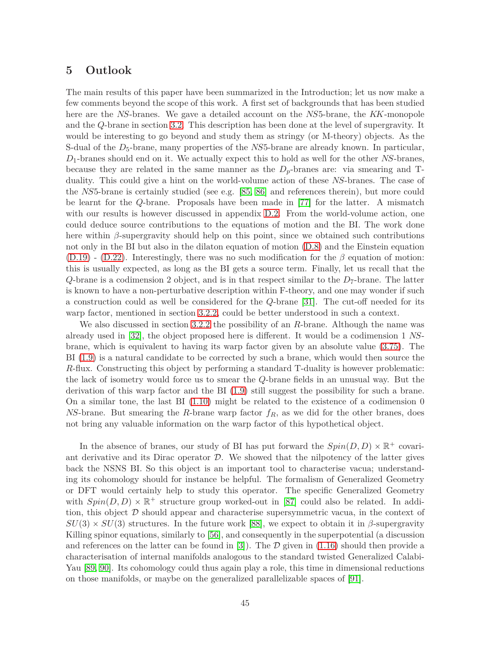### <span id="page-44-0"></span>**5 Outlook**

The main results of this paper have been summarized in the Introduction; let us now make a few comments beyond the scope of this work. A first set of backgrounds that has been studied here are the *NS*-branes. We gave a detailed account on the *NS*5-brane, the *KK*-monopole and the *Q*-brane in section [3.2.](#page-18-0) This description has been done at the level of supergravity. It would be interesting to go beyond and study them as stringy (or M-theory) objects. As the S-dual of the *D*5-brane, many properties of the *NS*5-brane are already known. In particular, *D*1-branes should end on it. We actually expect this to hold as well for the other *NS*-branes, because they are related in the same manner as the  $D_p$ -branes are: via smearing and Tduality. This could give a hint on the world-volume action of these *NS*-branes. The case of the *NS*5-brane is certainly studied (see e.g. [\[85,](#page-66-16) [86\]](#page-66-17) and references therein), but more could be learnt for the *Q*-brane. Proposals have been made in [\[77\]](#page-66-8) for the latter. A mismatch with our results is however discussed in appendix [D.2.](#page-57-0) From the world-volume action, one could deduce source contributions to the equations of motion and the BI. The work done here within *β*-supergravity should help on this point, since we obtained such contributions not only in the BI but also in the dilaton equation of motion [\(D.8\)](#page-56-0) and the Einstein equation  $(D.19)$  -  $(D.22)$ . Interestingly, there was no such modification for the  $\beta$  equation of motion: this is usually expected, as long as the BI gets a source term. Finally, let us recall that the *Q*-brane is a codimension 2 object, and is in that respect similar to the *D*7-brane. The latter is known to have a non-perturbative description within F-theory, and one may wonder if such a construction could as well be considered for the *Q*-brane [\[31\]](#page-63-13). The cut-off needed for its warp factor, mentioned in section [3.2.2,](#page-21-0) could be better understood in such a context.

We also discussed in section [3.2.2](#page-21-0) the possibility of an *R*-brane. Although the name was already used in [\[32\]](#page-63-14), the object proposed here is different. It would be a codimension 1 *NS*brane, which is equivalent to having its warp factor given by an absolute value [\(3.75\)](#page-24-2). The BI [\(1.9\)](#page-4-6) is a natural candidate to be corrected by such a brane, which would then source the *R*-flux. Constructing this object by performing a standard T-duality is however problematic: the lack of isometry would force us to smear the *Q*-brane fields in an unusual way. But the derivation of this warp factor and the BI [\(1.9\)](#page-4-6) still suggest the possibility for such a brane. On a similar tone, the last  $BI(1.10)$  might be related to the existence of a codimension 0 *NS*-brane. But smearing the *R*-brane warp factor *fR*, as we did for the other branes, does not bring any valuable information on the warp factor of this hypothetical object.

In the absence of branes, our study of BI has put forward the  $Spin(D, D) \times \mathbb{R}^+$  covariant derivative and its Dirac operator  $D$ . We showed that the nilpotency of the latter gives back the NSNS BI. So this object is an important tool to characterise vacua; understanding its cohomology should for instance be helpful. The formalism of Generalized Geometry or DFT would certainly help to study this operator. The specific Generalized Geometry with  $Spin(D, D) \times \mathbb{R}^+$  structure group worked-out in [\[87\]](#page-67-0) could also be related. In addition, this object  $\mathcal D$  should appear and characterise supersymmetric vacua, in the context of  $SU(3) \times SU(3)$  structures. In the future work [\[88\]](#page-67-1), we expect to obtain it in *β*-supergravity Killing spinor equations, similarly to [\[56\]](#page-65-5), and consequently in the superpotential (a discussion and references on the latter can be found in [\[3\]](#page-62-1)). The  $\mathcal D$  given in [\(1.16\)](#page-5-0) should then provide a characterisation of internal manifolds analogous to the standard twisted Generalized Calabi-Yau [\[89,](#page-67-2) [90\]](#page-67-3). Its cohomology could thus again play a role, this time in dimensional reductions on those manifolds, or maybe on the generalized parallelizable spaces of [\[91\]](#page-67-4).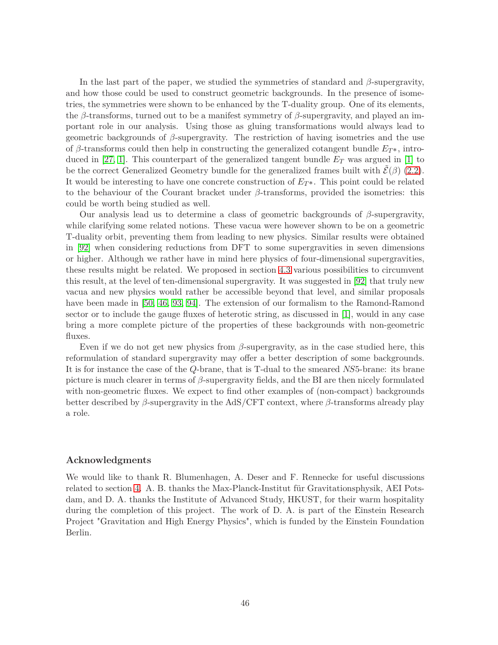In the last part of the paper, we studied the symmetries of standard and *β*-supergravity, and how those could be used to construct geometric backgrounds. In the presence of isometries, the symmetries were shown to be enhanced by the T-duality group. One of its elements, the *β*-transforms, turned out to be a manifest symmetry of *β*-supergravity, and played an important role in our analysis. Using those as gluing transformations would always lead to geometric backgrounds of *β*-supergravity. The restriction of having isometries and the use of  $\beta$ -transforms could then help in constructing the generalized cotangent bundle  $E_{T^*}$ , introduced in [\[27,](#page-63-9) [1\]](#page-62-16). This counterpart of the generalized tangent bundle *E<sup>T</sup>* was argued in [\[1\]](#page-62-16) to be the correct Generalized Geometry bundle for the generalized frames built with  $\mathcal{E}(\beta)$  [\(2.2\)](#page-7-5). It would be interesting to have one concrete construction of  $E_{T^*}$ . This point could be related to the behaviour of the Courant bracket under *β*-transforms, provided the isometries: this could be worth being studied as well.

Our analysis lead us to determine a class of geometric backgrounds of *β*-supergravity, while clarifying some related notions. These vacua were however shown to be on a geometric T-duality orbit, preventing them from leading to new physics. Similar results were obtained in [\[92\]](#page-67-5) when considering reductions from DFT to some supergravities in seven dimensions or higher. Although we rather have in mind here physics of four-dimensional supergravities, these results might be related. We proposed in section [4.3](#page-39-0) various possibilities to circumvent this result, at the level of ten-dimensional supergravity. It was suggested in [\[92\]](#page-67-5) that truly new vacua and new physics would rather be accessible beyond that level, and similar proposals have been made in [\[50,](#page-64-15) [46,](#page-64-11) [93,](#page-67-6) [94\]](#page-67-7). The extension of our formalism to the Ramond-Ramond sector or to include the gauge fluxes of heterotic string, as discussed in [\[1\]](#page-62-16), would in any case bring a more complete picture of the properties of these backgrounds with non-geometric fluxes.

Even if we do not get new physics from *β*-supergravity, as in the case studied here, this reformulation of standard supergravity may offer a better description of some backgrounds. It is for instance the case of the *Q*-brane, that is T-dual to the smeared *NS*5-brane: its brane picture is much clearer in terms of *β*-supergravity fields, and the BI are then nicely formulated with non-geometric fluxes. We expect to find other examples of (non-compact) backgrounds better described by *β*-supergravity in the AdS/CFT context, where *β*-transforms already play a role.

### **Acknowledgments**

We would like to thank R. Blumenhagen, A. Deser and F. Rennecke for useful discussions related to section [4.](#page-29-0) A. B. thanks the Max-Planck-Institut für Gravitationsphysik, AEI Potsdam, and D. A. thanks the Institute of Advanced Study, HKUST, for their warm hospitality during the completion of this project. The work of D. A. is part of the Einstein Research Project "Gravitation and High Energy Physics", which is funded by the Einstein Foundation Berlin.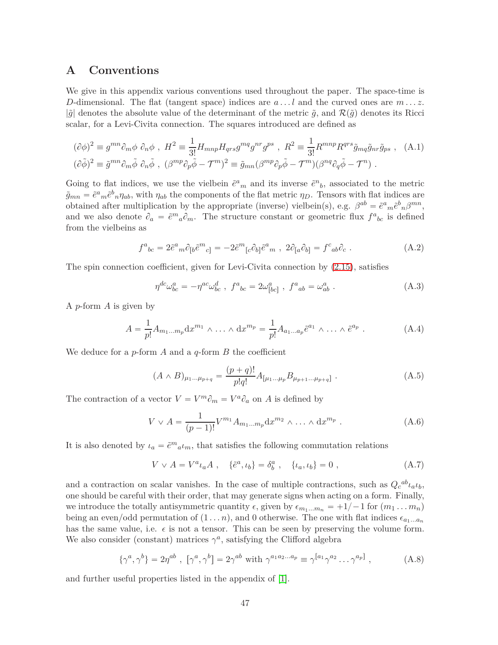### <span id="page-46-0"></span>**A Conventions**

We give in this appendix various conventions used throughout the paper. The space-time is *D*-dimensional. The flat (tangent space) indices are *a . . . l* and the curved ones are *m . . . z*.  $|\tilde{q}|$  denotes the absolute value of the determinant of the metric  $\tilde{q}$ , and  $\mathcal{R}(\tilde{q})$  denotes its Ricci scalar, for a Levi-Civita connection. The squares introduced are defined as

$$
(\partial \phi)^2 \equiv g^{mn} \partial_m \phi \partial_n \phi , H^2 \equiv \frac{1}{3!} H_{mnp} H_{qrs} g^{mq} g^{nr} g^{ps} , R^2 \equiv \frac{1}{3!} R^{mnp} R^{qrs} \tilde{g}_{mq} \tilde{g}_{nr} \tilde{g}_{ps} , (A.1)
$$
  

$$
(\partial \tilde{\phi})^2 \equiv \tilde{g}^{mn} \partial_m \tilde{\phi} \partial_n \tilde{\phi} , (\beta^{mp} \partial_p \tilde{\phi} - \mathcal{T}^m)^2 \equiv \tilde{g}_{mn} (\beta^{mp} \partial_p \tilde{\phi} - \mathcal{T}^m) (\beta^{nq} \partial_q \tilde{\phi} - \mathcal{T}^n) .
$$

Going to flat indices, we use the vielbein  $\tilde{e}^a{}_m$  and its inverse  $\tilde{e}^n{}_b$ , associated to the metric  $\tilde{g}_{mn} = \tilde{e}^a{}_m \tilde{e}^b{}_n \eta_{ab}$ , with  $\eta_{ab}$  the components of the flat metric  $\eta_D$ . Tensors with flat indices are obtained after multiplication by the appropriate (inverse) vielbein(s), e.g.  $\beta^{ab} = \tilde{e}^a{}_m \tilde{e}^b{}_n \beta^{mn}$ , and we also denote  $\partial_a = \tilde{e}^m{}_a \partial_m$ . The structure constant or geometric flux  $f^a{}_{bc}$  is defined from the vielbeins as

<span id="page-46-1"></span>
$$
f^{a}{}_{bc} = 2\tilde{e}^{a}{}_{m}\partial_{[b}\tilde{e}^{m}{}_{c]} = -2\tilde{e}^{m}{}_{[c}\partial_{b]}\tilde{e}^{a}{}_{m} , 2\partial_{[a}\partial_{b]} = f^{c}{}_{ab}\partial_{c} . \qquad (A.2)
$$

The spin connection coefficient, given for Levi-Civita connection by [\(2.15\)](#page-8-0), satisfies

<span id="page-46-2"></span>
$$
\eta^{dc}\omega_{bc}^{a} = -\eta^{ac}\omega_{bc}^{d} , \ f^{a}_{bc} = 2\omega_{[bc]}^{a} , \ f^{a}_{ab} = \omega_{ab}^{a} . \tag{A.3}
$$

A *p*-form *A* is given by

$$
A = \frac{1}{p!} A_{m_1...m_p} dx^{m_1} \wedge \ldots \wedge dx^{m_p} = \frac{1}{p!} A_{a_1...a_p} \tilde{e}^{a_1} \wedge \ldots \wedge \tilde{e}^{a_p} . \tag{A.4}
$$

We deduce for a *p*-form *A* and a *q*-form *B* the coefficient

$$
(A \wedge B)_{\mu_1 \dots \mu_{p+q}} = \frac{(p+q)!}{p!q!} A_{[\mu_1 \dots \mu_p} B_{\mu_{p+1} \dots \mu_{p+q}]} . \tag{A.5}
$$

The contraction of a vector  $V = V^m \partial_m = V^a \partial_a$  on *A* is defined by

$$
V \vee A = \frac{1}{(p-1)!} V^{m_1} A_{m_1...m_p} dx^{m_2} \wedge \dots \wedge dx^{m_p} . \tag{A.6}
$$

It is also denoted by  $\iota_a = \tilde{e}^m a \iota_m$ , that satisfies the following commutation relations

$$
V \vee A = V^a{}_{a}A \ , \quad \{\tilde{e}^a{}_{b} = \delta^a_b \ , \quad \{ \iota_a, \iota_b \} = 0 \ , \tag{A.7}
$$

and a contraction on scalar vanishes. In the case of multiple contractions, such as  $Q_c^{ab} \iota_a \iota_b$ , one should be careful with their order, that may generate signs when acting on a form. Finally, we introduce the totally antisymmetric quantity  $\epsilon$ , given by  $\epsilon_{m_1...m_n} = +1/-1$  for  $(m_1...m_n)$ being an even/odd permutation of  $(1 \ldots n)$ , and 0 otherwise. The one with flat indices  $\epsilon_{a_1...a_n}$ has the same value, i.e.  $\epsilon$  is not a tensor. This can be seen by preserving the volume form. We also consider (constant) matrices  $\gamma^a$ , satisfying the Clifford algebra

$$
\{\gamma^a, \gamma^b\} = 2\eta^{ab} , \ [\gamma^a, \gamma^b] = 2\gamma^{ab} \text{ with } \gamma^{a_1 a_2 \dots a_p} \equiv \gamma^{[a_1} \gamma^{a_2} \dots \gamma^{a_p]}, \tag{A.8}
$$

and further useful properties listed in the appendix of [\[1\]](#page-62-16).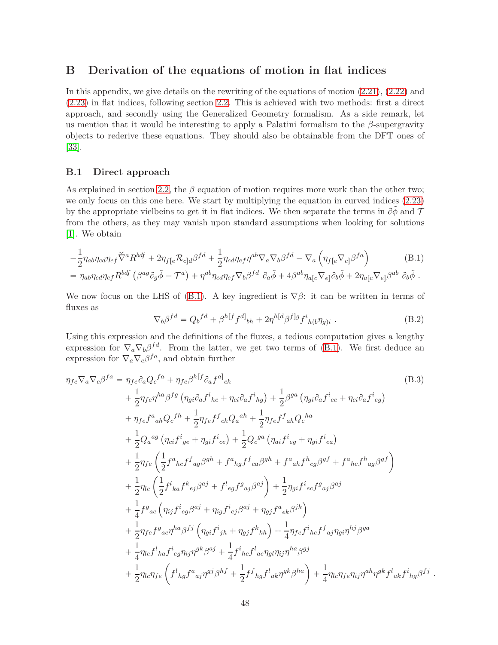### <span id="page-47-0"></span>**B Derivation of the equations of motion in flat indices**

In this appendix, we give details on the rewriting of the equations of motion [\(2.21\)](#page-9-2), [\(2.22\)](#page-9-3) and [\(2.23\)](#page-9-4) in flat indices, following section [2.2.](#page-9-0) This is achieved with two methods: first a direct approach, and secondly using the Generalized Geometry formalism. As a side remark, let us mention that it would be interesting to apply a Palatini formalism to the *β*-supergravity objects to rederive these equations. They should also be obtainable from the DFT ones of [\[33\]](#page-63-15).

### <span id="page-47-1"></span>**B.1 Direct approach**

As explained in section [2.2,](#page-9-0) the  $\beta$  equation of motion requires more work than the other two; we only focus on this one here. We start by multiplying the equation in curved indices [\(2.23\)](#page-9-4) by the appropriate vielbeins to get it in flat indices. We then separate the terms in  $\partial \tilde{\phi}$  and  $\mathcal T$ from the others, as they may vanish upon standard assumptions when looking for solutions [\[1\]](#page-62-16). We obtain

$$
-\frac{1}{2}\eta_{ab}\eta_{cd}\eta_{ef}\breve{\nabla}^{a}R^{bdf} + 2\eta_{f[e}\mathcal{R}_{c]d}\beta^{fd} + \frac{1}{2}\eta_{cd}\eta_{ef}\eta^{ab}\nabla_{a}\nabla_{b}\beta^{fd} - \nabla_{a}\left(\eta_{f[e}\nabla_{c]}\beta^{fa}\right)
$$
(B.1)  
=  $\eta_{ab}\eta_{cd}\eta_{ef}R^{bdf}\left(\beta^{ag}\partial_{g}\tilde{\phi} - \mathcal{T}^{a}\right) + \eta^{ab}\eta_{cd}\eta_{ef}\nabla_{b}\beta^{fd}\partial_{a}\tilde{\phi} + 4\beta^{ab}\eta_{a[e}\nabla_{e]}\partial_{b}\tilde{\phi} + 2\eta_{a[e}\nabla_{e]}\beta^{ab}\partial_{b}\tilde{\phi}.$ 

We now focus on the LHS of [\(B.1\)](#page-47-2). A key ingredient is  $\nabla \beta$ : it can be written in terms of fluxes as

<span id="page-47-2"></span>
$$
\nabla_b \beta^{fd} = Q_b{}^{fd} + \beta^{h[f}f^{d]}_{bh} + 2\eta^{h[d}\beta^{f]g}f^i_{h(b}\eta_{g)i} . \tag{B.2}
$$

Using this expression and the definitions of the fluxes, a tedious computation gives a lengthy expression for  $\nabla_a \nabla_b \beta^{fd}$ . From the latter, we get two terms of [\(B.1\)](#page-47-2). We first deduce an expression for  $\nabla_a \nabla_c \beta^{fa}$ , and obtain further

$$
\eta_{fe}\nabla_{\alpha}\nabla_{c}\beta^{fa} = \eta_{fe}\partial_{\alpha}C_{c}^{fa} + \eta_{fe}\beta^{h[f}\partial_{\alpha}f^{a]}_{ch} \n+ \frac{1}{2}\eta_{fe}\eta^{ha}\beta^{fg} \left(\eta_{gi}\partial_{a}f^{i}{}_{hc} + \eta_{ci}\partial_{a}f^{i}{}_{hg}\right) + \frac{1}{2}\beta^{ga} \left(\eta_{gi}\partial_{a}f^{i}{}_{ec} + \eta_{ci}\partial_{a}f^{i}{}_{eg}\right) \n+ \eta_{fe}f^{a}{}_{ah}Q_{c}{}^{fh} + \frac{1}{2}\eta_{fe}f^{f}{}_{ch}Q_{a}{}^{ah} + \frac{1}{2}\eta_{fe}f^{f}{}_{ah}Q_{c}{}^{ha} \n+ \frac{1}{2}Q_{a}{}^{ag} \left(\eta_{ci}f^{i}{}_{ge} + \eta_{gi}f^{i}{}_{ce}\right) + \frac{1}{2}Q_{c}{}^{ga} \left(\eta_{ai}f^{i}{}_{eg} + \eta_{gi}f^{i}{}_{ea}\right) \n+ \frac{1}{2}\eta_{fe} \left(\frac{1}{2}f^{a}{}_{hc}f^{f}{}_{ag}\beta^{gh} + f^{a}{}_{hg}f^{f}{}_{ca}\beta^{gh} + f^{a}{}_{ah}f^{h}{}_{cg}\beta^{gf} + f^{a}{}_{hc}f^{h}{}_{ag}\beta^{gf}\right) \n+ \frac{1}{2}\eta_{lc} \left(\frac{1}{2}f^{l}{}_{ka}f^{k}{}_{ej}\beta^{aj} + f^{l}{}_{eg}f^{g}{}_{aj}\beta^{aj}\right) + \frac{1}{2}\eta_{gi}f^{i}{}_{ec}f^{g}{}_{aj}\beta^{aj} \n+ \frac{1}{4}f^{g}{}_{ac} \left(\eta_{ij}f^{i}{}_{eg}\beta^{aj} + \eta_{ig}f^{i}{}_{ej}\beta^{aj} + \eta_{gj}f^{a}{}_{ek}\beta^{jk}\right) \n+ \frac{1}{2}\eta_{fe}f^{g}{}_{ac}\eta^{ha}\beta^{fj} \left(\eta_{gi}f^{i}{}_{jh} + \eta_{gj}f^{k}{}_{kh}\right) + \frac{1}{4}\eta_{fe}f^{i}{}_{hc}f^{f}{}_{aj}\eta_{gi}\eta^{hj}\beta^{ga} \n+ \frac{1
$$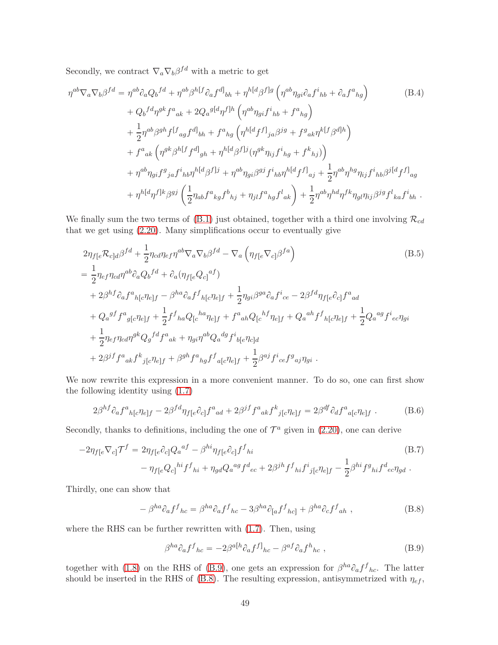Secondly, we contract  $\nabla_a \nabla_b \beta^{fd}$  with a metric to get

$$
\eta^{ab}\nabla_{a}\nabla_{b}\beta^{fd} = \eta^{ab}\partial_{a}Q_{b}f^{d} + \eta^{ab}\beta^{h[f}\partial_{a}f^{d]}_{bh} + \eta^{h[d}\beta^{f]g} \left(\eta^{ab}\eta_{gi}\partial_{a}f^{i}_{hb} + \partial_{a}f^{a}{}_{hg}\right) \tag{B.4}
$$
\n
$$
+ Q_{b}f^{d}\eta^{gk}f^{a}{}_{ak} + 2Q_{a}g[d\eta^{f}]^{h} \left(\eta^{ab}\eta_{gi}f^{i}{}_{hb} + f^{a}{}_{hg}\right)
$$
\n
$$
+ \frac{1}{2}\eta^{ab}\beta^{gh}f^{[f}{}_{ag}f^{d]}_{bh} + f^{a}{}_{hg}\left(\eta^{h[d}f^{f]}_{ja}\beta^{jg} + f^{g}{}_{ak}\eta^{k[f}\beta^{d]h}\right)
$$
\n
$$
+ f^{a}{}_{ak}\left(\eta^{gk}\beta^{h[f}f^{d]}_{gh} + \eta^{h[d}\beta^{f]j}(\eta^{gk}\eta_{ij}f^{i}{}_{hg} + f^{k}{}_{hj})\right)
$$
\n
$$
+ \eta^{ab}\eta_{gi}f^{g}{}_{ja}f^{i}{}_{hb}\eta^{h[d}\beta^{f]j} + \eta^{ab}\eta_{gi}\beta^{gj}f^{i}{}_{hb}\eta^{h[d}f^{f]}{}_{aj} + \frac{1}{2}\eta^{ab}\eta^{hg}\eta_{ij}f^{i}{}_{hb}\beta^{j[d}f^{f]}{}_{ag}
$$
\n
$$
+ \eta^{h[d}\eta^{f]k}\beta^{gj}\left(\frac{1}{2}\eta_{ab}f^{a}{}_{kg}f^{b}{}_{hj} + \eta_{jl}f^{a}{}_{hg}f^{l}{}_{ak}\right) + \frac{1}{2}\eta^{ab}\eta^{hd}\eta^{fk}\eta_{gl}\eta_{ij}\beta^{jg}f^{l}{}_{ka}f^{i}{}_{bh}.
$$

We finally sum the two terms of  $(B.1)$  just obtained, together with a third one involving  $\mathcal{R}_{cd}$ that we get using [\(2.20\)](#page-8-4). Many simplifications occur to eventually give

<span id="page-48-4"></span>
$$
2\eta_{f[e}\mathcal{R}_{c]d}\beta^{fd} + \frac{1}{2}\eta_{cd}\eta_{ef}\eta^{ab}\nabla_{a}\nabla_{b}\beta^{fd} - \nabla_{a}\left(\eta_{f[e}\nabla_{c]}\beta^{fa}\right)
$$
(B.5)  
\n
$$
= \frac{1}{2}\eta_{ef}\eta_{cd}\eta^{ab}\partial_{a}Q_{b}f^{d} + \partial_{a}(\eta_{f[e}Q_{c]}\alpha^{f})
$$
\n
$$
+ 2\beta^{hf}\partial_{af}\alpha_{h[e}\eta_{ef]} - \beta^{ha}\partial_{af}f_{h[e}\eta_{ef]} + \frac{1}{2}\eta_{gi}\beta^{ga}\partial_{a}f^{i}{}_{ce} - 2\beta^{fd}\eta_{f[e}\partial_{c]}\beta^{a}{}_{ad}
$$
\n
$$
+ Q_{a}^{gf}f^{a}{}_{g[e}\eta_{ef]} + \frac{1}{2}f^{f}{}_{ha}Q_{[c}{}^{ha}\eta_{ef]} + f^{a}{}_{ah}Q_{[c}{}^{hf}\eta_{ef]} + Q_{a}{}^{ah}f^{f}{}_{h[e}\eta_{ef]} + \frac{1}{2}Q_{a}{}^{ag}f^{i}{}_{ec}\eta_{gi}
$$
\n
$$
+ \frac{1}{2}\eta_{ef}\eta_{cd}\eta^{gk}Q_{g}f^{d}f^{a}{}_{ak} + \eta_{gi}\eta^{ab}Q_{a}{}^{dg}f^{i}{}_{b[e}\eta_{c]d}
$$
\n
$$
+ 2\beta^{jf}f^{a}{}_{ak}f^{k}{}_{j[e}\eta_{ef]} + \beta^{gh}f^{a}{}_{hg}f^{f}{}_{a[e}\eta_{ef]} + \frac{1}{2}\beta^{aj}f^{i}{}_{ce}f^{g}{}_{aj}\eta_{gi} .
$$

We now rewrite this expression in a more convenient manner. To do so, one can first show the following identity using [\(1.7\)](#page-4-0)

<span id="page-48-3"></span>
$$
2\beta^{hf}\partial_a f^a{}_{h[c}\eta_{e]f} - 2\beta^{fd}\eta_{f[e}\partial_c]f^a{}_{ad} + 2\beta^{jf}f^a{}_{ak}f^k{}_{j[c}\eta_{e]f} = 2\beta^{df}\partial_d f^a{}_{a[c}\eta_{e]f} \tag{B.6}
$$

Secondly, thanks to definitions, including the one of  $\mathcal{T}^a$  given in  $(2.20)$ , one can derive

$$
-2\eta_{f[e}\nabla_{c]} \mathcal{T}^{f} = 2\eta_{f[e}\partial_{c]}Q_{a}{}^{af} - \beta^{hi}\eta_{f[e}\partial_{c]}f^{f}{}_{hi}
$$
\n
$$
-\eta_{f[e}Q_{c]}{}^{hi}f^{f}{}_{hi} + \eta_{gd}Q_{a}{}^{ag}f^{d}{}_{ee} + 2\beta^{jh}f^{f}{}_{hi}f^{i}{}_{j[c}\eta_{e]}f - \frac{1}{2}\beta^{hi}f^{g}{}_{hi}f^{d}{}_{ec}\eta_{gd}.
$$
\n(B.7)

Thirdly, one can show that

<span id="page-48-1"></span>
$$
-\beta^{ha}\partial_a f^f{}_{hc} = \beta^{ha}\partial_a f^f{}_{hc} - 3\beta^{ha}\partial_{[a} f^f{}_{hc]} + \beta^{ha}\partial_c f^f{}_{ah} \;, \tag{B.8}
$$

where the RHS can be further rewritten with [\(1.7\)](#page-4-0). Then, using

<span id="page-48-2"></span><span id="page-48-0"></span>
$$
\beta^{ha}\partial_a f^f{}_{hc} = -2\beta^{a[h}\partial_a f^f]_{hc} - \beta^{af}\partial_a f^h{}_{hc} \,,\tag{B.9}
$$

together with [\(1.8\)](#page-4-7) on the RHS of [\(B.9\)](#page-48-0), one gets an expression for  $\beta^{ha}\partial_a f^f{}_{hc}$ . The latter should be inserted in the RHS of [\(B.8\)](#page-48-1). The resulting expression, antisymmetrized with  $\eta_{ef}$ ,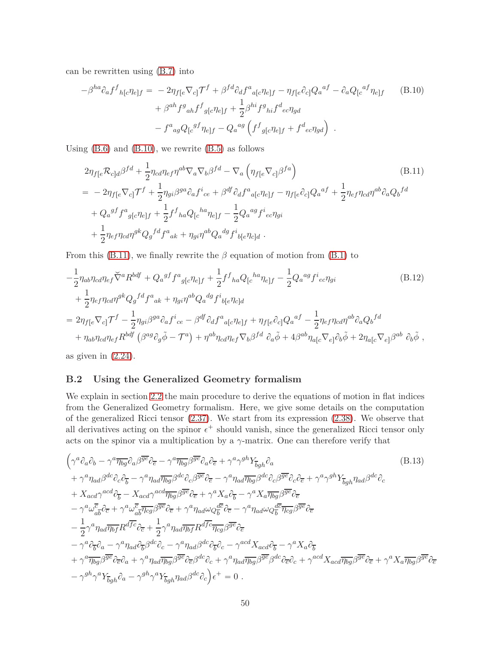can be rewritten using [\(B.7\)](#page-48-2) into

<span id="page-49-1"></span>
$$
-\beta^{ha}\partial_a f^f{}_{h[c}\eta_{e]f} = -2\eta_{f[e}\nabla_{c]} \mathcal{T}^f + \beta^{fd}\partial_d f^a{}_{a[c}\eta_{e]f} - \eta_{f[e}\partial_{c]}Q_a{}^{af} - \partial_a Q_{[c}{}^{af}\eta_{e]f} \qquad (B.10)
$$

$$
+ \beta^{ah} f^g{}_{ah} f^f{}_{g[c}\eta_{e]f} + \frac{1}{2}\beta^{hi} f^g{}_{hi} f^d{}_{ec}\eta_{gd}
$$

$$
- f^a{}_{ag} Q_{[c}{}^{gf}\eta_{e]f} - Q_a{}^{ag} \left( f^f{}_{g[c}\eta_{e]f} + f^d{}_{ec}\eta_{gd} \right) .
$$

Using  $(B.6)$  and  $(B.10)$ , we rewrite  $(B.5)$  as follows

<span id="page-49-2"></span>
$$
2\eta_{f[e}\mathcal{R}_{c]d}\beta^{fd} + \frac{1}{2}\eta_{cd}\eta_{ef}\eta^{ab}\nabla_{a}\nabla_{b}\beta^{fd} - \nabla_{a}\left(\eta_{f[e}\nabla_{c]}\beta^{fa}\right)
$$
(B.11)  
\n
$$
= -2\eta_{f[e}\nabla_{c]} \mathcal{T}^{f} + \frac{1}{2}\eta_{gi}\beta^{ga}\partial_{af}^{i}{}_{ce} + \beta^{df}\partial_{df}^{a}{}_{a[e}\eta_{e]f} - \eta_{f[e}\partial_{c]}Q_{a}^{af} + \frac{1}{2}\eta_{ef}\eta_{cd}\eta^{ab}\partial_{a}Q_{b}^{fd}
$$
\n
$$
+ Q_{a}^{gf}f^{a}{}_{g[e}\eta_{e]f} + \frac{1}{2}f^{f}{}_{ha}Q_{[c}^{ha}\eta_{e]f} - \frac{1}{2}Q_{a}^{ag}f^{i}{}_{ec}\eta_{gi}
$$
\n
$$
+ \frac{1}{2}\eta_{ef}\eta_{cd}\eta^{gk}Q_{g}^{fd}f^{a}{}_{ak} + \eta_{gi}\eta^{ab}Q_{a}^{dg}f^{i}{}_{b[e}\eta_{c]d} .
$$

From this [\(B.11\)](#page-49-2), we finally rewrite the  $\beta$  equation of motion from [\(B.1\)](#page-47-2) to

$$
-\frac{1}{2}\eta_{ab}\eta_{cd}\eta_{ef}\tilde{\nabla}^{a}R^{bdf} + Q_{a}{}^{gf}f^{a}{}_{g[c}\eta_{e]f} + \frac{1}{2}f^{f}{}_{ha}Q_{[c}{}^{ha}\eta_{e]f} - \frac{1}{2}Q_{a}{}^{ag}f^{i}{}_{ec}\eta_{gi}
$$
(B.12)  
+ 
$$
\frac{1}{2}\eta_{ef}\eta_{cd}\eta^{gk}Q_{g}{}^{fd}f^{a}{}_{ak} + \eta_{gi}\eta^{ab}Q_{a}{}^{dg}f^{i}{}_{b[e}\eta_{c]d}
$$

$$
= 2\eta_{f[e}\nabla_{c]}\mathcal{T}^{f} - \frac{1}{2}\eta_{gi}\beta^{ga}\partial_{a}f^{i}{}_{ce} - \beta^{df}\partial_{d}f^{a}{}_{a[c}\eta_{e]f} + \eta_{f[e}\partial_{c]}\partial_{a}{}^{af} - \frac{1}{2}\eta_{ef}\eta_{cd}\eta^{ab}\partial_{a}Q_{b}{}^{fd}
$$

$$
+ \eta_{ab}\eta_{cd}\eta_{ef}R^{bdf}(\beta^{ag}\partial_{g}\tilde{\phi} - \mathcal{T}^{a}) + \eta^{ab}\eta_{cd}\eta_{ef}\nabla_{b}\beta^{fd} \partial_{a}\tilde{\phi} + 4\beta^{ab}\eta_{a[c}\nabla_{e]}\partial_{b}\tilde{\phi} + 2\eta_{a[c}\nabla_{e]}\beta^{ab} \partial_{b}\tilde{\phi} ,
$$

as given in  $(2.24)$ .

### <span id="page-49-0"></span>**B.2 Using the Generalized Geometry formalism**

We explain in section [2.2](#page-9-0) the main procedure to derive the equations of motion in flat indices from the Generalized Geometry formalism. Here, we give some details on the computation of the generalized Ricci tensor [\(2.37\)](#page-11-0). We start from its expression [\(2.38\)](#page-11-2). We observe that all derivatives acting on the spinor  $\epsilon^+$  should vanish, since the generalized Ricci tensor only acts on the spinor via a multiplication by a *γ*-matrix. One can therefore verify that

$$
\left(\gamma^{a}\partial_{a}\partial_{b} - \gamma^{a}\overline{\eta_{bg}}\partial_{a}\beta^{\overline{ge}}\partial_{\overline{e}} - \gamma^{a}\overline{\eta_{bg}}\beta^{\overline{ge}}\partial_{a}\partial_{\overline{e}} + \gamma^{a}\gamma^{gh}Y_{\overline{bg}h}\partial_{a}\right) \right. \tag{B.13}
$$
\n
$$
+ \gamma^{a}\eta_{ad}\beta^{dc}\partial_{c}\partial_{\overline{b}} - \gamma^{a}\eta_{ad}\overline{\eta_{bg}}\beta^{dc}\partial_{c}\beta^{\overline{ge}}\partial_{\overline{e}} - \gamma^{a}\eta_{ad}\overline{\eta_{bg}}\beta^{dc}\partial_{c}\beta^{\overline{ge}}\partial_{\overline{e}} + \gamma^{a}\gamma^{a}\gamma^{gh}Y_{\overline{bg}h}\eta_{ad}\beta^{dc}\partial_{c}\right. \left. + X_{acd}\gamma^{acd}\partial_{\overline{b}} - X_{acd}\gamma^{acd}\overline{\eta_{bg}}\beta^{\overline{ge}}\partial_{\overline{e}} + \gamma^{a}X_{a}\partial_{\overline{b}} - \gamma^{a}X_{a}\overline{\eta_{bg}}\beta^{\overline{ge}}\partial_{\overline{e}}\right. \left. - \gamma^{a}\omega_{ab}^{\overline{c}}\partial_{\overline{c}} + \gamma^{a}\omega_{ab}^{\overline{c}}\overline{\eta_{cg}}\beta^{\overline{ge}}\partial_{\overline{e}} + \gamma^{a}\eta_{ad}\omega_{Q\overline{b}}\overline{\eta_{cg}}\beta^{\overline{ge}}\partial_{\overline{e}}\right. \left. - \frac{1}{2}\gamma^{a}\eta_{ad}\overline{\eta_{bf}}R^{d\overline{fc}}\partial_{\overline{c}} + \frac{1}{2}\gamma^{a}\eta_{ad}\overline{\eta_{bf}}R^{d\overline{fc}}\overline{\eta_{cg}}\beta^{\overline{ge}}\partial_{\overline{e}}\right. \left. - \gamma^{a}X_{a}\partial_{\overline{b}} - \gamma^{a}X_{a}\partial_{\overline{b}}\right. \left. - \gamma^{a}\partial_{\overline{b}}\partial_{a} - \gamma^{a}\eta_{ad}\partial_{\overline{b}}\beta^{dc}\partial_{c} - \gamma^{a}\eta_{ad}\beta^{dc}\partial_{\overline{b}}\partial_{c} - \gamma^{acd}X_{acd}\partial_{\overline{b}} - \gamma^{a}X_{
$$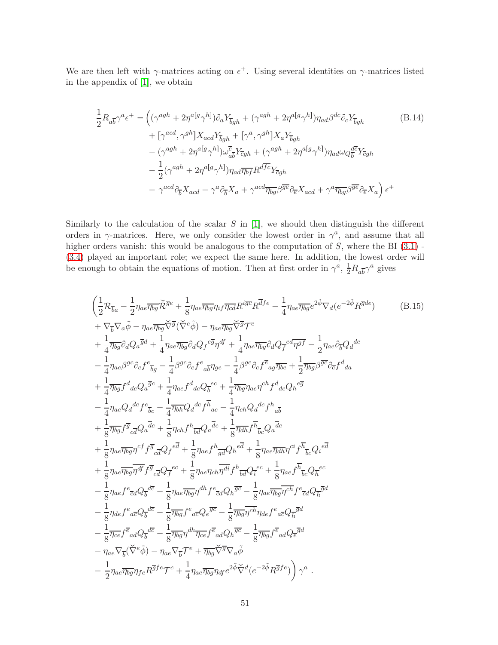We are then left with  $\gamma$ -matrices acting on  $\epsilon^+$ . Using several identities on  $\gamma$ -matrices listed in the appendix of [\[1\]](#page-62-16), we obtain

$$
\frac{1}{2}R_{a\overline{b}}\gamma^{a}\epsilon^{+} = \left((\gamma^{agh} + 2\eta^{a[g}\gamma^{h]})\partial_{a}Y_{\overline{b}gh} + (\gamma^{agh} + 2\eta^{a[g}\gamma^{h]})\eta_{ad}\beta^{dc}\partial_{c}Y_{\overline{b}gh} + [\gamma^{acd}, \gamma^{gh}]X_{acd}Y_{\overline{b}gh} + [\gamma^{a}, \gamma^{gh}]X_{a}Y_{\overline{b}gh} - (\gamma^{agh} + 2\eta^{a[g}\gamma^{h]})\omega_{ab}^{\overline{c}}Y_{\overline{c}gh} + (\gamma^{agh} + 2\eta^{a[g}\gamma^{h]})\eta_{ad}\omega_{Q}\frac{d\overline{c}}{b}Y_{\overline{c}gh} - \frac{1}{2}(\gamma^{agh} + 2\eta^{a[g}\gamma^{h]})\eta_{ad}\overline{\eta_{bf}}R^{d\overline{f}c}Y_{\overline{c}gh} - \gamma^{acd}\partial_{\overline{b}}X_{acd} - \gamma^{a}\partial_{\overline{b}}X_{a} + \gamma^{acd}\overline{\eta_{bg}}\beta^{\overline{ge}}\partial_{\overline{e}}X_{acd} + \gamma^{a}\overline{\eta_{bg}}\beta^{\overline{ge}}\partial_{\overline{e}}X_{a}\right)\epsilon^{+}
$$
\n(B.14)

Similarly to the calculation of the scalar *S* in [\[1\]](#page-62-16), we should then distinguish the different orders in  $\gamma$ -matrices. Here, we only consider the lowest order in  $\gamma^a$ , and assume that all higher orders vanish: this would be analogous to the computation of *S*, where the BI  $(3.1)$  -[\(3.4\)](#page-12-6) played an important role; we expect the same here. In addition, the lowest order will be enough to obtain the equations of motion. Then at first order in  $\gamma^a$ ,  $\frac{1}{2}R_{a\overline{b}}\gamma^a$  gives

$$
\left(\frac{1}{2}\mathcal{R}_{\overline{b}a} - \frac{1}{2}\eta_{ae}\overline{\eta_{bg}}\widetilde{K}^{\overline{g}e} + \frac{1}{8}\eta_{ae}\overline{\eta_{bg}}\eta_{if}\overline{\eta_{cd}}R^{\overline{ig}\overline{c}}R^{\overline{d}fe} - \frac{1}{4}\eta_{ae}\overline{\eta_{bg}}e^{2\tilde{\phi}}\nabla_{d}(e^{-2\tilde{\phi}}R^{\overline{g}de})\right) \n+ \nabla_{\overline{b}}\nabla_{a}\tilde{\phi} - \eta_{ae}\overline{\eta_{bg}}\widetilde{\nabla}^{\overline{g}}(\widetilde{\nabla}^{e}\tilde{\phi}) - \eta_{ae}\overline{\eta_{bg}}\widetilde{\nabla}^{\overline{g}}\mathcal{T}^{e} \n+ \frac{1}{4}\overline{\eta_{bg}}g_{d}Q_{a}\overline{g}d + \frac{1}{4}\eta_{ae}\overline{\eta_{bg}}\partial_{d}Q_{f}\overline{e^{g}}\eta^{df} + \frac{1}{4}\eta_{ae}\overline{\eta_{bg}}\partial_{d}Q_{f}^{ed}\overline{\eta^{gf}} - \frac{1}{2}\eta_{ae}\partial_{\overline{b}}Q_{d}d^{de}
$$
\n
$$
- \frac{1}{4}\eta_{ae}\beta^{gc}\partial_{c}f^{e}\overline{f}_{bg} - \frac{1}{4}\beta^{gc}\partial_{c}f^{e}\overline{a}_{b}\overline{\eta_{be}} + \frac{1}{2}\overline{\eta_{bg}}\beta^{gc}\partial_{c}f^{d}_{da}
$$
\n
$$
+ \frac{1}{4}\overline{\eta_{bg}}f^{d}_{ac}Q_{a}\overline{g}^{c} + \frac{1}{4}\eta_{ae}f^{d}_{ac}Q_{b}\overline{c}^{ec} + \frac{1}{4}\overline{\eta_{bg}}\eta_{ae}\eta^{ch}f^{d}_{ac}Q_{b}\overline{e^{g}}
$$
\n
$$
- \frac{1}{4}\eta_{ae}Q_{d}^{def}f^{e}_{bc} - \frac{1}{4}\overline{\eta_{bh}}Q_{d}^{def}\overline{h}_{ac} - \frac{1}{4}\eta_{ch}Q_{d}^{def}f^{h}_{a\overline{b}}
$$
\n
$$
+ \frac{1}{8}\overline{\eta_{bg}}\overline{f^{g}}
$$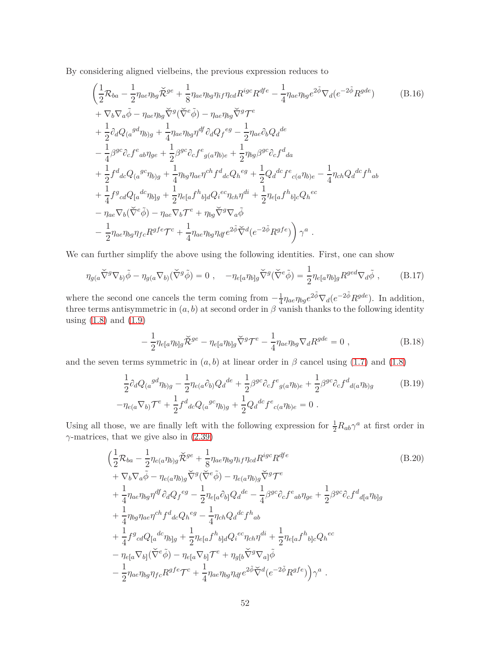By considering aligned vielbeins, the previous expression reduces to

$$
\left(\frac{1}{2}\mathcal{R}_{ba} - \frac{1}{2}\eta_{ae}\eta_{bg}\tilde{\mathcal{R}}^{ge} + \frac{1}{8}\eta_{ae}\eta_{bg}\eta_{if}\eta_{cd}R^{igc}R^{dfe} - \frac{1}{4}\eta_{ae}\eta_{bg}e^{2\tilde{\phi}}\nabla_d(e^{-2\tilde{\phi}}R^{gde})\right)
$$
(B.16)  
+  $\nabla_b\nabla_a\tilde{\phi} - \eta_{ae}\eta_{bg}\tilde{\nabla}^g(\tilde{\nabla}^e\tilde{\phi}) - \eta_{ae}\eta_{bg}\tilde{\nabla}^gT^e$   
+  $\frac{1}{2}\partial_dQ_{(a}^{gd}\eta_{b)g} + \frac{1}{4}\eta_{ae}\eta_{bg}\eta^{df}\partial_dQ_f^{eg} - \frac{1}{2}\eta_{ae}\partial_bQ_d^{de}$   
-  $\frac{1}{4}\beta^{gc}\partial_c f^e_{ab}\eta_{ge} + \frac{1}{2}\beta^{gc}\partial_c f^e_{g(a}\eta_{b)e} + \frac{1}{2}\eta_{bg}\beta^{gc}\partial_c f^d_{da}$   
+  $\frac{1}{2}f^d_{dc}Q_{(a}^{gc}\eta_{b)g} + \frac{1}{4}\eta_{bg}\eta_{ae}\eta^{ch}f^d_{dc}Q_h^{eg} + \frac{1}{2}Q_d^{dc}f^e_{(c(a)}\eta_{b)e} - \frac{1}{4}\eta_{ch}Q_d^{dc}f^h_{ab}$   
+  $\frac{1}{4}f^g_{cd}Q_{[a}^{dc}\eta_{b]g} + \frac{1}{2}\eta_{e[a}f^h_{b]d}Q_i^{ec}\eta_{ch}\eta^{di} + \frac{1}{2}\eta_{e[a}f^h_{b]c}Q_h^{ec}$   
-  $\eta_{ae}\nabla_b(\tilde{\nabla}^e\tilde{\phi}) - \eta_{ae}\nabla_b\mathcal{T}^e + \eta_{bg}\tilde{\nabla}^g\nabla_a\tilde{\phi}$   
-  $\frac{1}{2}\eta_{ae}\eta_{bg}\eta_{fc}R^{gf}e\mathcal{T}^c + \frac{1}{4}\eta_{ae}\eta_{bg}\eta_{df}e^{2\tilde{\phi}}\tilde{\nabla}^d(e^{-2\tilde{\phi}}R^{gfe})\gamma^a.$ 

We can further simplify the above using the following identities. First, one can show

$$
\eta_{g(a}\breve{\nabla}^g \nabla_{b)} \tilde{\phi} - \eta_{g(a} \nabla_{b)} (\breve{\nabla}^g \tilde{\phi}) = 0 \ , \quad -\eta_{e[a} \eta_{b]g} \breve{\nabla}^g (\breve{\nabla}^e \tilde{\phi}) = \frac{1}{2} \eta_{e[a} \eta_{b]g} R^{ged} \nabla_d \tilde{\phi} \ , \tag{B.17}
$$

where the second one cancels the term coming from  $-\frac{1}{4}\eta_{ae}\eta_{bg}e^{2\tilde{\phi}}\nabla_d(e^{-2\tilde{\phi}}R^{gde})$ . In addition, three terms antisymmetric in  $(a, b)$  at second order in  $\beta$  vanish thanks to the following identity using  $(1.8)$  and  $(1.9)$ 

$$
-\frac{1}{2}\eta_{e[a}\eta_{b]g}\tilde{\mathcal{R}}^{ge} - \eta_{e[a}\eta_{b]g}\tilde{\nabla}^g\mathcal{T}^e - \frac{1}{4}\eta_{ae}\eta_{bg}\nabla_d R^{gde} = 0 ,\qquad (B.18)
$$

and the seven terms symmetric in  $(a, b)$  at linear order in  $\beta$  cancel using [\(1.7\)](#page-4-0) and [\(1.8\)](#page-4-7)

$$
\frac{1}{2}\partial_d Q_{(a}{}^{gd}\eta_{b)g} - \frac{1}{2}\eta_{e(a}\partial_{b)}Q_d{}^{de} + \frac{1}{2}\beta^{gc}\partial_c f^e_{(g(a)}\eta_{b)e} + \frac{1}{2}\beta^{gc}\partial_c f^d_{(d(a)}\eta_{b)g}
$$
(B.19)  

$$
-\eta_{e(a}\nabla_{b)}\mathcal{T}^e + \frac{1}{2}f^d_{(dc)}Q_{(a}{}^{gc}\eta_{b)g} + \frac{1}{2}Q_d{}^{dc}f^e_{(c(a)}\eta_{b)e} = 0.
$$

Using all those, we are finally left with the following expression for  $\frac{1}{2}R_{ab}\gamma^a$  at first order in *γ*-matrices, that we give also in [\(2.39\)](#page-11-1)

$$
\begin{split}\n&\left(\frac{1}{2}\mathcal{R}_{ba} - \frac{1}{2}\eta_{e(a}\eta_{b)g}\tilde{\mathcal{R}}^{ge} + \frac{1}{8}\eta_{ae}\eta_{bg}\eta_{if}\eta_{cd}R^{igc}R^{dfe}\right. \\
&+ \nabla_b\nabla_a\tilde{\phi} - \eta_{e(a}\eta_{b)g}\tilde{\nabla}^g(\tilde{\nabla}^e\tilde{\phi}) - \eta_{e(a}\eta_{b)g}\tilde{\nabla}^g\mathcal{T}^e \\
&+ \frac{1}{4}\eta_{ae}\eta_{bg}\eta^{df}\partial_dQ_f{}^{eg} - \frac{1}{2}\eta_{e[a}\partial_{b]}Q_d{}^{de} - \frac{1}{4}\beta^{gc}\partial_c f^e{}_{ab}\eta_{ge} + \frac{1}{2}\beta^{gc}\partial_c f^d{}_{d[a}\eta_{b]g} \\
&+ \frac{1}{4}\eta_{bg}\eta_{ae}\eta^{ch}f^d{}_{dc}Q_h{}^{eg} - \frac{1}{4}\eta_{ch}Q_d{}^{dc}f^h{}_{ab} \\
&+ \frac{1}{4}f^g{}_{cd}Q_{[a}{}^{dc}\eta_{b]g} + \frac{1}{2}\eta_{e[a}f^h{}_{b]d}Q_i{}^{ec}\eta_{ch}\eta^{di} + \frac{1}{2}\eta_{e[a}f^h{}_{b]c}Q_h{}^{ec} \\
&- \eta_{e[a}\nabla_{b]}(\tilde{\nabla}^e\tilde{\phi}) - \eta_{e[a}\nabla_{b]}T^e + \eta_{g[b}\tilde{\nabla}^g\nabla_{a]}\tilde{\phi} \\
&- \frac{1}{2}\eta_{ae}\eta_{bg}\eta_{fc}R^{gf}eT^c + \frac{1}{4}\eta_{ae}\eta_{bg}\eta_{df}e^{2\tilde{\phi}}\tilde{\nabla}^d(e^{-2\tilde{\phi}}R^{gf}e)\right)\gamma^a.\n\end{split} \tag{B.20}
$$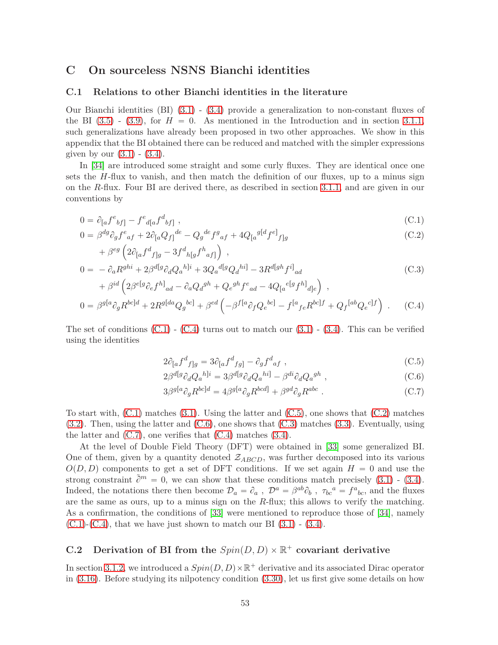### <span id="page-52-1"></span><span id="page-52-0"></span>**C On sourceless NSNS Bianchi identities**

### **C.1 Relations to other Bianchi identities in the literature**

Our Bianchi identities (BI) [\(3.1\)](#page-12-5) - [\(3.4\)](#page-12-6) provide a generalization to non-constant fluxes of the BI  $(3.5)$  -  $(3.9)$ , for  $H = 0$ . As mentioned in the Introduction and in section [3.1.1,](#page-12-2) such generalizations have already been proposed in two other approaches. We show in this appendix that the BI obtained there can be reduced and matched with the simpler expressions given by our  $(3.1)$  -  $(3.4)$ .

In [\[34\]](#page-63-16) are introduced some straight and some curly fluxes. They are identical once one sets the *H*-flux to vanish, and then match the definition of our fluxes, up to a minus sign on the *R*-flux. Four BI are derived there, as described in section [3.1.1,](#page-12-2) and are given in our conventions by

$$
0 = \partial_{[a} f^e{}_{bf}] - f^e{}_{d[a} f^d{}_{bf}], \qquad (C.1)
$$

$$
0 = \beta^{dg} \partial_g f^e{}_{af} + 2 \partial_{[a} Q_{f]}{}^{de} - Q_g{}^{def} g_{af} + 4 Q_{[a}{}^{g[d} f^{e]}{}_{f]g} + \beta^{eg} \left( 2 \partial_{[a} f^d{}_{f]g} - 3 f^d{}_{h[g} f^h{}_{af]} \right) ,
$$
 (C.2)

$$
0 = -\partial_a R^{ghi} + 2\beta^{d[g}\partial_d Q_a^{h]i} + 3Q_a^{d[g}Q_d^{hi]} - 3R^{d[gh}f^{i]}_{ad}
$$
\n
$$
+ \beta^{id} \left(2\beta^{e[g}\partial_e f^{h]}_{ad} - \partial_a Q_d^{gh} + Q_e^{gh} f^e_{ad} - 4Q_{[a}^{e[g}f^{h]}_{d]e}\right) ,
$$
\n
$$
0 = \beta^{g[a}\beta, B^{bc]d} + 2B^{g[d\alpha,0]bc] + \beta^{ed} \left(-\beta^{f[a}\beta,0]bc\right] - f^{[a} \cdot B^{bc]f} + O_e^{[ab}O_e^{cf]}\right)
$$
\n(C.4)

$$
0 = \beta^{g[a} \partial_g R^{bc]d} + 2R^{g[da} Q_g{}^{bc]} + \beta^{ed} \left( -\beta^{f[a} \partial_f Q_e{}^{bc]} - f^{[a}{}_{fe} R^{bc]f} + Q_f^{[ab} Q_e{}^{cf]} \right) . \tag{C.4}
$$

The set of conditions  $(C.1)$  -  $(C.4)$  turns out to match our  $(3.1)$  -  $(3.4)$ . This can be verified using the identities

<span id="page-52-8"></span><span id="page-52-7"></span><span id="page-52-6"></span><span id="page-52-5"></span><span id="page-52-4"></span><span id="page-52-3"></span>
$$
2\partial_{[a}f^d{}_{f]g} = 3\partial_{[a}f^d{}_{fg]} - \partial_g f^d{}_{af} , \qquad (C.5)
$$

$$
2\beta^{d[g}\partial_d Q_a{}^{h]i} = 3\beta^{d[g}\partial_d Q_a{}^{hi]} - \beta^{di}\partial_d Q_a{}^{gh} , \qquad (C.6)
$$

<span id="page-52-9"></span>
$$
3\beta^{g[a}\partial_g R^{bc]d} = 4\beta^{g[a}\partial_g R^{bcd]} + \beta^{gd}\partial_g R^{abc} . \tag{C.7}
$$

To start with,  $(C.1)$  matches  $(3.1)$ . Using the latter and  $(C.5)$ , one shows that  $(C.2)$  matches  $(3.2)$ . Then, using the latter and  $(C.6)$ , one shows that  $(C.3)$  matches  $(3.3)$ . Eventually, using the latter and  $(C.7)$ , one verifies that  $(C.4)$  matches  $(3.4)$ .

At the level of Double Field Theory (DFT) were obtained in [\[33\]](#page-63-15) some generalized BI. One of them, given by a quantity denoted  $\mathcal{Z}_{ABCD}$ , was further decomposed into its various  $O(D, D)$  components to get a set of DFT conditions. If we set again  $H = 0$  and use the strong constraint  $\tilde{\partial}^m = 0$ , we can show that these conditions match precisely [\(3.1\)](#page-12-5) - [\(3.4\)](#page-12-6). Indeed, the notations there then become  $\mathcal{D}_a = \partial_a$ ,  $\mathcal{D}^a = \beta^{ab}\partial_b$ ,  $\tau_{bc}{}^a = f^a{}_{bc}$ , and the fluxes are the same as ours, up to a minus sign on the *R*-flux; this allows to verify the matching. As a confirmation, the conditions of [\[33\]](#page-63-15) were mentioned to reproduce those of [\[34\]](#page-63-16), namely  $(C.1)-(C.4)$  $(C.1)-(C.4)$  $(C.1)-(C.4)$ , that we have just shown to match our BI  $(3.1)$  -  $(3.4)$ .

## <span id="page-52-2"></span>**C.2** Derivation of BI from the  $Spin(D, D) \times \mathbb{R}^+$  covariant derivative

In section [3.1.2,](#page-15-0) we introduced a  $Spin(D, D) \times \mathbb{R}^+$  derivative and its associated Dirac operator in [\(3.16\)](#page-16-1). Before studying its nilpotency condition [\(3.30\)](#page-17-2), let us first give some details on how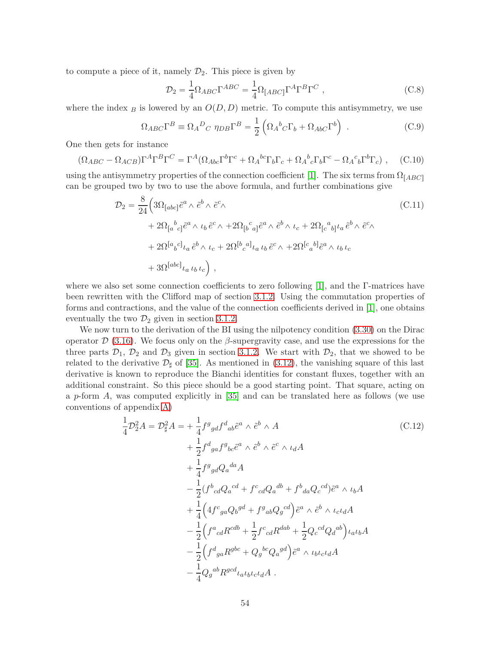to compute a piece of it, namely  $\mathcal{D}_2$ . This piece is given by

$$
\mathcal{D}_2 = \frac{1}{4} \Omega_{ABC} \Gamma^{ABC} = \frac{1}{4} \Omega_{[ABC]} \Gamma^A \Gamma^B \Gamma^C , \qquad (C.8)
$$

where the index  $B$  is lowered by an  $O(D, D)$  metric. To compute this antisymmetry, we use

$$
\Omega_{ABC}\Gamma^B \equiv \Omega_A{}^D{}_C \eta_{DB}\Gamma^B = \frac{1}{2} \left( \Omega_A{}^b{}_C\Gamma_b + \Omega_{AbC}\Gamma^b \right) . \tag{C.9}
$$

One then gets for instance

$$
(\Omega_{ABC} - \Omega_{ACB})\Gamma^A\Gamma^B\Gamma^C = \Gamma^A(\Omega_{Abc}\Gamma^b\Gamma^c + \Omega_A{}^{bc}\Gamma_b\Gamma_c + \Omega_A{}^b{}_c\Gamma_b\Gamma^c - \Omega_A{}^c{}_b\Gamma^b\Gamma_c) , \quad (C.10)
$$

using the antisymmetry properties of the connection coefficient [\[1\]](#page-62-16). The six terms from  $\Omega_{[ABC]}$ can be grouped two by two to use the above formula, and further combinations give

$$
\mathcal{D}_2 = \frac{8}{24} \Big( 3\Omega_{[abc]} \tilde{e}^a \wedge \tilde{e}^b \wedge \tilde{e}^c \wedge \n+ 2\Omega_{[a}{}^b{}_{c]} \tilde{e}^a \wedge \iota_b \tilde{e}^c \wedge + 2\Omega_{[b}{}^c{}_{a]} \tilde{e}^a \wedge \tilde{e}^b \wedge \iota_c + 2\Omega_{[c}{}^a{}_{b]} \iota_a \tilde{e}^b \wedge \tilde{e}^c \wedge \n+ 2\Omega_{[a}{}^b{}_{b}{}^c{}_{l}{}_{a} \tilde{e}^b \wedge \iota_c + 2\Omega_{[c}{}^b{}_{c}{}^a{}_{l}{}_{a}{}_{b} \tilde{e}^c \wedge + 2\Omega_{[c}{}^a{}_{a}{}^b] \tilde{e}^a \wedge \iota_b{}_{l}{}_{c} \n+ 3\Omega_{[abc]}{}_{l}{}_{a}{}_{l}{}_{b}{}_{l}{}_{c} \Big) ,
$$
\n(C.11)

where we also set some connection coefficients to zero following [\[1\]](#page-62-16), and the Γ-matrices have been rewritten with the Clifford map of section [3.1.2.](#page-15-0) Using the commutation properties of forms and contractions, and the value of the connection coefficients derived in [\[1\]](#page-62-16), one obtains eventually the two  $\mathcal{D}_2$  given in section [3.1.2.](#page-15-0)

We now turn to the derivation of the BI using the nilpotency condition [\(3.30\)](#page-17-2) on the Dirac operator D [\(3.16\)](#page-16-1). We focus only on the *β*-supergravity case, and use the expressions for the three parts  $\mathcal{D}_1$ ,  $\mathcal{D}_2$  and  $\mathcal{D}_3$  given in section [3.1.2.](#page-15-0) We start with  $\mathcal{D}_2$ , that we showed to be related to the derivative  $\mathcal{D}_{\sharp}$  of [\[35\]](#page-64-0). As mentioned in [\(3.12\)](#page-14-0), the vanishing square of this last derivative is known to reproduce the Bianchi identities for constant fluxes, together with an additional constraint. So this piece should be a good starting point. That square, acting on a *p*-form *A*, was computed explicitly in [\[35\]](#page-64-0) and can be translated here as follows (we use conventions of appendix [A\)](#page-46-0)

$$
\frac{1}{4}\mathcal{D}_2^2 A = \mathcal{D}_\sharp^2 A = +\frac{1}{4} f^g{}_{gd} f^d{}_{ab} \tilde{e}^a \wedge \tilde{e}^b \wedge A
$$
\n
$$
+ \frac{1}{2} f^d{}_{ga} f^g{}_{bc} \tilde{e}^a \wedge \tilde{e}^b \wedge \tilde{e}^c \wedge \iota_d A
$$
\n
$$
+ \frac{1}{4} f^g{}_{gd} Q_a{}^{da} A
$$
\n
$$
- \frac{1}{2} (f^b{}_{cd} Q_a{}^{cd} + f^c{}_{cd} Q_a{}^{db} + f^b{}_{da} Q_c{}^{cd}) \tilde{e}^a \wedge \iota_b A
$$
\n
$$
+ \frac{1}{4} (4 f^c{}_{ga} Q_b{}^{gd} + f^g{}_{ab} Q_g{}^{cd}) \tilde{e}^a \wedge \tilde{e}^b \wedge \iota_c \iota_d A
$$
\n
$$
- \frac{1}{2} (f^a{}_{cd} R^{cdb} + \frac{1}{2} f^c{}_{cd} R^{dab} + \frac{1}{2} Q_c{}^{cd} Q_d{}^{ab}) \iota_a \iota_b A
$$
\n
$$
- \frac{1}{2} (f^d{}_{ga} R^{gbc} + Q_g{}^{bc} Q_a{}^{gd}) \tilde{e}^a \wedge \iota_b \iota_c \iota_d A
$$
\n
$$
- \frac{1}{4} Q_g{}^{ab} R^{gcd} \iota_a \iota_b \iota_c \iota_d A
$$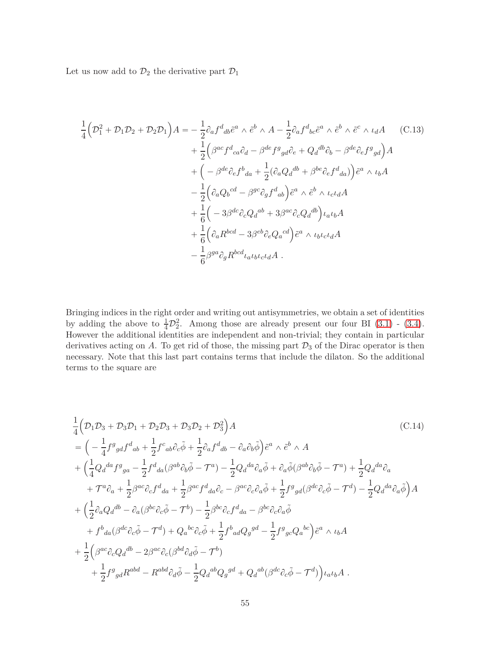Let us now add to  $\mathcal{D}_2$  the derivative part  $\mathcal{D}_1$ 

$$
\frac{1}{4}\left(\mathcal{D}_{1}^{2}+\mathcal{D}_{1}\mathcal{D}_{2}+\mathcal{D}_{2}\mathcal{D}_{1}\right)A = -\frac{1}{2}\partial_{a}f^{d}{}_{db}\tilde{e}^{a}\wedge\tilde{e}^{b}\wedge A - \frac{1}{2}\partial_{a}f^{d}{}_{bc}\tilde{e}^{a}\wedge\tilde{e}^{b}\wedge\tilde{e}^{c}\wedge\iota_{d}A
$$
\n
$$
+\frac{1}{2}\left(\beta^{ac}f^{d}{}_{ca}\partial_{d}-\beta^{de}f^{g}{}_{gd}\partial_{e}+\mathcal{Q}_{d}{}^{db}\partial_{b}-\beta^{de}\partial_{e}f^{g}{}_{gd}\right)A
$$
\n
$$
+\left(-\beta^{de}\partial_{e}f^{b}{}_{da}+\frac{1}{2}(\partial_{a}\mathcal{Q}_{d}{}^{db}+\beta^{be}\partial_{e}f^{d}{}_{da})\right)\tilde{e}^{a}\wedge\iota_{b}A
$$
\n
$$
-\frac{1}{2}\left(\partial_{a}\mathcal{Q}_{b}{}^{cd}-\beta^{gc}\partial_{g}f^{d}{}_{ab}\right)\tilde{e}^{a}\wedge\tilde{e}^{b}\wedge\iota_{c}{}_{cd}A
$$
\n
$$
+\frac{1}{6}\left(-3\beta^{dc}\partial_{c}\mathcal{Q}_{d}{}^{ab}+3\beta^{ac}\partial_{c}\mathcal{Q}_{d}{}^{db}\right)\iota_{a}{}_{b}A
$$
\n
$$
+\frac{1}{6}\left(\partial_{a}R^{bcd}-3\beta^{eb}\partial_{e}\mathcal{Q}_{a}{}^{cd}\right)\tilde{e}^{a}\wedge\iota_{b}{}_{c}{}_{cd}A
$$
\n
$$
-\frac{1}{6}\beta^{ga}\partial_{g}R^{bcd}{}_{a}{}_{b}{}_{b}{}_{c}{}_{d}A.
$$

Bringing indices in the right order and writing out antisymmetries, we obtain a set of identities by adding the above to  $\frac{1}{4}\mathcal{D}_2^2$ . Among those are already present our four BI [\(3.1\)](#page-12-5) - [\(3.4\)](#page-12-6). However the additional identities are independent and non-trivial; they contain in particular derivatives acting on  $A$ . To get rid of those, the missing part  $\mathcal{D}_3$  of the Dirac operator is then necessary. Note that this last part contains terms that include the dilaton. So the additional terms to the square are

$$
\frac{1}{4}\left(D_{1}D_{3} + D_{3}D_{1} + D_{2}D_{3} + D_{3}D_{2} + D_{3}^{2}\right)A
$$
\n
$$
= \left(-\frac{1}{4}f^{g}_{gd}f^{d}_{ab} + \frac{1}{2}f^{c}_{ab}\partial_{c}\tilde{\phi} + \frac{1}{2}\partial_{a}f^{d}_{db} - \partial_{a}\partial_{b}\tilde{\phi}\right)\tilde{e}^{a} \wedge \tilde{e}^{b} \wedge A
$$
\n
$$
+ \left(\frac{1}{4}Q_{d}^{da}f^{g}_{ga} - \frac{1}{2}f^{d}_{da}(\beta^{ab}\partial_{b}\tilde{\phi} - \mathcal{T}^{a}) - \frac{1}{2}Q_{d}^{da}\partial_{a}\tilde{\phi} + \partial_{a}\tilde{\phi}(\beta^{ab}\partial_{b}\tilde{\phi} - \mathcal{T}^{a}) + \frac{1}{2}Q_{d}^{da}\partial_{a}
$$
\n
$$
+ \mathcal{T}^{a}\partial_{a} + \frac{1}{2}\beta^{ac}\partial_{c}f^{d}_{da} + \frac{1}{2}\beta^{ac}f^{d}_{da}\partial_{c} - \beta^{ac}\partial_{c}\partial_{a}\tilde{\phi} + \frac{1}{2}f^{g}_{gd}(\beta^{dc}\partial_{c}\tilde{\phi} - \mathcal{T}^{d}) - \frac{1}{2}Q_{d}^{da}\partial_{a}\tilde{\phi}\right)A
$$
\n
$$
+ \left(\frac{1}{2}\partial_{a}Q_{d}^{db} - \partial_{a}(\beta^{bc}\partial_{c}\tilde{\phi} - \mathcal{T}^{b}) - \frac{1}{2}\beta^{bc}\partial_{c}f^{d}_{da} - \beta^{bc}\partial_{c}\partial_{a}\tilde{\phi}\right)
$$
\n
$$
+ f^{b}_{da}(\beta^{dc}\partial_{c}\tilde{\phi} - \mathcal{T}^{d}) + Q_{a}^{bc}\partial_{c}\tilde{\phi} + \frac{1}{2}f^{b}_{ad}Q_{g}^{gd} - \frac{1}{2}f^{g}_{gc}Q_{a}^{bc}\right)\tilde{e}^{a} \wedge \iota_{b}A
$$
\n
$$
+ \frac{1}{2}\left(\beta^{ac}\partial_{c}Q_{d}^{db} - 2\beta^{ac}\partial_{c}(\beta^{bd}\partial_{d}\tilde{\phi} - \mathcal{T}^{b})\right)
$$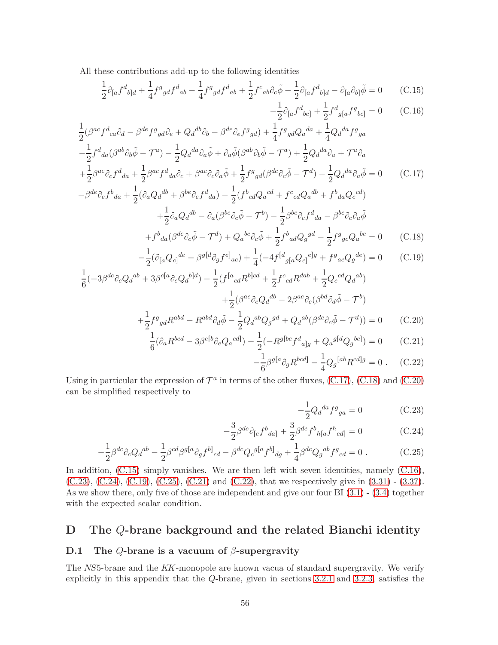All these contributions add-up to the following identities

1  $\overline{2}$ 

$$
\frac{1}{2}\partial_{[a}f^{d}{}_{b]d} + \frac{1}{4}f^{g}{}_{g}f^{d}{}_{ab} - \frac{1}{4}f^{g}{}_{g}f^{d}{}_{ab} + \frac{1}{2}f^{c}{}_{ab}\partial_{c}\tilde{\phi} - \frac{1}{2}\partial_{[a}f^{d}{}_{b]d} - \partial_{[a}\partial_{b]}\tilde{\phi} = 0
$$
 (C.15)

$$
-\frac{1}{2}\partial_{[a}f^{d}{}_{bc]} + \frac{1}{2}f^{d}{}_{g[a}f^{g}{}_{bc]} = 0 \qquad (C.16)
$$
  
\n
$$
\frac{1}{2}(\beta^{ac}f^{d}{}_{ca}\partial_{d} - \beta^{de}f^{g}{}_{gd}\partial_{e} + Q_{d}{}^{db}\partial_{b} - \beta^{de}\partial_{e}f^{g}{}_{gd}) + \frac{1}{4}f^{g}{}_{gd}Q_{a}{}^{da} + \frac{1}{4}Q_{d}{}^{da}f^{g}{}_{ga}
$$
  
\n
$$
-\frac{1}{2}f^{d}{}_{da}(\beta^{ab}\partial_{b}\tilde{\phi} - \mathcal{T}^{a}) - \frac{1}{2}Q_{d}{}^{da}\partial_{a}\tilde{\phi} + \partial_{a}\tilde{\phi}(\beta^{ab}\partial_{b}\tilde{\phi} - \mathcal{T}^{a}) + \frac{1}{2}Q_{d}{}^{da}\partial_{a} + \mathcal{T}^{a}\partial_{a}
$$
  
\n
$$
+\frac{1}{2}\beta^{ac}\partial_{c}f^{d}{}_{da} + \frac{1}{2}\beta^{ac}f^{d}{}_{da}\partial_{c} + \beta^{ac}\partial_{c}\partial_{a}\tilde{\phi} + \frac{1}{2}f^{g}{}_{gd}(\beta^{dc}\partial_{c}\tilde{\phi} - \mathcal{T}^{d}) - \frac{1}{2}Q_{d}{}^{da}\partial_{a}\tilde{\phi} = 0 \qquad (C.17)
$$
  
\n
$$
-\beta^{de}\partial_{e}f^{b}{}_{da} + \frac{1}{2}(\partial_{a}Q_{d}{}^{db} + \beta^{be}\partial_{e}f^{d}{}_{da}) - \frac{1}{2}(f^{b}{}_{cd}Q_{a}{}^{cd} + f^{c}{}_{cd}Q_{a}{}^{db} + f^{b}{}_{da}Q_{c}{}^{cd})
$$
  
\n
$$
+\frac{1}{2}\partial_{a}Q_{d}{}^{db} - \partial_{a}(\beta^{bc}\partial_{c}\tilde{\phi} - \mathcal{T}^{b}) - \frac{1}{2}\beta^{bc}\partial_{c}f^{d}{}_{da} - \beta^{bc}\partial_{c}\partial_{a}\tilde{\phi}
$$

<span id="page-55-6"></span><span id="page-55-5"></span>
$$
+f^{b}{}_{da}(\beta^{dc}\partial_{c}\tilde{\phi}-\mathcal{T}^{d})+Q_{a}{}^{bc}\partial_{c}\tilde{\phi}+\frac{1}{2}f^{b}{}_{ad}Q_{g}{}^{gd}-\frac{1}{2}f^{g}{}_{gc}Q_{a}{}^{bc}=0\tag{C.18}
$$

$$
-\frac{1}{2}(\partial_{[a}Q_{c]}{}^{de} - \beta^{g[d}\partial_g f^{e]}{}_{ac}) + \frac{1}{4}(-4f^{[d}{}_{g[a}Q_{c]}{}^{e]g} + f^g{}_{ac}Q_g{}^{de}) = 0 \tag{C.19}
$$

$$
\frac{1}{6}(-3\beta^{dc}\partial_c Q_d{}^{ab} + 3\beta^{c[a}\partial_c Q_d{}^{b]d}) - \frac{1}{2}(f^{[a}{}_{cd}R^{b]cd} + \frac{1}{2}f^c{}_{cd}R^{dab} + \frac{1}{2}Q_c{}^{cd}Q_d{}^{ab})
$$

$$
+ \frac{1}{2}(\beta^{ac}\partial_c Q_d{}^{db} - 2\beta^{ac}\partial_c(\beta^{bd}\partial_d\tilde{\phi} - \mathcal{T}^b)
$$

$$
+ \frac{1}{2}f^g{}_{gd}R^{abd} - R^{abd}\partial_d\tilde{\phi} - \frac{1}{2}Q_d{}^{ab}Q_g{}^{gd} + Q_d{}^{ab}(\beta^{dc}\partial_c\tilde{\phi} - \mathcal{T}^d)) = 0 \qquad (C.20)
$$

$$
\frac{1}{6}(\partial_a R^{bcd} - 3\beta^{e[b}\partial_e Q_a^{cd]}) - \frac{1}{2}(-R^{g[bc}f^d{}_{a]g} + Q_a^{g[d}Q_g^{bc]}) = 0 \tag{C.21}
$$

<span id="page-55-9"></span><span id="page-55-3"></span><span id="page-55-2"></span>
$$
-\frac{1}{6}\beta^{g[a}\partial_g R^{bcd]} - \frac{1}{4}Q_g^{[ab}R^{cd]g} = 0.
$$
 (C.22)

Using in particular the expression of  $\mathcal{T}^a$  in terms of the other fluxes, [\(C.17\)](#page-55-2), [\(C.18\)](#page-55-3) and [\(C.20\)](#page-55-4) can be simplified respectively to

<span id="page-55-12"></span><span id="page-55-11"></span><span id="page-55-10"></span><span id="page-55-8"></span><span id="page-55-7"></span><span id="page-55-4"></span>
$$
-\frac{1}{2}Q_d{}^{da}f^g{}_{ga} = 0
$$
 (C.23)

$$
-\frac{3}{2}\beta^{de}\partial_{[e}f^{b}{}_{da]} + \frac{3}{2}\beta^{de}f^{b}{}_{h[a}f^{h}{}_{ed]} = 0
$$
 (C.24)

$$
-\frac{1}{2}\beta^{dc}\partial_c Q_d{}^{ab} - \frac{1}{2}\beta^{cd}\beta^{g[a}\partial_g f^{b]}{}_{cd} - \beta^{dc}Q_c{}^{g[a}f^{b]}{}_{dg} + \frac{1}{4}\beta^{dc}Q_g{}^{ab}f^g{}_{cd} = 0\tag{C.25}
$$

In addition,  $(C.15)$  simply vanishes. We are then left with seven identities, namely  $(C.16)$ , [\(C.23\)](#page-55-7), [\(C.24\)](#page-55-8), [\(C.19\)](#page-55-9), [\(C.25\)](#page-55-10), [\(C.21\)](#page-55-11) and [\(C.22\)](#page-55-12), that we respectively give in [\(3.31\)](#page-18-4) - [\(3.37\)](#page-18-8). As we show there, only five of those are independent and give our four BI [\(3.1\)](#page-12-5) - [\(3.4\)](#page-12-6) together with the expected scalar condition.

## <span id="page-55-0"></span>**D The** *Q***-brane background and the related Bianchi identity**

### <span id="page-55-1"></span>**D.1 The** *Q***-brane is a vacuum of** *β***-supergravity**

The *NS*5-brane and the *KK*-monopole are known vacua of standard supergravity. We verify explicitly in this appendix that the *Q*-brane, given in sections [3.2.1](#page-18-1) and [3.2.3,](#page-25-0) satisfies the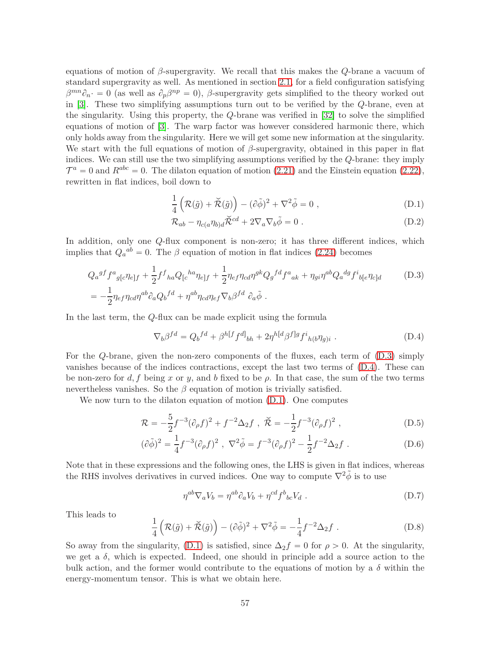equations of motion of *β*-supergravity. We recall that this makes the *Q*-brane a vacuum of standard supergravity as well. As mentioned in section [2.1,](#page-7-1) for a field configuration satisfying  $\beta^{mn}\partial_n = 0$  (as well as  $\partial_p\beta^{np} = 0$ ), *β*-supergravity gets simplified to the theory worked out in [\[3\]](#page-62-1). These two simplifying assumptions turn out to be verified by the *Q*-brane, even at the singularity. Using this property, the *Q*-brane was verified in [\[32\]](#page-63-14) to solve the simplified equations of motion of [\[3\]](#page-62-1). The warp factor was however considered harmonic there, which only holds away from the singularity. Here we will get some new information at the singularity. We start with the full equations of motion of *β*-supergravity, obtained in this paper in flat indices. We can still use the two simplifying assumptions verified by the *Q*-brane: they imply  $\mathcal{T}^a = 0$  and  $R^{abc} = 0$ . The dilaton equation of motion [\(2.21\)](#page-9-2) and the Einstein equation [\(2.22\)](#page-9-3), rewritten in flat indices, boil down to

<span id="page-56-3"></span>
$$
\frac{1}{4}\left(\mathcal{R}(\tilde{g})+\check{\mathcal{R}}(\tilde{g})\right)-(\partial\tilde{\phi})^2+\nabla^2\tilde{\phi}=0,
$$
\n(D.1)

<span id="page-56-4"></span><span id="page-56-1"></span>
$$
\mathcal{R}_{ab} - \eta_{c(a}\eta_{b)d}\tilde{\mathcal{R}}^{cd} + 2\nabla_a\nabla_b\tilde{\phi} = 0.
$$
 (D.2)

In addition, only one *Q*-flux component is non-zero; it has three different indices, which implies that  $Q_a{}^{ab} = 0$ . The  $\beta$  equation of motion in flat indices [\(2.24\)](#page-9-1) becomes

$$
Q_a^{gf} f^a{}_{g[c}\eta_{e]f} + \frac{1}{2} f^f{}_{ha} Q_{[c}{}^{ha}\eta_{e]f} + \frac{1}{2} \eta_{ef} \eta_{cd} \eta^{gk} Q_g^{fd} f^a{}_{ak} + \eta_{gi} \eta^{ab} Q_a^{dg} f^i{}_{b[e} \eta_{c]d}
$$
\n
$$
= -\frac{1}{2} \eta_{ef} \eta_{cd} \eta^{ab} \partial_a Q_b^{fd} + \eta^{ab} \eta_{cd} \eta_{ef} \nabla_b \beta^{fd} \partial_a \tilde{\phi} .
$$
\n(D.3)

In the last term, the *Q*-flux can be made explicit using the formula

<span id="page-56-2"></span>
$$
\nabla_b \beta^{fd} = Q_b{}^{fd} + \beta^{h[f}f^{d]}_{bh} + 2\eta^{h[d}\beta^{f]g}f^i_{h(b}\eta_{g)i} .
$$
 (D.4)

For the *Q*-brane, given the non-zero components of the fluxes, each term of [\(D.3\)](#page-56-1) simply vanishes because of the indices contractions, except the last two terms of [\(D.4\)](#page-56-2). These can be non-zero for *d, f* being *x* or *y*, and *b* fixed to be *ρ*. In that case, the sum of the two terms nevertheless vanishes. So the  $\beta$  equation of motion is trivially satisfied.

We now turn to the dilaton equation of motion [\(D.1\)](#page-56-3). One computes

$$
\mathcal{R} = -\frac{5}{2}f^{-3}(\partial_{\rho}f)^{2} + f^{-2}\Delta_{2}f , \ \ \check{\mathcal{R}} = -\frac{1}{2}f^{-3}(\partial_{\rho}f)^{2} , \tag{D.5}
$$

$$
(\partial \tilde{\phi})^2 = \frac{1}{4} f^{-3} (\partial_{\rho} f)^2 , \nabla^2 \tilde{\phi} = f^{-3} (\partial_{\rho} f)^2 - \frac{1}{2} f^{-2} \Delta_2 f .
$$
 (D.6)

Note that in these expressions and the following ones, the LHS is given in flat indices, whereas the RHS involves derivatives in curved indices. One way to compute  $\nabla^2 \tilde{\phi}$  is to use

$$
\eta^{ab}\nabla_a V_b = \eta^{ab}\partial_a V_b + \eta^{cd} f^b{}_{bc} V_d . \tag{D.7}
$$

This leads to

<span id="page-56-0"></span>
$$
\frac{1}{4}\left(\mathcal{R}(\tilde{g})+\check{\mathcal{R}}(\tilde{g})\right)-(\partial\tilde{\phi})^2+\nabla^2\tilde{\phi}=-\frac{1}{4}f^{-2}\Delta_2f.
$$
 (D.8)

So away from the singularity, [\(D.1\)](#page-56-3) is satisfied, since  $\Delta_2 f = 0$  for  $\rho > 0$ . At the singularity, we get a  $\delta$ , which is expected. Indeed, one should in principle add a source action to the bulk action, and the former would contribute to the equations of motion by a  $\delta$  within the energy-momentum tensor. This is what we obtain here.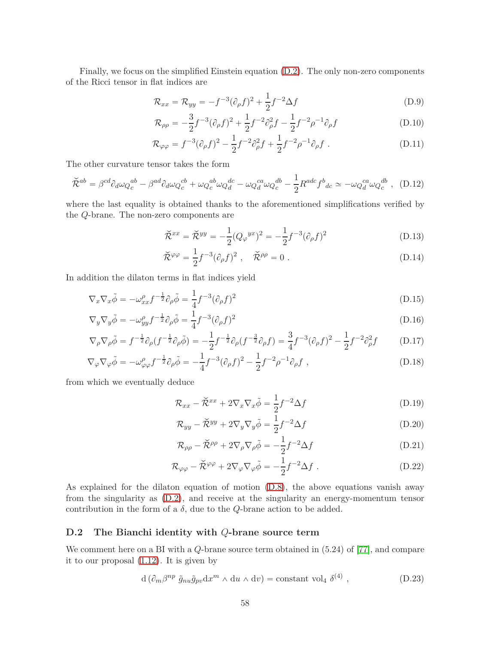Finally, we focus on the simplified Einstein equation [\(D.2\)](#page-56-4). The only non-zero components of the Ricci tensor in flat indices are

$$
\mathcal{R}_{xx} = \mathcal{R}_{yy} = -f^{-3}(\partial_{\rho}f)^{2} + \frac{1}{2}f^{-2}\Delta f \tag{D.9}
$$

$$
\mathcal{R}_{\rho\rho} = -\frac{3}{2}f^{-3}(\partial_{\rho}f)^{2} + \frac{1}{2}f^{-2}\partial_{\rho}^{2}f - \frac{1}{2}f^{-2}\rho^{-1}\partial_{\rho}f
$$
 (D.10)

$$
\mathcal{R}_{\varphi\varphi} = f^{-3}(\partial_{\rho}f)^{2} - \frac{1}{2}f^{-2}\partial_{\rho}^{2}f + \frac{1}{2}f^{-2}\rho^{-1}\partial_{\rho}f. \tag{D.11}
$$

The other curvature tensor takes the form

$$
\widetilde{\mathcal{R}}^{ab} = \beta^{cd} \partial_d \omega_Q^{ab} - \beta^{ad} \partial_d \omega_Q^{cb} + \omega_Q^{ab} \omega_Q^{dc} - \omega_Q^{ca} \omega_Q^{db} - \frac{1}{2} R^{adc} f^b_{dc} \simeq -\omega_Q^{ca} \omega_Q^{db} , \quad (D.12)
$$

where the last equality is obtained thanks to the aforementioned simplifications verified by the *Q*-brane. The non-zero components are

<span id="page-57-1"></span>
$$
\tilde{\mathcal{R}}^{xx} = \tilde{\mathcal{R}}^{yy} = -\frac{1}{2} (Q_{\varphi}^{yx})^2 = -\frac{1}{2} f^{-3} (\partial_{\rho} f)^2
$$
\n(D.13)

$$
\breve{\mathcal{R}}^{\varphi\varphi} = \frac{1}{2} f^{-3} (\partial_{\rho} f)^2 , \quad \breve{\mathcal{R}}^{\rho\rho} = 0 . \tag{D.14}
$$

In addition the dilaton terms in flat indices yield

$$
\nabla_x \nabla_x \tilde{\phi} = -\omega_{xx}^{\rho} f^{-\frac{1}{2}} \partial_{\rho} \tilde{\phi} = \frac{1}{4} f^{-3} (\partial_{\rho} f)^2
$$
\n(D.15)

$$
\nabla_y \nabla_y \tilde{\phi} = -\omega_{yy}^{\rho} f^{-\frac{1}{2}} \partial_{\rho} \tilde{\phi} = \frac{1}{4} f^{-3} (\partial_{\rho} f)^2
$$
\n(D.16)

$$
\nabla_{\rho}\nabla_{\rho}\tilde{\phi} = f^{-\frac{1}{2}}\partial_{\rho}(f^{-\frac{1}{2}}\partial_{\rho}\tilde{\phi}) = -\frac{1}{2}f^{-\frac{1}{2}}\partial_{\rho}(f^{-\frac{3}{2}}\partial_{\rho}f) = \frac{3}{4}f^{-3}(\partial_{\rho}f)^{2} - \frac{1}{2}f^{-2}\partial_{\rho}^{2}f
$$
(D.17)

$$
\nabla_{\varphi} \nabla_{\varphi} \tilde{\phi} = -\omega_{\varphi\varphi}^{\rho} f^{-\frac{1}{2}} \partial_{\rho} \tilde{\phi} = -\frac{1}{4} f^{-3} (\partial_{\rho} f)^2 - \frac{1}{2} f^{-2} \rho^{-1} \partial_{\rho} f , \qquad (D.18)
$$

from which we eventually deduce

<span id="page-57-2"></span>
$$
\mathcal{R}_{xx} - \check{\mathcal{R}}^{xx} + 2\nabla_x \nabla_x \tilde{\phi} = \frac{1}{2} f^{-2} \Delta f \tag{D.19}
$$

$$
\mathcal{R}_{yy} - \check{\mathcal{R}}^{yy} + 2\nabla_y \nabla_y \tilde{\phi} = \frac{1}{2} f^{-2} \Delta f \tag{D.20}
$$

<span id="page-57-3"></span>
$$
\mathcal{R}_{\rho\rho} - \check{\mathcal{R}}^{\rho\rho} + 2\nabla_{\rho}\nabla_{\rho}\tilde{\phi} = -\frac{1}{2}f^{-2}\Delta f \tag{D.21}
$$

$$
\mathcal{R}_{\varphi\varphi} - \check{\mathcal{R}}^{\varphi\varphi} + 2\nabla_{\varphi}\nabla_{\varphi}\tilde{\phi} = -\frac{1}{2}f^{-2}\Delta f . \tag{D.22}
$$

As explained for the dilaton equation of motion [\(D.8\)](#page-56-0), the above equations vanish away from the singularity as [\(D.2\)](#page-56-4), and receive at the singularity an energy-momentum tensor contribution in the form of a  $\delta$ , due to the *Q*-brane action to be added.

### <span id="page-57-0"></span>**D.2 The Bianchi identity with** *Q***-brane source term**

We comment here on a BI with a *Q*-brane source term obtained in (5.24) of [\[77\]](#page-66-8), and compare it to our proposal [\(1.12\)](#page-4-4). It is given by

<span id="page-57-4"></span>
$$
d\left(\partial_m\beta^{np}\,\tilde{g}_{nu}\tilde{g}_{pv}dx^m\wedge du\wedge dv\right) = \text{constant vol}_4\,\delta^{(4)}\,,\tag{D.23}
$$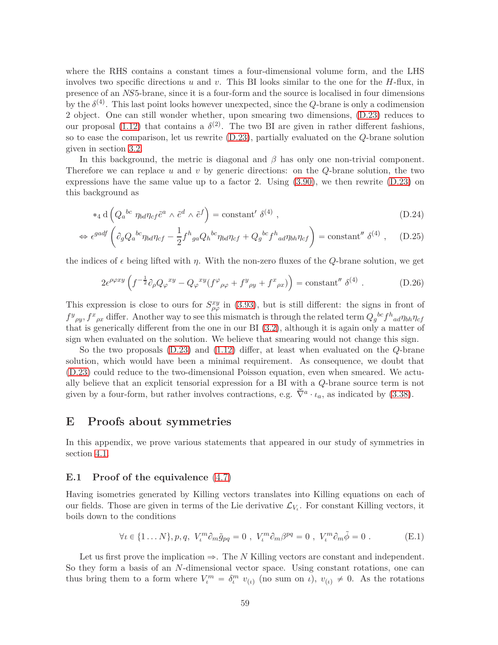where the RHS contains a constant times a four-dimensional volume form, and the LHS involves two specific directions *u* and *v*. This BI looks similar to the one for the *H*-flux, in presence of an *NS*5-brane, since it is a four-form and the source is localised in four dimensions by the  $\delta^{(4)}$ . This last point looks however unexpected, since the *Q*-brane is only a codimension 2 object. One can still wonder whether, upon smearing two dimensions, [\(D.23\)](#page-57-4) reduces to our proposal [\(1.12\)](#page-4-4) that contains a  $\delta^{(2)}$ . The two BI are given in rather different fashions, so to ease the comparison, let us rewrite [\(D.23\)](#page-57-4), partially evaluated on the *Q*-brane solution given in section [3.2.](#page-18-0)

In this background, the metric is diagonal and *β* has only one non-trivial component. Therefore we can replace *u* and *v* by generic directions: on the *Q*-brane solution, the two expressions have the same value up to a factor 2. Using  $(3.90)$ , we then rewrite  $(D.23)$  on this background as

$$
*_4 d \left( Q_a{}^{bc} \eta_{bd} \eta_{cf} \tilde{e}^a \wedge \tilde{e}^d \wedge \tilde{e}^f \right) = \text{constant}' \delta^{(4)} , \qquad (D.24)
$$

$$
\Leftrightarrow \epsilon^{gadf} \left( \partial_g Q_a{}^{bc} \eta_{bd} \eta_{cf} - \frac{1}{2} f^h{}_{ga} Q_h{}^{bc} \eta_{bd} \eta_{cf} + Q_g{}^{bc} f^h{}_{ad} \eta_{bh} \eta_{cf} \right) = \text{constant}'' \ \delta^{(4)} \ , \quad (D.25)
$$

the indices of  $\epsilon$  being lifted with *η*. With the non-zero fluxes of the *Q*-brane solution, we get

$$
2\epsilon^{\rho\varphi xy}\left(f^{-\frac{1}{2}}\partial_{\rho}Q_{\varphi}^{xy} - Q_{\varphi}^{xy}(f^{\varphi}{}_{\rho\varphi} + f^{y}{}_{\rho y} + f^{x}{}_{\rho x})\right) = \text{constant}''\,\,\delta^{(4)}\,.
$$
 (D.26)

This expression is close to ours for  $S_{\rho\phi}^{xy}$  in [\(3.93\)](#page-27-0), but is still different: the signs in front of  $f^y{}_{\rho y}$ ,  $f^x{}_{\rho x}$  differ. Another way to see this mismatch is through the related term  $Q_g{}^{bc}f^h{}_{ad}\eta_{bh}\eta_{cf}$ that is generically different from the one in our BI [\(3.2\)](#page-12-8), although it is again only a matter of sign when evaluated on the solution. We believe that smearing would not change this sign.

So the two proposals [\(D.23\)](#page-57-4) and [\(1.12\)](#page-4-4) differ, at least when evaluated on the *Q*-brane solution, which would have been a minimal requirement. As consequence, we doubt that [\(D.23\)](#page-57-4) could reduce to the two-dimensional Poisson equation, even when smeared. We actually believe that an explicit tensorial expression for a BI with a *Q*-brane source term is not given by a four-form, but rather involves contractions, e.g.  $\tilde{\nabla}^a \cdot \iota_a$ , as indicated by [\(3.38\)](#page-18-2).

### <span id="page-58-0"></span>**E Proofs about symmetries**

In this appendix, we prove various statements that appeared in our study of symmetries in section [4.1.](#page-29-1)

### <span id="page-58-1"></span>**E.1 Proof of the equivalence** [\(4.7\)](#page-31-1)

Having isometries generated by Killing vectors translates into Killing equations on each of our fields. Those are given in terms of the Lie derivative  $\mathcal{L}_{V_t}$ . For constant Killing vectors, it boils down to the conditions

<span id="page-58-2"></span>
$$
\forall \iota \in \{1 \dots N\}, p, q, \ V_{\iota}^m \partial_m \tilde{g}_{pq} = 0 \ , \ V_{\iota}^m \partial_m \beta^{pq} = 0 \ , \ V_{\iota}^m \partial_m \tilde{\phi} = 0 \ . \tag{E.1}
$$

Let us first prove the implication  $\Rightarrow$ . The *N* Killing vectors are constant and independent. So they form a basis of an *N*-dimensional vector space. Using constant rotations, one can thus bring them to a form where  $V_l^m = \delta_l^m v_{(l)}$  (no sum on *ι*),  $v_{(l)} \neq 0$ . As the rotations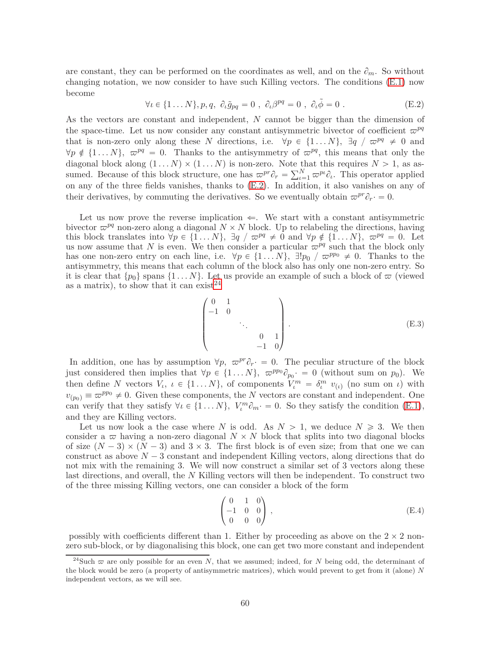are constant, they can be performed on the coordinates as well, and on the  $\partial_m$ . So without changing notation, we now consider to have such Killing vectors. The conditions [\(E.1\)](#page-58-2) now become

<span id="page-59-0"></span>
$$
\forall \iota \in \{1 \dots N\}, p, q, \ \partial_{\iota} \tilde{g}_{pq} = 0 , \ \partial_{\iota} \beta^{pq} = 0 , \ \partial_{\iota} \tilde{\phi} = 0 . \tag{E.2}
$$

As the vectors are constant and independent, *N* cannot be bigger than the dimension of the space-time. Let us now consider any constant antisymmetric bivector of coefficient  $\varpi^{pq}$ that is non-zero only along these *N* directions, i.e.  $\forall p \in \{1...N\}$ ,  $\exists q \neq \emptyset$  and  $\forall p \notin \{1...N\}, \ \overline{\omega}^{pq} = 0$ . Thanks to the antisymmetry of  $\overline{\omega}^{pq}$ , this means that only the diagonal block along  $(1...N) \times (1...N)$  is non-zero. Note that this requires  $N > 1$ , as assumed. Because of this block structure, one has  $\omega^{pr}\partial_r = \sum_{\iota=1}^N \omega^{pi}\partial_\iota$ . This operator applied on any of the three fields vanishes, thanks to [\(E.2\)](#page-59-0). In addition, it also vanishes on any of their derivatives, by commuting the derivatives. So we eventually obtain  $\varpi^{pr}\partial_r = 0$ .

Let us now prove the reverse implication  $\Leftarrow$ . We start with a constant antisymmetric bivector  $\varpi^{pq}$  non-zero along a diagonal  $N \times N$  block. Up to relabeling the directions, having this block translates into  $\forall p \in \{1...N\}$ ,  $\exists q \neq \emptyset$  and  $\forall p \notin \{1...N\}$ ,  $\varpi^{pq} = 0$ . Let us now assume that *N* is even. We then consider a particular  $\varpi^{pq}$  such that the block only has one non-zero entry on each line, i.e.  $\forall p \in \{1...N\}$ ,  $\exists !p_0 / \varpi^{pp_0} \neq 0$ . Thanks to the antisymmetry, this means that each column of the block also has only one non-zero entry. So it is clear that  $\{p_0\}$  spans  $\{1 \ldots N\}$ . Let us provide an example of such a block of  $\varpi$  (viewed as a matrix), to show that it can exist  $2^4$ 

$$
\begin{pmatrix} 0 & 1 & & & \\ -1 & 0 & & & \\ & & \ddots & & \\ & & & 0 & 1 \\ & & & -1 & 0 \end{pmatrix}.
$$
 (E.3)

In addition, one has by assumption  $\nforall p, \ \pi^{pr}\partial_r = 0$ . The peculiar structure of the block just considered then implies that  $\forall p \in \{1...N\}$ ,  $\varpi^{pp_0} \partial_{p_0} = 0$  (without sum on  $p_0$ ). We then define *N* vectors  $V_t$ ,  $\iota \in \{1 \dots N\}$ , of components  $V_t^m = \delta_t^m v_{(\iota)}$  (no sum on  $\iota$ ) with  $v_{(p_0)} \equiv \varpi^{pp_0} \neq 0$ . Given these components, the *N* vectors are constant and independent. One can verify that they satisfy  $\forall \iota \in \{1 \dots N\}$ ,  $V_{\iota}^m \partial_m \cdot = 0$ . So they satisfy the condition [\(E.1\)](#page-58-2), and they are Killing vectors.

Let us now look a the case where *N* is odd. As  $N > 1$ , we deduce  $N \geq 3$ . We then consider a  $\varpi$  having a non-zero diagonal  $N \times N$  block that splits into two diagonal blocks of size  $(N-3) \times (N-3)$  and  $3 \times 3$ . The first block is of even size; from that one we can construct as above  $N-3$  constant and independent Killing vectors, along directions that do not mix with the remaining 3. We will now construct a similar set of 3 vectors along these last directions, and overall, the *N* Killing vectors will then be independent. To construct two of the three missing Killing vectors, one can consider a block of the form

$$
\begin{pmatrix} 0 & 1 & 0 \\ -1 & 0 & 0 \\ 0 & 0 & 0 \end{pmatrix}, \tag{E.4}
$$

possibly with coefficients different than 1. Either by proceeding as above on the  $2 \times 2$  nonzero sub-block, or by diagonalising this block, one can get two more constant and independent

<span id="page-59-1"></span><sup>&</sup>lt;sup>24</sup>Such  $\varpi$  are only possible for an even *N*, that we assumed; indeed, for *N* being odd, the determinant of the block would be zero (a property of antisymmetric matrices), which would prevent to get from it (alone) *N* independent vectors, as we will see.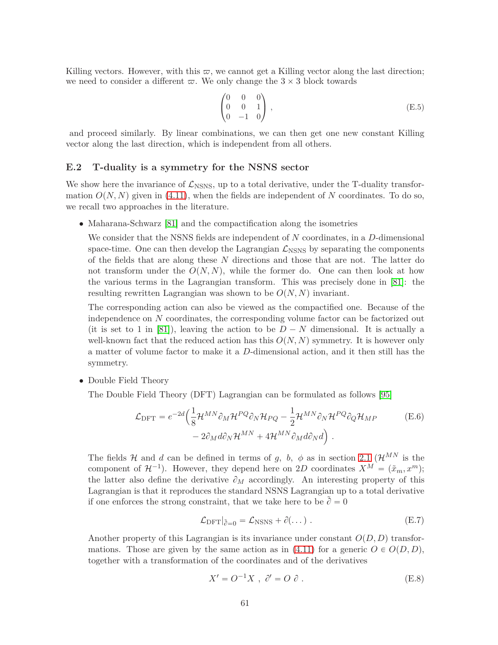Killing vectors. However, with this  $\varpi$ , we cannot get a Killing vector along the last direction; we need to consider a different  $\varpi$ . We only change the  $3 \times 3$  block towards

$$
\begin{pmatrix} 0 & 0 & 0 \\ 0 & 0 & 1 \\ 0 & -1 & 0 \end{pmatrix}, \tag{E.5}
$$

and proceed similarly. By linear combinations, we can then get one new constant Killing vector along the last direction, which is independent from all others.

### <span id="page-60-0"></span>**E.2 T-duality is a symmetry for the NSNS sector**

We show here the invariance of  $\mathcal{L}_{\text{NSNS}}$ , up to a total derivative, under the T-duality transformation  $O(N, N)$  given in [\(4.11\)](#page-32-0), when the fields are independent of N coordinates. To do so, we recall two approaches in the literature.

• Maharana-Schwarz [\[81\]](#page-66-12) and the compactification along the isometries

We consider that the NSNS fields are independent of *N* coordinates, in a *D*-dimensional space-time. One can then develop the Lagrangian  $\mathcal{L}_{\text{NSNS}}$  by separating the components of the fields that are along these *N* directions and those that are not. The latter do not transform under the  $O(N, N)$ , while the former do. One can then look at how the various terms in the Lagrangian transform. This was precisely done in [\[81\]](#page-66-12): the resulting rewritten Lagrangian was shown to be  $O(N, N)$  invariant.

The corresponding action can also be viewed as the compactified one. Because of the independence on *N* coordinates, the corresponding volume factor can be factorized out (it is set to 1 in [\[81\]](#page-66-12)), leaving the action to be  $D - N$  dimensional. It is actually a well-known fact that the reduced action has this  $O(N, N)$  symmetry. It is however only a matter of volume factor to make it a *D*-dimensional action, and it then still has the symmetry.

• Double Field Theory

The Double Field Theory (DFT) Lagrangian can be formulated as follows [\[95\]](#page-67-8)

$$
\mathcal{L}_{\text{DFT}} = e^{-2d} \left( \frac{1}{8} \mathcal{H}^{MN} \partial_M \mathcal{H}^{PQ} \partial_N \mathcal{H}_{PQ} - \frac{1}{2} \mathcal{H}^{MN} \partial_N \mathcal{H}^{PQ} \partial_Q \mathcal{H}_{MP} \right) - 2 \partial_M d \partial_N \mathcal{H}^{MN} + 4 \mathcal{H}^{MN} \partial_M d \partial_N d \right).
$$
 (E.6)

The fields H and *d* can be defined in terms of *g, b,*  $\phi$  as in section [2.1](#page-7-1) ( $\mathcal{H}^{MN}$  is the component of  $\mathcal{H}^{-1}$ ). However, they depend here on 2*D* coordinates  $X^M = (\tilde{x}_m, x^m)$ ; the latter also define the derivative  $\partial_M$  accordingly. An interesting property of this Lagrangian is that it reproduces the standard NSNS Lagrangian up to a total derivative if one enforces the strong constraint, that we take here to be  $\tilde{\partial} = 0$ 

<span id="page-60-2"></span>
$$
\mathcal{L}_{\text{DFT}}|_{\tilde{\partial}=0} = \mathcal{L}_{\text{NSNS}} + \partial(\dots) . \tag{E.7}
$$

Another property of this Lagrangian is its invariance under constant  $O(D, D)$  transfor-mations. Those are given by the same action as in [\(4.11\)](#page-32-0) for a generic  $O \in O(D, D)$ , together with a transformation of the coordinates and of the derivatives

<span id="page-60-1"></span>
$$
X' = O^{-1}X \ , \ \partial' = O \ \partial \ . \tag{E.8}
$$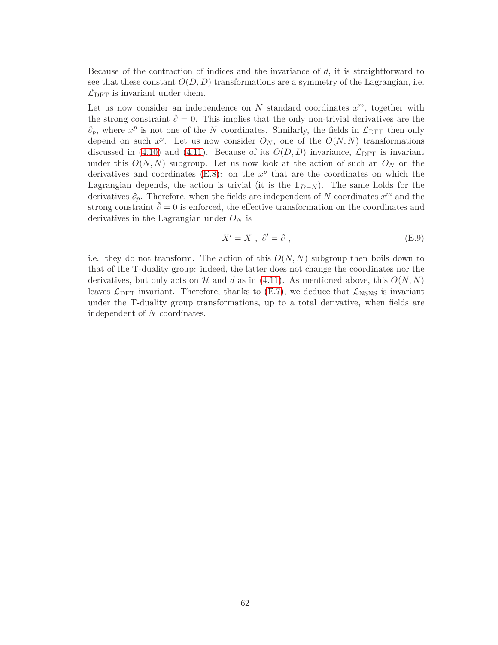Because of the contraction of indices and the invariance of *d*, it is straightforward to see that these constant  $O(D, D)$  transformations are a symmetry of the Lagrangian, i.e.  $\mathcal{L}_{\text{DFT}}$  is invariant under them.

Let us now consider an independence on *N* standard coordinates  $x^m$ , together with the strong constraint  $\tilde{\partial} = 0$ . This implies that the only non-trivial derivatives are the  $\partial_p$ , where  $x^p$  is not one of the *N* coordinates. Similarly, the fields in  $\mathcal{L}_{\text{DFT}}$  then only depend on such  $x^p$ . Let us now consider  $O_N$ , one of the  $O(N, N)$  transformations discussed in [\(4.10\)](#page-32-3) and [\(4.11\)](#page-32-0). Because of its  $O(D, D)$  invariance,  $\mathcal{L}_{\text{DFT}}$  is invariant under this  $O(N, N)$  subgroup. Let us now look at the action of such an  $O_N$  on the derivatives and coordinates  $(E.8)$ : on the  $x^p$  that are the coordinates on which the Lagrangian depends, the action is trivial (it is the  $1_{D-N}$ ). The same holds for the derivatives  $\partial_p$ . Therefore, when the fields are independent of *N* coordinates  $x^m$  and the strong constraint  $\hat{\partial} = 0$  is enforced, the effective transformation on the coordinates and derivatives in the Lagrangian under *O<sup>N</sup>* is

$$
X' = X \ , \ \partial' = \partial \ , \tag{E.9}
$$

i.e. they do not transform. The action of this  $O(N, N)$  subgroup then boils down to that of the T-duality group: indeed, the latter does not change the coordinates nor the derivatives, but only acts on  $\mathcal H$  and d as in [\(4.11\)](#page-32-0). As mentioned above, this  $O(N, N)$ leaves  $\mathcal{L}_{\text{DFT}}$  invariant. Therefore, thanks to [\(E.7\)](#page-60-2), we deduce that  $\mathcal{L}_{\text{NSNS}}$  is invariant under the T-duality group transformations, up to a total derivative, when fields are independent of *N* coordinates.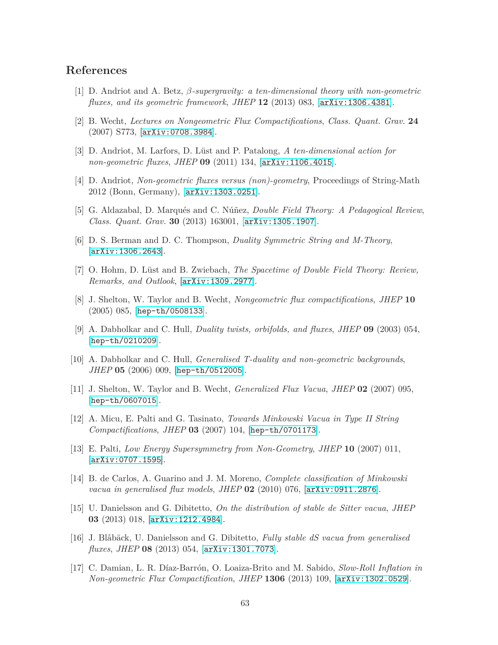### <span id="page-62-16"></span>**References**

- <span id="page-62-0"></span>[1] D. Andriot and A. Betz, *β-supergravity: a ten-dimensional theory with non-geometric fluxes, and its geometric framework*, *JHEP* **12** (2013) 083, [[arXiv:1306.4381](http://xxx.lanl.gov/abs/1306.4381)].
- <span id="page-62-1"></span>[2] B. Wecht, *Lectures on Nongeometric Flux Compactifications*, *Class. Quant. Grav.* **24** (2007) S773, [[arXiv:0708.3984](http://xxx.lanl.gov/abs/0708.3984)].
- <span id="page-62-2"></span>[3] D. Andriot, M. Larfors, D. Lüst and P. Patalong, *A ten-dimensional action for non-geometric fluxes*, *JHEP* **09** (2011) 134, [[arXiv:1106.4015](http://xxx.lanl.gov/abs/1106.4015)].
- <span id="page-62-3"></span>[4] D. Andriot, *Non-geometric fluxes versus (non)-geometry*, Proceedings of String-Math 2012 (Bonn, Germany), [[arXiv:1303.0251](http://xxx.lanl.gov/abs/1303.0251)].
- <span id="page-62-4"></span>[5] G. Aldazabal, D. Marqués and C. Núñez, *Double Field Theory: A Pedagogical Review*, *Class. Quant. Grav.* **30** (2013) 163001, [[arXiv:1305.1907](http://xxx.lanl.gov/abs/1305.1907)].
- <span id="page-62-5"></span>[6] D. S. Berman and D. C. Thompson, *Duality Symmetric String and M-Theory*, [[arXiv:1306.2643](http://xxx.lanl.gov/abs/1306.2643)].
- [7] O. Hohm, D. Lüst and B. Zwiebach, *The Spacetime of Double Field Theory: Review, Remarks, and Outlook*, [[arXiv:1309.2977](http://xxx.lanl.gov/abs/1309.2977)].
- <span id="page-62-7"></span><span id="page-62-6"></span>[8] J. Shelton, W. Taylor and B. Wecht, *Nongeometric flux compactifications*, *JHEP* **10** (2005) 085, [[hep-th/0508133](http://xxx.lanl.gov/abs/hep-th/0508133)].
- [9] A. Dabholkar and C. Hull, *Duality twists, orbifolds, and fluxes*, *JHEP* **09** (2003) 054, [[hep-th/0210209](http://xxx.lanl.gov/abs/hep-th/0210209)].
- <span id="page-62-8"></span>[10] A. Dabholkar and C. Hull, *Generalised T-duality and non-geometric backgrounds*, *JHEP* **05** (2006) 009, [[hep-th/0512005](http://xxx.lanl.gov/abs/hep-th/0512005)].
- <span id="page-62-10"></span><span id="page-62-9"></span>[11] J. Shelton, W. Taylor and B. Wecht, *Generalized Flux Vacua*, *JHEP* **02** (2007) 095, [[hep-th/0607015](http://xxx.lanl.gov/abs/hep-th/0607015)].
- <span id="page-62-11"></span>[12] A. Micu, E. Palti and G. Tasinato, *Towards Minkowski Vacua in Type II String Compactifications*, *JHEP* **03** (2007) 104, [[hep-th/0701173](http://xxx.lanl.gov/abs/hep-th/0701173)].
- [13] E. Palti, *Low Energy Supersymmetry from Non-Geometry*, *JHEP* **10** (2007) 011, [[arXiv:0707.1595](http://xxx.lanl.gov/abs/0707.1595)].
- <span id="page-62-13"></span><span id="page-62-12"></span>[14] B. de Carlos, A. Guarino and J. M. Moreno, *Complete classification of Minkowski vacua in generalised flux models*, *JHEP* **02** (2010) 076, [[arXiv:0911.2876](http://xxx.lanl.gov/abs/0911.2876)].
- [15] U. Danielsson and G. Dibitetto, *On the distribution of stable de Sitter vacua*, *JHEP* **03** (2013) 018, [[arXiv:1212.4984](http://xxx.lanl.gov/abs/1212.4984)].
- <span id="page-62-14"></span>[16] J. Blåbäck, U. Danielsson and G. Dibitetto, *Fully stable dS vacua from generalised fluxes*, *JHEP* **08** (2013) 054, [[arXiv:1301.7073](http://xxx.lanl.gov/abs/1301.7073)].
- <span id="page-62-15"></span>[17] C. Damian, L. R. Díaz-Barrón, O. Loaiza-Brito and M. Sabido, *Slow-Roll Inflation in Non-geometric Flux Compactification*, *JHEP* **1306** (2013) 109, [[arXiv:1302.0529](http://xxx.lanl.gov/abs/1302.0529)].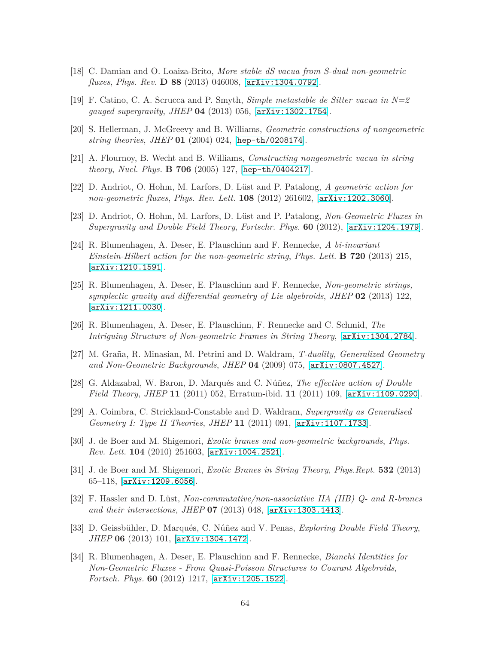- <span id="page-63-1"></span><span id="page-63-0"></span>[18] C. Damian and O. Loaiza-Brito, *More stable dS vacua from S-dual non-geometric fluxes*, *Phys. Rev.* **D 88** (2013) 046008, [[arXiv:1304.0792](http://xxx.lanl.gov/abs/1304.0792)].
- <span id="page-63-2"></span>[19] F. Catino, C. A. Scrucca and P. Smyth, *Simple metastable de Sitter vacua in N=2 gauged supergravity*, *JHEP* **04** (2013) 056, [[arXiv:1302.1754](http://xxx.lanl.gov/abs/1302.1754)].
- <span id="page-63-3"></span>[20] S. Hellerman, J. McGreevy and B. Williams, *Geometric constructions of nongeometric string theories*, *JHEP* **01** (2004) 024, [[hep-th/0208174](http://xxx.lanl.gov/abs/hep-th/0208174)].
- <span id="page-63-4"></span>[21] A. Flournoy, B. Wecht and B. Williams, *Constructing nongeometric vacua in string theory*, *Nucl. Phys.* **B 706** (2005) 127, [[hep-th/0404217](http://xxx.lanl.gov/abs/hep-th/0404217)].
- <span id="page-63-5"></span>[22] D. Andriot, O. Hohm, M. Larfors, D. Lüst and P. Patalong, *A geometric action for non-geometric fluxes*, *Phys. Rev. Lett.* **108** (2012) 261602, [[arXiv:1202.3060](http://xxx.lanl.gov/abs/1202.3060)].
- [23] D. Andriot, O. Hohm, M. Larfors, D. Lüst and P. Patalong, *Non-Geometric Fluxes in Supergravity and Double Field Theory*, *Fortschr. Phys.* **60** (2012), [[arXiv:1204.1979](http://xxx.lanl.gov/abs/1204.1979)].
- <span id="page-63-6"></span>[24] R. Blumenhagen, A. Deser, E. Plauschinn and F. Rennecke, *A bi-invariant Einstein-Hilbert action for the non-geometric string*, *Phys. Lett.* **B 720** (2013) 215, [[arXiv:1210.1591](http://xxx.lanl.gov/abs/1210.1591)].
- <span id="page-63-7"></span>[25] R. Blumenhagen, A. Deser, E. Plauschinn and F. Rennecke, *Non-geometric strings, symplectic gravity and differential geometry of Lie algebroids*, *JHEP* **02** (2013) 122, [[arXiv:1211.0030](http://xxx.lanl.gov/abs/1211.0030)].
- <span id="page-63-9"></span><span id="page-63-8"></span>[26] R. Blumenhagen, A. Deser, E. Plauschinn, F. Rennecke and C. Schmid, *The Intriguing Structure of Non-geometric Frames in String Theory*, [[arXiv:1304.2784](http://xxx.lanl.gov/abs/1304.2784)].
- [27] M. Graña, R. Minasian, M. Petrini and D. Waldram, *T-duality, Generalized Geometry and Non-Geometric Backgrounds*, *JHEP* **04** (2009) 075, [[arXiv:0807.4527](http://xxx.lanl.gov/abs/0807.4527)].
- <span id="page-63-10"></span>[28] G. Aldazabal, W. Baron, D. Marqués and C. Núñez, *The effective action of Double Field Theory*, *JHEP* **11** (2011) 052, Erratum-ibid. **11** (2011) 109, [[arXiv:1109.0290](http://xxx.lanl.gov/abs/1109.0290)].
- <span id="page-63-11"></span>[29] A. Coimbra, C. Strickland-Constable and D. Waldram, *Supergravity as Generalised Geometry I: Type II Theories*, *JHEP* **11** (2011) 091, [[arXiv:1107.1733](http://xxx.lanl.gov/abs/1107.1733)].
- <span id="page-63-12"></span>[30] J. de Boer and M. Shigemori, *Exotic branes and non-geometric backgrounds*, *Phys. Rev. Lett.* **104** (2010) 251603, [[arXiv:1004.2521](http://xxx.lanl.gov/abs/1004.2521)].
- <span id="page-63-13"></span>[31] J. de Boer and M. Shigemori, *Exotic Branes in String Theory*, *Phys.Rept.* **532** (2013)  $65-118$ ,  $[arXiv:1209.6056]$  $[arXiv:1209.6056]$  $[arXiv:1209.6056]$ .
- <span id="page-63-14"></span>[32] F. Hassler and D. Lüst, *Non-commutative/non-associative IIA (IIB) Q- and R-branes and their intersections*, *JHEP* **07** (2013) 048, [[arXiv:1303.1413](http://xxx.lanl.gov/abs/1303.1413)].
- <span id="page-63-15"></span>[33] D. Geissbühler, D. Marqués, C. Núñez and V. Penas, *Exploring Double Field Theory*, *JHEP* **06** (2013) 101, [[arXiv:1304.1472](http://xxx.lanl.gov/abs/1304.1472)].
- <span id="page-63-16"></span>[34] R. Blumenhagen, A. Deser, E. Plauschinn and F. Rennecke, *Bianchi Identities for Non-Geometric Fluxes - From Quasi-Poisson Structures to Courant Algebroids*, *Fortsch. Phys.* **60** (2012) 1217, [[arXiv:1205.1522](http://xxx.lanl.gov/abs/1205.1522)].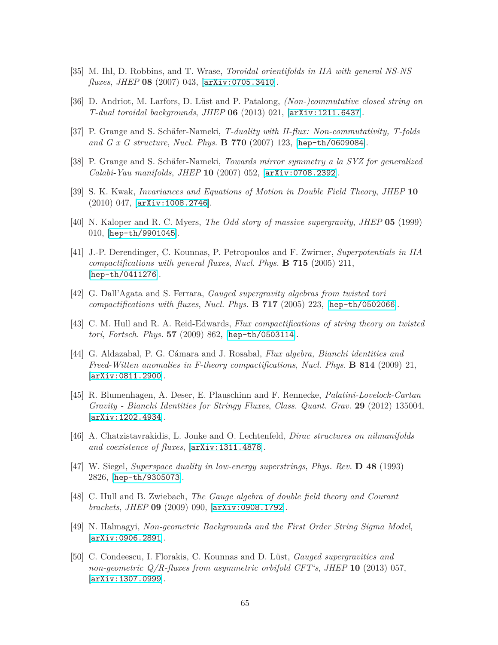- <span id="page-64-1"></span><span id="page-64-0"></span>[35] M. Ihl, D. Robbins, and T. Wrase, *Toroidal orientifolds in IIA with general NS-NS fluxes*, *JHEP* **08** (2007) 043, [[arXiv:0705.3410](http://xxx.lanl.gov/abs/0705.3410)].
- <span id="page-64-2"></span>[36] D. Andriot, M. Larfors, D. Lüst and P. Patalong, *(Non-)commutative closed string on T-dual toroidal backgrounds*, *JHEP* **06** (2013) 021, [[arXiv:1211.6437](http://xxx.lanl.gov/abs/1211.6437)].
- <span id="page-64-3"></span>[37] P. Grange and S. Schäfer-Nameki, *T-duality with H-flux: Non-commutativity, T-folds and G x G structure*, *Nucl. Phys.* **B 770** (2007) 123, [[hep-th/0609084](http://xxx.lanl.gov/abs/hep-th/0609084)].
- <span id="page-64-4"></span>[38] P. Grange and S. Schäfer-Nameki, *Towards mirror symmetry a la SYZ for generalized Calabi-Yau manifolds*, *JHEP* **10** (2007) 052, [[arXiv:0708.2392](http://xxx.lanl.gov/abs/0708.2392)].
- <span id="page-64-5"></span>[39] S. K. Kwak, *Invariances and Equations of Motion in Double Field Theory*, *JHEP* **10** (2010) 047, [[arXiv:1008.2746](http://xxx.lanl.gov/abs/1008.2746)].
- <span id="page-64-6"></span>[40] N. Kaloper and R. C. Myers, *The Odd story of massive supergravity*, *JHEP* **05** (1999) 010, [[hep-th/9901045](http://xxx.lanl.gov/abs/hep-th/9901045)].
- [41] J.-P. Derendinger, C. Kounnas, P. Petropoulos and F. Zwirner, *Superpotentials in IIA compactifications with general fluxes*, *Nucl. Phys.* **B 715** (2005) 211, [[hep-th/0411276](http://xxx.lanl.gov/abs/hep-th/0411276)].
- <span id="page-64-7"></span>[42] G. Dall'Agata and S. Ferrara, *Gauged supergravity algebras from twisted tori compactifications with fluxes*, *Nucl. Phys.* **B 717** (2005) 223, [[hep-th/0502066](http://xxx.lanl.gov/abs/hep-th/0502066)].
- <span id="page-64-9"></span><span id="page-64-8"></span>[43] C. M. Hull and R. A. Reid-Edwards, *Flux compactifications of string theory on twisted tori*, *Fortsch. Phys.* **57** (2009) 862, [[hep-th/0503114](http://xxx.lanl.gov/abs/hep-th/0503114)].
- [44] G. Aldazabal, P. G. Cámara and J. Rosabal, *Flux algebra, Bianchi identities and Freed-Witten anomalies in F-theory compactifications*, *Nucl. Phys.* **B 814** (2009) 21, [[arXiv:0811.2900](http://xxx.lanl.gov/abs/0811.2900)].
- <span id="page-64-10"></span>[45] R. Blumenhagen, A. Deser, E. Plauschinn and F. Rennecke, *Palatini-Lovelock-Cartan Gravity - Bianchi Identities for Stringy Fluxes*, *Class. Quant. Grav.* **29** (2012) 135004, [[arXiv:1202.4934](http://xxx.lanl.gov/abs/1202.4934)].
- <span id="page-64-11"></span>[46] A. Chatzistavrakidis, L. Jonke and O. Lechtenfeld, *Dirac structures on nilmanifolds and coexistence of fluxes*, [[arXiv:1311.4878](http://xxx.lanl.gov/abs/1311.4878)].
- <span id="page-64-12"></span>[47] W. Siegel, *Superspace duality in low-energy superstrings*, *Phys. Rev.* **D 48** (1993) 2826, [[hep-th/9305073](http://xxx.lanl.gov/abs/hep-th/9305073)].
- <span id="page-64-13"></span>[48] C. Hull and B. Zwiebach, *The Gauge algebra of double field theory and Courant brackets*, *JHEP* **09** (2009) 090, [[arXiv:0908.1792](http://xxx.lanl.gov/abs/0908.1792)].
- <span id="page-64-14"></span>[49] N. Halmagyi, *Non-geometric Backgrounds and the First Order String Sigma Model*, [[arXiv:0906.2891](http://xxx.lanl.gov/abs/0906.2891)].
- <span id="page-64-15"></span>[50] C. Condeescu, I. Florakis, C. Kounnas and D. Lüst, *Gauged supergravities and non-geometric Q/R-fluxes from asymmetric orbifold CFT's*, *JHEP* **10** (2013) 057, [[arXiv:1307.0999](http://xxx.lanl.gov/abs/1307.0999)].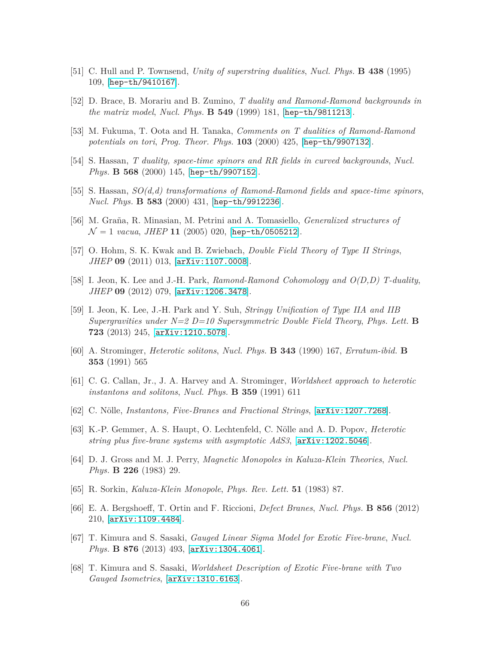- <span id="page-65-1"></span><span id="page-65-0"></span>[51] C. Hull and P. Townsend, *Unity of superstring dualities*, *Nucl. Phys.* **B 438** (1995) 109, [[hep-th/9410167](http://xxx.lanl.gov/abs/hep-th/9410167)].
- <span id="page-65-2"></span>[52] D. Brace, B. Morariu and B. Zumino, *T duality and Ramond-Ramond backgrounds in the matrix model*, *Nucl. Phys.* **B 549** (1999) 181, [[hep-th/9811213](http://xxx.lanl.gov/abs/hep-th/9811213)].
- <span id="page-65-3"></span>[53] M. Fukuma, T. Oota and H. Tanaka, *Comments on T dualities of Ramond-Ramond potentials on tori*, *Prog. Theor. Phys.* **103** (2000) 425, [[hep-th/9907132](http://xxx.lanl.gov/abs/hep-th/9907132)].
- <span id="page-65-4"></span>[54] S. Hassan, *T duality, space-time spinors and RR fields in curved backgrounds*, *Nucl. Phys.* **B 568** (2000) 145, [[hep-th/9907152](http://xxx.lanl.gov/abs/hep-th/9907152)].
- <span id="page-65-5"></span>[55] S. Hassan, *SO(d,d) transformations of Ramond-Ramond fields and space-time spinors*, *Nucl. Phys.* **B 583** (2000) 431, [[hep-th/9912236](http://xxx.lanl.gov/abs/hep-th/9912236)].
- <span id="page-65-6"></span>[56] M. Graña, R. Minasian, M. Petrini and A. Tomasiello, *Generalized structures of*  $\mathcal{N} = 1$  *vacua, JHEP* 11 (2005) 020, [[hep-th/0505212](http://xxx.lanl.gov/abs/hep-th/0505212)].
- <span id="page-65-7"></span>[57] O. Hohm, S. K. Kwak and B. Zwiebach, *Double Field Theory of Type II Strings*, *JHEP* **09** (2011) 013, [[arXiv:1107.0008](http://xxx.lanl.gov/abs/1107.0008)].
- <span id="page-65-8"></span>[58] I. Jeon, K. Lee and J.-H. Park, *Ramond-Ramond Cohomology and O(D,D) T-duality*, *JHEP* **09** (2012) 079, [[arXiv:1206.3478](http://xxx.lanl.gov/abs/1206.3478)].
- [59] I. Jeon, K. Lee, J.-H. Park and Y. Suh, *Stringy Unification of Type IIA and IIB Supergravities under N=2 D=10 Supersymmetric Double Field Theory*, *Phys. Lett.* **B 723** (2013) 245, [[arXiv:1210.5078](http://xxx.lanl.gov/abs/1210.5078)].
- <span id="page-65-9"></span>[60] A. Strominger, *Heterotic solitons*, *Nucl. Phys.* **B 343** (1990) 167, *Erratum-ibid.* **B 353** (1991) 565
- <span id="page-65-10"></span>[61] C. G. Callan, Jr., J. A. Harvey and A. Strominger, *Worldsheet approach to heterotic instantons and solitons*, *Nucl. Phys.* **B 359** (1991) 611
- <span id="page-65-12"></span><span id="page-65-11"></span>[62] C. Nölle, *Instantons, Five-Branes and Fractional Strings*, [[arXiv:1207.7268](http://xxx.lanl.gov/abs/1207.7268)].
- <span id="page-65-13"></span>[63] K.-P. Gemmer, A. S. Haupt, O. Lechtenfeld, C. Nölle and A. D. Popov, *Heterotic string plus five-brane systems with asymptotic AdS3*, [[arXiv:1202.5046](http://xxx.lanl.gov/abs/1202.5046)].
- <span id="page-65-14"></span>[64] D. J. Gross and M. J. Perry, *Magnetic Monopoles in Kaluza-Klein Theories*, *Nucl. Phys.* **B 226** (1983) 29.
- <span id="page-65-15"></span>[65] R. Sorkin, *Kaluza-Klein Monopole*, *Phys. Rev. Lett.* **51** (1983) 87.
- [66] E. A. Bergshoeff, T. Ortin and F. Riccioni, *Defect Branes*, *Nucl. Phys.* **B 856** (2012) 210, [[arXiv:1109.4484](http://xxx.lanl.gov/abs/1109.4484)].
- <span id="page-65-16"></span>[67] T. Kimura and S. Sasaki, *Gauged Linear Sigma Model for Exotic Five-brane*, *Nucl. Phys.* **B 876** (2013) 493, [[arXiv:1304.4061](http://xxx.lanl.gov/abs/1304.4061)].
- <span id="page-65-17"></span>[68] T. Kimura and S. Sasaki, *Worldsheet Description of Exotic Five-brane with Two Gauged Isometries*, [[arXiv:1310.6163](http://xxx.lanl.gov/abs/1310.6163)].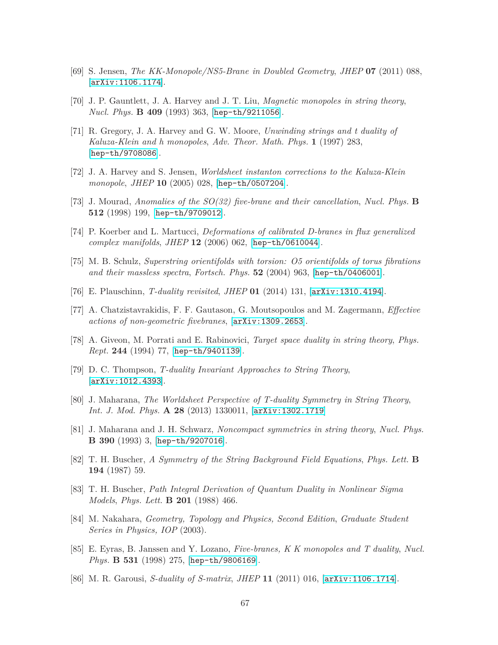- <span id="page-66-1"></span><span id="page-66-0"></span>[69] S. Jensen, *The KK-Monopole/NS5-Brane in Doubled Geometry*, *JHEP* **07** (2011) 088, [[arXiv:1106.1174](http://xxx.lanl.gov/abs/1106.1174)].
- <span id="page-66-2"></span>[70] J. P. Gauntlett, J. A. Harvey and J. T. Liu, *Magnetic monopoles in string theory*, *Nucl. Phys.* **B 409** (1993) 363, [[hep-th/9211056](http://xxx.lanl.gov/abs/hep-th/9211056)].
- [71] R. Gregory, J. A. Harvey and G. W. Moore, *Unwinding strings and t duality of Kaluza-Klein and h monopoles*, *Adv. Theor. Math. Phys.* **1** (1997) 283, [[hep-th/9708086](http://xxx.lanl.gov/abs/hep-th/9708086)].
- <span id="page-66-4"></span><span id="page-66-3"></span>[72] J. A. Harvey and S. Jensen, *Worldsheet instanton corrections to the Kaluza-Klein monopole*, *JHEP* **10** (2005) 028, [[hep-th/0507204](http://xxx.lanl.gov/abs/hep-th/0507204)].
- <span id="page-66-5"></span>[73] J. Mourad, *Anomalies of the SO(32) five-brane and their cancellation*, *Nucl. Phys.* **B 512** (1998) 199, [[hep-th/9709012](http://xxx.lanl.gov/abs/hep-th/9709012)].
- <span id="page-66-6"></span>[74] P. Koerber and L. Martucci, *Deformations of calibrated D-branes in flux generalized complex manifolds*, *JHEP* **12** (2006) 062, [[hep-th/0610044](http://xxx.lanl.gov/abs/hep-th/0610044)].
- <span id="page-66-7"></span>[75] M. B. Schulz, *Superstring orientifolds with torsion: O5 orientifolds of torus fibrations and their massless spectra*, *Fortsch. Phys.* **52** (2004) 963, [[hep-th/0406001](http://xxx.lanl.gov/abs/hep-th/0406001)].
- <span id="page-66-8"></span>[76] E. Plauschinn, *T-duality revisited*, *JHEP* **01** (2014) 131, [[arXiv:1310.4194](http://xxx.lanl.gov/abs/1310.4194)].
- [77] A. Chatzistavrakidis, F. F. Gautason, G. Moutsopoulos and M. Zagermann, *Effective actions of non-geometric fivebranes*, [[arXiv:1309.2653](http://xxx.lanl.gov/abs/1309.2653)].
- <span id="page-66-9"></span>[78] A. Giveon, M. Porrati and E. Rabinovici, *Target space duality in string theory*, *Phys. Rept.* **244** (1994) 77, [[hep-th/9401139](http://xxx.lanl.gov/abs/hep-th/9401139)].
- <span id="page-66-10"></span>[79] D. C. Thompson, *T-duality Invariant Approaches to String Theory*, [[arXiv:1012.4393](http://xxx.lanl.gov/abs/1012.4393)].
- <span id="page-66-12"></span><span id="page-66-11"></span>[80] J. Maharana, *The Worldsheet Perspective of T-duality Symmetry in String Theory*, *Int. J. Mod. Phys.* **A 28** (2013) 1330011, [[arXiv:1302.1719](http://xxx.lanl.gov/abs/1302.1719)]
- <span id="page-66-13"></span>[81] J. Maharana and J. H. Schwarz, *Noncompact symmetries in string theory*, *Nucl. Phys.* **B 390** (1993) 3, [[hep-th/9207016](http://xxx.lanl.gov/abs/hep-th/9207016)].
- [82] T. H. Buscher, *A Symmetry of the String Background Field Equations*, *Phys. Lett.* **B 194** (1987) 59.
- <span id="page-66-14"></span>[83] T. H. Buscher, *Path Integral Derivation of Quantum Duality in Nonlinear Sigma Models*, *Phys. Lett.* **B 201** (1988) 466.
- <span id="page-66-15"></span>[84] M. Nakahara, *Geometry, Topology and Physics, Second Edition*, *Graduate Student Series in Physics, IOP* (2003).
- <span id="page-66-16"></span>[85] E. Eyras, B. Janssen and Y. Lozano, *Five-branes, K K monopoles and T duality*, *Nucl. Phys.* **B 531** (1998) 275, [[hep-th/9806169](http://xxx.lanl.gov/abs/hep-th/9806169)].
- <span id="page-66-17"></span>[86] M. R. Garousi, *S-duality of S-matrix*, *JHEP* **11** (2011) 016, [[arXiv:1106.1714](http://xxx.lanl.gov/abs/1106.1714)].